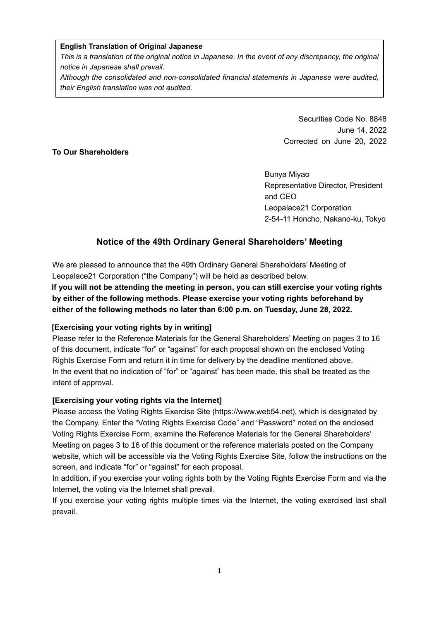### **English Translation of Original Japanese**

*This is a translation of the original notice in Japanese. In the event of any discrepancy, the original notice in Japanese shall prevail.*

*Although the consolidated and non-consolidated financial statements in Japanese were audited, their English translation was not audited.*

# Securities Code No. 8848 June 14, 2022 Corrected on June 20, 2022

## **To Our Shareholders**

Bunya Miyao Representative Director, President and CEO Leopalace21 Corporation 2-54-11 Honcho, Nakano-ku, Tokyo

# **Notice of the 49th Ordinary General Shareholders' Meeting**

We are pleased to announce that the 49th Ordinary General Shareholders' Meeting of Leopalace21 Corporation ("the Company") will be held as described below. **If you will not be attending the meeting in person, you can still exercise your voting rights** 

**by either of the following methods. Please exercise your voting rights beforehand by either of the following methods no later than 6:00 p.m. on Tuesday, June 28, 2022.**

# **[Exercising your voting rights by in writing]**

Please refer to the Reference Materials for the General Shareholders' Meeting on pages 3 to 16 of this document, indicate "for" or "against" for each proposal shown on the enclosed Voting Rights Exercise Form and return it in time for delivery by the deadline mentioned above. In the event that no indication of "for" or "against" has been made, this shall be treated as the intent of approval.

# **[Exercising your voting rights via the Internet]**

Please access the Voting Rights Exercise Site (https://www.web54.net), which is designated by the Company. Enter the "Voting Rights Exercise Code" and "Password" noted on the enclosed Voting Rights Exercise Form, examine the Reference Materials for the General Shareholders' Meeting on pages 3 to 16 of this document or the reference materials posted on the Company website, which will be accessible via the Voting Rights Exercise Site, follow the instructions on the screen, and indicate "for" or "against" for each proposal.

In addition, if you exercise your voting rights both by the Voting Rights Exercise Form and via the Internet, the voting via the Internet shall prevail.

If you exercise your voting rights multiple times via the Internet, the voting exercised last shall prevail.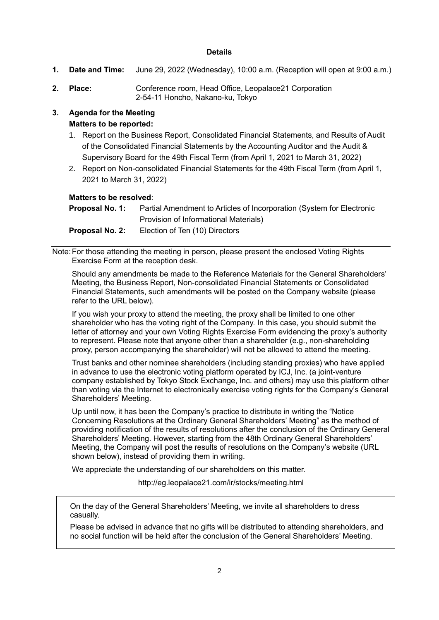### **Details**

- **1. Date and Time:** June 29, 2022 (Wednesday), 10:00 a.m. (Reception will open at 9:00 a.m.)
- **2. Place:** Conference room, Head Office, Leopalace21 Corporation 2-54-11 Honcho, Nakano-ku, Tokyo

# **3. Agenda for the Meeting Matters to be reported:**

- 1. Report on the Business Report, Consolidated Financial Statements, and Results of Audit of the Consolidated Financial Statements by the Accounting Auditor and the Audit & Supervisory Board for the 49th Fiscal Term (from April 1, 2021 to March 31, 2022)
- 2. Report on Non-consolidated Financial Statements for the 49th Fiscal Term (from April 1, 2021 to March 31, 2022)

### **Matters to be resolved**:

| Proposal No. 1:   | Partial Amendment to Articles of Incorporation (System for Electronic |
|-------------------|-----------------------------------------------------------------------|
|                   | Provision of Informational Materials)                                 |
| Bushes all Marcha | Flackbook Tan (40) Blue stage                                         |

**Proposal No. 2:** Election of Ten (10) Directors

Note:For those attending the meeting in person, please present the enclosed Voting Rights Exercise Form at the reception desk.

Should any amendments be made to the Reference Materials for the General Shareholders' Meeting, the Business Report, Non-consolidated Financial Statements or Consolidated Financial Statements, such amendments will be posted on the Company website (please refer to the URL below).

If you wish your proxy to attend the meeting, the proxy shall be limited to one other shareholder who has the voting right of the Company. In this case, you should submit the letter of attorney and your own Voting Rights Exercise Form evidencing the proxy's authority to represent. Please note that anyone other than a shareholder (e.g., non-shareholding proxy, person accompanying the shareholder) will not be allowed to attend the meeting.

Trust banks and other nominee shareholders (including standing proxies) who have applied in advance to use the electronic voting platform operated by ICJ, Inc. (a joint-venture company established by Tokyo Stock Exchange, Inc. and others) may use this platform other than voting via the Internet to electronically exercise voting rights for the Company's General Shareholders' Meeting.

Up until now, it has been the Company's practice to distribute in writing the "Notice Concerning Resolutions at the Ordinary General Shareholders' Meeting" as the method of providing notification of the results of resolutions after the conclusion of the Ordinary General Shareholders' Meeting. However, starting from the 48th Ordinary General Shareholders' Meeting, the Company will post the results of resolutions on the Company's website (URL shown below), instead of providing them in writing.

We appreciate the understanding of our shareholders on this matter.

http://eg.leopalace21.com/ir/stocks/meeting.html

On the day of the General Shareholders' Meeting, we invite all shareholders to dress casually.

Please be advised in advance that no gifts will be distributed to attending shareholders, and no social function will be held after the conclusion of the General Shareholders' Meeting.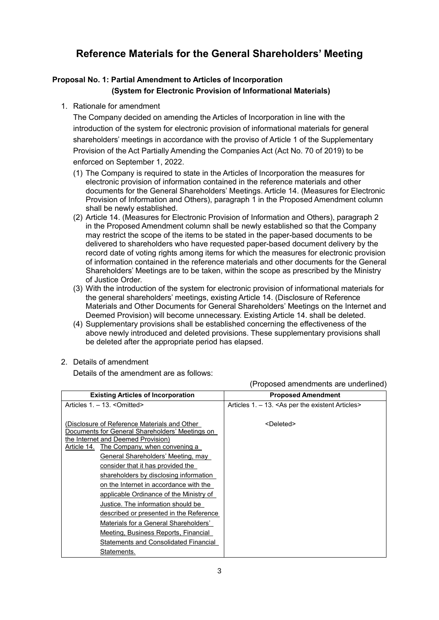# **Reference Materials for the General Shareholders' Meeting**

# **Proposal No. 1: Partial Amendment to Articles of Incorporation (System for Electronic Provision of Informational Materials)**

## 1. Rationale for amendment

The Company decided on amending the Articles of Incorporation in line with the introduction of the system for electronic provision of informational materials for general shareholders' meetings in accordance with the proviso of Article 1 of the Supplementary Provision of the Act Partially Amending the Companies Act (Act No. 70 of 2019) to be enforced on September 1, 2022.

- (1) The Company is required to state in the Articles of Incorporation the measures for electronic provision of information contained in the reference materials and other documents for the General Shareholders' Meetings. Article 14. (Measures for Electronic Provision of Information and Others), paragraph 1 in the Proposed Amendment column shall be newly established.
- (2) Article 14. (Measures for Electronic Provision of Information and Others), paragraph 2 in the Proposed Amendment column shall be newly established so that the Company may restrict the scope of the items to be stated in the paper-based documents to be delivered to shareholders who have requested paper-based document delivery by the record date of voting rights among items for which the measures for electronic provision of information contained in the reference materials and other documents for the General Shareholders' Meetings are to be taken, within the scope as prescribed by the Ministry of Justice Order.
- (3) With the introduction of the system for electronic provision of informational materials for the general shareholders' meetings, existing Article 14. (Disclosure of Reference Materials and Other Documents for General Shareholders' Meetings on the Internet and Deemed Provision) will become unnecessary. Existing Article 14. shall be deleted.
- (4) Supplementary provisions shall be established concerning the effectiveness of the above newly introduced and deleted provisions. These supplementary provisions shall be deleted after the appropriate period has elapsed.

### 2. Details of amendment

Details of the amendment are as follows:

| <b>Existing Articles of Incorporation</b>                                                       | <b>Proposed Amendment</b>                        |
|-------------------------------------------------------------------------------------------------|--------------------------------------------------|
| Articles 1. - 13. < Omitted>                                                                    | Articles 1. – 13. < As per the existent Articles |
|                                                                                                 |                                                  |
| (Disclosure of Reference Materials and Other<br>Documents for General Shareholders' Meetings on | <deleted></deleted>                              |
| the Internet and Deemed Provision)                                                              |                                                  |
| Article 14. The Company, when convening a                                                       |                                                  |
| General Shareholders' Meeting, may                                                              |                                                  |
| consider that it has provided the                                                               |                                                  |
| shareholders by disclosing information                                                          |                                                  |
| on the Internet in accordance with the                                                          |                                                  |
| applicable Ordinance of the Ministry of                                                         |                                                  |
| Justice. The information should be                                                              |                                                  |
| described or presented in the Reference                                                         |                                                  |
| Materials for a General Shareholders'                                                           |                                                  |
| Meeting, Business Reports, Financial                                                            |                                                  |
| Statements and Consolidated Financial                                                           |                                                  |
| Statements.                                                                                     |                                                  |

(Proposed amendments are underlined)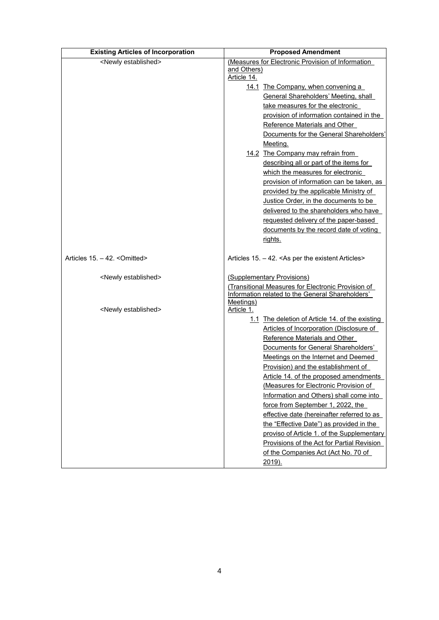| <b>Existing Articles of Incorporation</b> | <b>Proposed Amendment</b>                                                       |
|-------------------------------------------|---------------------------------------------------------------------------------|
| <newly established=""></newly>            | (Measures for Electronic Provision of Information<br>and Others)<br>Article 14. |
|                                           | 14.1 The Company, when convening a                                              |
|                                           | General Shareholders' Meeting, shall                                            |
|                                           | take measures for the electronic                                                |
|                                           | provision of information contained in the                                       |
|                                           | Reference Materials and Other                                                   |
|                                           | Documents for the General Shareholders'                                         |
|                                           | Meeting.                                                                        |
|                                           | 14.2 The Company may refrain from                                               |
|                                           | describing all or part of the items for                                         |
|                                           | which the measures for electronic                                               |
|                                           | provision of information can be taken, as                                       |
|                                           | provided by the applicable Ministry of                                          |
|                                           | Justice Order, in the documents to be                                           |
|                                           | delivered to the shareholders who have                                          |
|                                           | requested delivery of the paper-based                                           |
|                                           | documents by the record date of voting                                          |
|                                           | rights.                                                                         |
| Articles 15. -42. < Omitted>              | Articles 15. -42. < As per the existent Articles>                               |
| <newly established=""></newly>            | (Supplementary Provisions)                                                      |
|                                           | (Transitional Measures for Electronic Provision of                              |
|                                           | Information related to the General Shareholders'                                |
| <newly established=""></newly>            | Meetings)<br>Article 1.                                                         |
|                                           | 1.1 The deletion of Article 14. of the existing                                 |
|                                           | Articles of Incorporation (Disclosure of                                        |
|                                           | Reference Materials and Other                                                   |
|                                           | Documents for General Shareholders'                                             |
|                                           | Meetings on the Internet and Deemed                                             |
|                                           | Provision) and the establishment of                                             |
|                                           | Article 14. of the proposed amendments                                          |
|                                           | (Measures for Electronic Provision of                                           |
|                                           | Information and Others) shall come into                                         |
|                                           | force from September 1, 2022, the                                               |
|                                           | effective date (hereinafter referred to as                                      |
|                                           | the "Effective Date") as provided in the                                        |
|                                           | proviso of Article 1. of the Supplementary                                      |
|                                           | Provisions of the Act for Partial Revision                                      |
|                                           | of the Companies Act (Act No. 70 of<br>2019).                                   |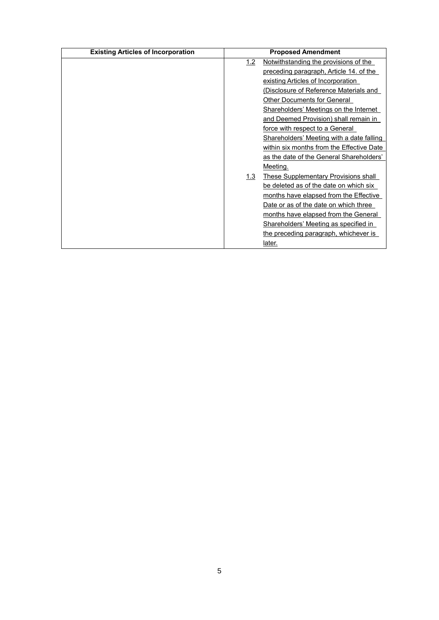| <b>Existing Articles of Incorporation</b> |     | <b>Proposed Amendment</b>                   |
|-------------------------------------------|-----|---------------------------------------------|
|                                           | 1.2 | Notwithstanding the provisions of the       |
|                                           |     | preceding paragraph, Article 14. of the     |
|                                           |     | existing Articles of Incorporation          |
|                                           |     | (Disclosure of Reference Materials and      |
|                                           |     | Other Documents for General                 |
|                                           |     | Shareholders' Meetings on the Internet      |
|                                           |     | and Deemed Provision) shall remain in       |
|                                           |     | force with respect to a General             |
|                                           |     | Shareholders' Meeting with a date falling   |
|                                           |     | within six months from the Effective Date   |
|                                           |     | as the date of the General Shareholders'    |
|                                           |     | Meeting.                                    |
|                                           | 1.3 | <b>These Supplementary Provisions shall</b> |
|                                           |     | be deleted as of the date on which six      |
|                                           |     | months have elapsed from the Effective      |
|                                           |     | Date or as of the date on which three       |
|                                           |     | months have elapsed from the General        |
|                                           |     | Shareholders' Meeting as specified in       |
|                                           |     | the preceding paragraph, whichever is       |
|                                           |     | later.                                      |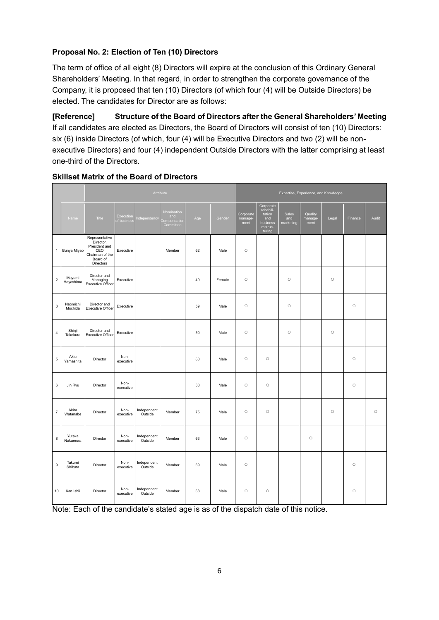# **Proposal No. 2: Election of Ten (10) Directors**

The term of office of all eight (8) Directors will expire at the conclusion of this Ordinary General Shareholders' Meeting. In that regard, in order to strengthen the corporate governance of the Company, it is proposed that ten (10) Directors (of which four (4) will be Outside Directors) be elected. The candidates for Director are as follows:

**[Reference] Structure of the Board of Directors after the General Shareholders' Meeting** If all candidates are elected as Directors, the Board of Directors will consist of ten (10) Directors: six (6) inside Directors (of which, four (4) will be Executive Directors and two (2) will be nonexecutive Directors) and four (4) independent Outside Directors with the latter comprising at least one-third of the Directors.

|                          |                     | Attribute                                                                                       |                          |                        |                                               |     |        | Expertise, Experience, and Knowledge |                                                                                                     |                           |                            |         |         |         |
|--------------------------|---------------------|-------------------------------------------------------------------------------------------------|--------------------------|------------------------|-----------------------------------------------|-----|--------|--------------------------------------|-----------------------------------------------------------------------------------------------------|---------------------------|----------------------------|---------|---------|---------|
|                          | Name                | Title                                                                                           | Execution<br>of business | ndependency            | Nomination<br>and<br>ompensation<br>Committee | Age | Gender | Corporate<br>manage-<br>ment         | Corporate<br>rehabili-<br>tation<br>$\operatorname{\mathsf{and}}$<br>business<br>restruc-<br>turing | Sales<br>and<br>marketing | Quality<br>manage-<br>ment | Legal   | Finance | Audit   |
| 1                        | Bunya Miyao         | Representative<br>Director,<br>President and<br>CEO<br>Chairman of the<br>Board of<br>Directors | Executive                |                        | Member                                        | 62  | Male   | $\circ$                              |                                                                                                     |                           |                            |         |         |         |
| $\boldsymbol{2}$         | Mayumi<br>Hayashima | Director and<br>Managing<br>Executive Officer                                                   | Executive                |                        |                                               | 49  | Female | $\circ$                              |                                                                                                     | $\circ$                   |                            | $\circ$ |         |         |
| 3                        | Naomichi<br>Mochida | Director and<br><b>Executive Officer</b>                                                        | Executive                |                        |                                               | 59  | Male   | $\circ$                              |                                                                                                     | $\circ$                   |                            |         | $\circ$ |         |
| 4                        | Shinji<br>Takekura  | Director and<br><b>Executive Officer</b>                                                        | Executive                |                        |                                               | 50  | Male   | $\circ$                              |                                                                                                     | $\circ$                   |                            | $\circ$ |         |         |
| 5                        | Akio<br>Yamashita   | Director                                                                                        | Non-<br>executive        |                        |                                               | 60  | Male   | $\circ$                              | $\circ$                                                                                             |                           |                            |         | $\circ$ |         |
| 6                        | Jin Ryu             | Director                                                                                        | Non-<br>executive        |                        |                                               | 38  | Male   | $\circ$                              | $\circ$                                                                                             |                           |                            |         | $\circ$ |         |
| $\overline{\mathcal{I}}$ | Akira<br>Watanabe   | Director                                                                                        | Non-<br>executive        | Independent<br>Outside | Member                                        | 75  | Male   | $\circ$                              | $\circ$                                                                                             |                           |                            | $\circ$ |         | $\circ$ |
| 8                        | Yutaka<br>Nakamura  | Director                                                                                        | Non-<br>executive        | Independent<br>Outside | Member                                        | 63  | Male   | $\circ$                              |                                                                                                     |                           | $\circ$                    |         |         |         |
| 9                        | Takumi<br>Shibata   | Director                                                                                        | Non-<br>executive        | Independent<br>Outside | Member                                        | 69  | Male   | $\circ$                              |                                                                                                     |                           |                            |         | $\circ$ |         |
| 10                       | Kan Ishii           | Director                                                                                        | Non-<br>executive        | Independent<br>Outside | Member                                        | 68  | Male   | $\circ$                              | $\circ$                                                                                             |                           |                            |         | $\circ$ |         |

# **Skillset Matrix of the Board of Directors**

Note: Each of the candidate's stated age is as of the dispatch date of this notice.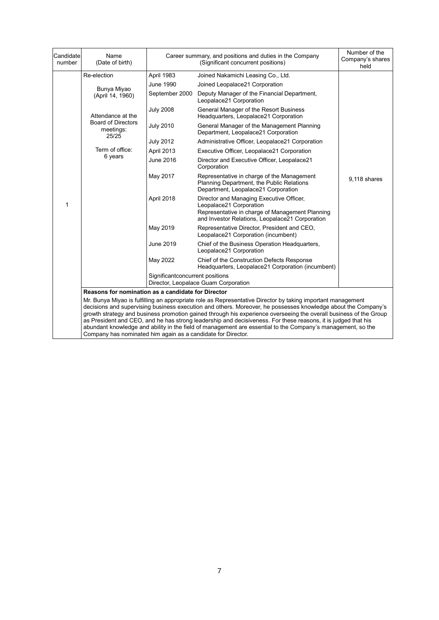| Candidate<br>number                                                                                                                                                                                                                                                                                                                                                                                                                                                                                                                                                                                                                               | Name<br>(Date of birth)                            |                                 | Career summary, and positions and duties in the Company<br>(Significant concurrent positions)                                                                             | Number of the<br>Company's shares<br>held |  |  |
|---------------------------------------------------------------------------------------------------------------------------------------------------------------------------------------------------------------------------------------------------------------------------------------------------------------------------------------------------------------------------------------------------------------------------------------------------------------------------------------------------------------------------------------------------------------------------------------------------------------------------------------------------|----------------------------------------------------|---------------------------------|---------------------------------------------------------------------------------------------------------------------------------------------------------------------------|-------------------------------------------|--|--|
|                                                                                                                                                                                                                                                                                                                                                                                                                                                                                                                                                                                                                                                   | Re-election                                        | April 1983                      | Joined Nakamichi Leasing Co., Ltd.                                                                                                                                        |                                           |  |  |
|                                                                                                                                                                                                                                                                                                                                                                                                                                                                                                                                                                                                                                                   | Bunya Miyao                                        | June 1990                       | Joined Leopalace21 Corporation                                                                                                                                            |                                           |  |  |
|                                                                                                                                                                                                                                                                                                                                                                                                                                                                                                                                                                                                                                                   | (April 14, 1960)                                   | September 2000                  | Deputy Manager of the Financial Department,<br>Leopalace21 Corporation                                                                                                    |                                           |  |  |
|                                                                                                                                                                                                                                                                                                                                                                                                                                                                                                                                                                                                                                                   | Attendance at the                                  | <b>July 2008</b>                | General Manager of the Resort Business<br>Headquarters, Leopalace21 Corporation                                                                                           |                                           |  |  |
|                                                                                                                                                                                                                                                                                                                                                                                                                                                                                                                                                                                                                                                   | <b>Board of Directors</b><br>meetings:<br>25/25    | <b>July 2010</b>                | General Manager of the Management Planning<br>Department, Leopalace21 Corporation                                                                                         |                                           |  |  |
|                                                                                                                                                                                                                                                                                                                                                                                                                                                                                                                                                                                                                                                   |                                                    | <b>July 2012</b>                | Administrative Officer, Leopalace21 Corporation                                                                                                                           |                                           |  |  |
|                                                                                                                                                                                                                                                                                                                                                                                                                                                                                                                                                                                                                                                   | Term of office:                                    | April 2013                      | Executive Officer, Leopalace21 Corporation                                                                                                                                |                                           |  |  |
|                                                                                                                                                                                                                                                                                                                                                                                                                                                                                                                                                                                                                                                   | 6 years                                            | June 2016                       | Director and Executive Officer, Leopalace21<br>Corporation                                                                                                                |                                           |  |  |
|                                                                                                                                                                                                                                                                                                                                                                                                                                                                                                                                                                                                                                                   |                                                    | May 2017                        | Representative in charge of the Management<br>Planning Department, the Public Relations<br>Department, Leopalace21 Corporation                                            | 9,118 shares                              |  |  |
| 1                                                                                                                                                                                                                                                                                                                                                                                                                                                                                                                                                                                                                                                 |                                                    | April 2018                      | Director and Managing Executive Officer,<br>Leopalace21 Corporation<br>Representative in charge of Management Planning<br>and Investor Relations, Leopalace21 Corporation |                                           |  |  |
|                                                                                                                                                                                                                                                                                                                                                                                                                                                                                                                                                                                                                                                   |                                                    | May 2019                        | Representative Director, President and CEO,<br>Leopalace21 Corporation (incumbent)                                                                                        |                                           |  |  |
|                                                                                                                                                                                                                                                                                                                                                                                                                                                                                                                                                                                                                                                   |                                                    | June 2019                       | Chief of the Business Operation Headquarters,<br>Leopalace21 Corporation                                                                                                  |                                           |  |  |
|                                                                                                                                                                                                                                                                                                                                                                                                                                                                                                                                                                                                                                                   |                                                    | May 2022                        | Chief of the Construction Defects Response<br>Headquarters, Leopalace21 Corporation (incumbent)                                                                           |                                           |  |  |
|                                                                                                                                                                                                                                                                                                                                                                                                                                                                                                                                                                                                                                                   |                                                    | Significantconcurrent positions | Director, Leopalace Guam Corporation                                                                                                                                      |                                           |  |  |
|                                                                                                                                                                                                                                                                                                                                                                                                                                                                                                                                                                                                                                                   | Reasons for nomination as a candidate for Director |                                 |                                                                                                                                                                           |                                           |  |  |
| Mr. Bunya Miyao is fulfilling an appropriate role as Representative Director by taking important management<br>decisions and supervising business execution and others. Moreover, he possesses knowledge about the Company's<br>growth strategy and business promotion gained through his experience overseeing the overall business of the Group<br>as President and CEO, and he has strong leadership and decisiveness. For these reasons, it is judged that his<br>abundant knowledge and ability in the field of management are essential to the Company's management, so the<br>Company has nominated him again as a candidate for Director. |                                                    |                                 |                                                                                                                                                                           |                                           |  |  |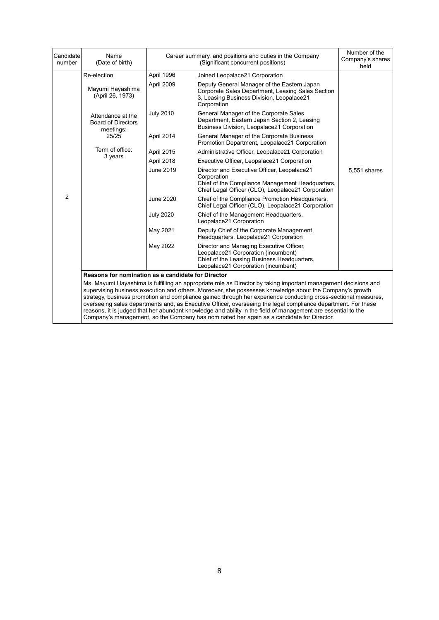| Candidate<br>number                                                                                                                                                                                                                                                                                                                                                                                                                                                                                                                                                                                                                                                         | Name<br>(Date of birth)                                     |                  | Career summary, and positions and duties in the Company<br>(Significant concurrent positions)                                                                         | Number of the<br>Company's shares<br>held |  |  |  |
|-----------------------------------------------------------------------------------------------------------------------------------------------------------------------------------------------------------------------------------------------------------------------------------------------------------------------------------------------------------------------------------------------------------------------------------------------------------------------------------------------------------------------------------------------------------------------------------------------------------------------------------------------------------------------------|-------------------------------------------------------------|------------------|-----------------------------------------------------------------------------------------------------------------------------------------------------------------------|-------------------------------------------|--|--|--|
|                                                                                                                                                                                                                                                                                                                                                                                                                                                                                                                                                                                                                                                                             | Re-election                                                 | April 1996       | Joined Leopalace21 Corporation                                                                                                                                        |                                           |  |  |  |
|                                                                                                                                                                                                                                                                                                                                                                                                                                                                                                                                                                                                                                                                             | Mayumi Hayashima<br>(April 26, 1973)                        | April 2009       | Deputy General Manager of the Eastern Japan<br>Corporate Sales Department, Leasing Sales Section<br>3, Leasing Business Division, Leopalace21<br>Corporation          |                                           |  |  |  |
|                                                                                                                                                                                                                                                                                                                                                                                                                                                                                                                                                                                                                                                                             | Attendance at the<br><b>Board of Directors</b><br>meetings: | <b>July 2010</b> | General Manager of the Corporate Sales<br>Department, Eastern Japan Section 2, Leasing<br>Business Division, Leopalace21 Corporation                                  |                                           |  |  |  |
|                                                                                                                                                                                                                                                                                                                                                                                                                                                                                                                                                                                                                                                                             | 25/25                                                       | April 2014       | General Manager of the Corporate Business<br>Promotion Department, Leopalace21 Corporation                                                                            |                                           |  |  |  |
|                                                                                                                                                                                                                                                                                                                                                                                                                                                                                                                                                                                                                                                                             | Term of office:                                             | April 2015       | Administrative Officer, Leopalace21 Corporation                                                                                                                       |                                           |  |  |  |
|                                                                                                                                                                                                                                                                                                                                                                                                                                                                                                                                                                                                                                                                             | 3 years                                                     | April 2018       | Executive Officer, Leopalace21 Corporation                                                                                                                            |                                           |  |  |  |
|                                                                                                                                                                                                                                                                                                                                                                                                                                                                                                                                                                                                                                                                             |                                                             | June 2019        | Director and Executive Officer, Leopalace21<br>Corporation<br>Chief of the Compliance Management Headquarters,<br>Chief Legal Officer (CLO), Leopalace21 Corporation  | 5,551 shares                              |  |  |  |
| $\overline{2}$                                                                                                                                                                                                                                                                                                                                                                                                                                                                                                                                                                                                                                                              |                                                             | June 2020        | Chief of the Compliance Promotion Headquarters,<br>Chief Legal Officer (CLO), Leopalace21 Corporation                                                                 |                                           |  |  |  |
|                                                                                                                                                                                                                                                                                                                                                                                                                                                                                                                                                                                                                                                                             |                                                             | <b>July 2020</b> | Chief of the Management Headquarters,<br>Leopalace21 Corporation                                                                                                      |                                           |  |  |  |
|                                                                                                                                                                                                                                                                                                                                                                                                                                                                                                                                                                                                                                                                             |                                                             | May 2021         | Deputy Chief of the Corporate Management<br>Headquarters, Leopalace21 Corporation                                                                                     |                                           |  |  |  |
|                                                                                                                                                                                                                                                                                                                                                                                                                                                                                                                                                                                                                                                                             |                                                             | May 2022         | Director and Managing Executive Officer,<br>Leopalace21 Corporation (incumbent)<br>Chief of the Leasing Business Headquarters,<br>Leopalace21 Corporation (incumbent) |                                           |  |  |  |
|                                                                                                                                                                                                                                                                                                                                                                                                                                                                                                                                                                                                                                                                             | Reasons for nomination as a candidate for Director          |                  |                                                                                                                                                                       |                                           |  |  |  |
| Ms. Mayumi Hayashima is fulfilling an appropriate role as Director by taking important management decisions and<br>supervising business execution and others. Moreover, she possesses knowledge about the Company's growth<br>strategy, business promotion and compliance gained through her experience conducting cross-sectional measures,<br>overseeing sales departments and, as Executive Officer, overseeing the legal compliance department. For these<br>reasons, it is judged that her abundant knowledge and ability in the field of management are essential to the<br>Company's management, so the Company has nominated her again as a candidate for Director. |                                                             |                  |                                                                                                                                                                       |                                           |  |  |  |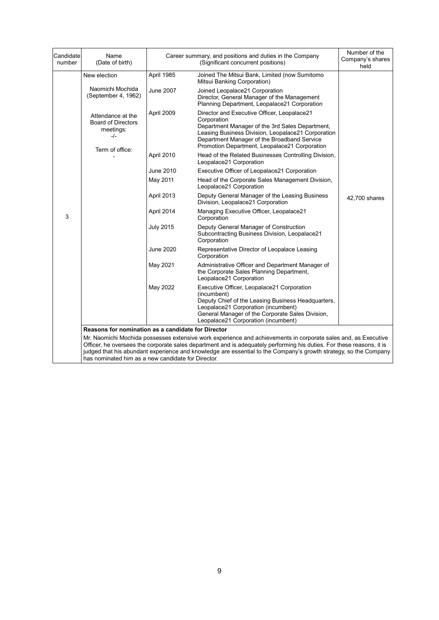| Candidate<br>number | Name<br>(Date of birth)                                                                                                                                                                                                                                                                                                                                                                                                                                                 |                  | Career summary, and positions and duties in the Company<br>(Significant concurrent positions)                                                                                                                                                                       | Number of the<br>Company's shares<br>held |  |  |  |  |
|---------------------|-------------------------------------------------------------------------------------------------------------------------------------------------------------------------------------------------------------------------------------------------------------------------------------------------------------------------------------------------------------------------------------------------------------------------------------------------------------------------|------------------|---------------------------------------------------------------------------------------------------------------------------------------------------------------------------------------------------------------------------------------------------------------------|-------------------------------------------|--|--|--|--|
|                     | New election                                                                                                                                                                                                                                                                                                                                                                                                                                                            | April 1985       | Joined The Mitsui Bank, Limited (now Sumitomo<br>Mitsui Banking Corporation)                                                                                                                                                                                        |                                           |  |  |  |  |
|                     | Naomichi Mochida<br>(September 4, 1962)                                                                                                                                                                                                                                                                                                                                                                                                                                 | June 2007        | Joined Leopalace21 Corporation<br>Director, General Manager of the Management<br>Planning Department, Leopalace21 Corporation                                                                                                                                       |                                           |  |  |  |  |
|                     | Attendance at the<br><b>Board of Directors</b><br>meetings:<br>-/-<br>Term of office:                                                                                                                                                                                                                                                                                                                                                                                   | April 2009       | Director and Executive Officer, Leopalace21<br>Corporation<br>Department Manager of the 3rd Sales Department,<br>Leasing Business Division, Leopalace21 Corporation<br>Department Manager of the Broadband Service<br>Promotion Department, Leopalace21 Corporation |                                           |  |  |  |  |
|                     |                                                                                                                                                                                                                                                                                                                                                                                                                                                                         | April 2010       | Head of the Related Businesses Controlling Division,<br>Leopalace21 Corporation                                                                                                                                                                                     |                                           |  |  |  |  |
|                     |                                                                                                                                                                                                                                                                                                                                                                                                                                                                         | June 2010        | Executive Officer of Leopalace21 Corporation                                                                                                                                                                                                                        |                                           |  |  |  |  |
|                     |                                                                                                                                                                                                                                                                                                                                                                                                                                                                         | May 2011         | Head of the Corporate Sales Management Division,<br>Leopalace21 Corporation                                                                                                                                                                                         |                                           |  |  |  |  |
|                     |                                                                                                                                                                                                                                                                                                                                                                                                                                                                         | April 2013       | Deputy General Manager of the Leasing Business<br>Division, Leopalace21 Corporation                                                                                                                                                                                 | 42,700 shares                             |  |  |  |  |
| 3                   |                                                                                                                                                                                                                                                                                                                                                                                                                                                                         | April 2014       | Managing Executive Officer, Leopalace21<br>Corporation                                                                                                                                                                                                              |                                           |  |  |  |  |
|                     |                                                                                                                                                                                                                                                                                                                                                                                                                                                                         | <b>July 2015</b> | Deputy General Manager of Construction<br>Subcontracting Business Division, Leopalace21<br>Corporation                                                                                                                                                              |                                           |  |  |  |  |
|                     |                                                                                                                                                                                                                                                                                                                                                                                                                                                                         | June 2020        | Representative Director of Leopalace Leasing<br>Corporation                                                                                                                                                                                                         |                                           |  |  |  |  |
|                     |                                                                                                                                                                                                                                                                                                                                                                                                                                                                         | May 2021         | Administrative Officer and Department Manager of<br>the Corporate Sales Planning Department,<br>Leopalace21 Corporation                                                                                                                                             |                                           |  |  |  |  |
|                     |                                                                                                                                                                                                                                                                                                                                                                                                                                                                         | May 2022         | Executive Officer, Leopalace21 Corporation<br>(incumbent)<br>Deputy Chief of the Leasing Business Headquarters,<br>Leopalace21 Corporation (incumbent)<br>General Manager of the Corporate Sales Division,<br>Leopalace21 Corporation (incumbent)                   |                                           |  |  |  |  |
|                     |                                                                                                                                                                                                                                                                                                                                                                                                                                                                         |                  |                                                                                                                                                                                                                                                                     |                                           |  |  |  |  |
|                     | Reasons for nomination as a candidate for Director<br>Mr. Naomichi Mochida possesses extensive work experience and achievements in corporate sales and, as Executive<br>Officer, he oversees the corporate sales department and is adequately performing his duties. For these reasons, it is<br>judged that his abundant experience and knowledge are essential to the Company's growth strategy, so the Company<br>has nominated him as a new candidate for Director. |                  |                                                                                                                                                                                                                                                                     |                                           |  |  |  |  |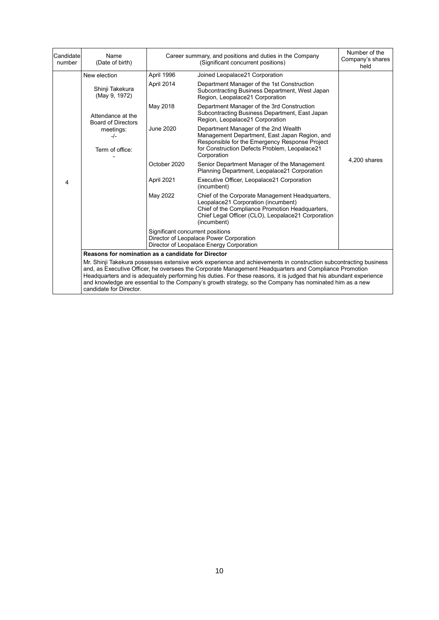| Candidate<br>number | Name<br>(Date of birth)                                                                                                                                                                                                                                                                                                                                                                                                                                                               |                                                                                                                         | Career summary, and positions and duties in the Company<br>(Significant concurrent positions)                                                                                                                  | Number of the<br>Company's shares<br>held |  |  |  |
|---------------------|---------------------------------------------------------------------------------------------------------------------------------------------------------------------------------------------------------------------------------------------------------------------------------------------------------------------------------------------------------------------------------------------------------------------------------------------------------------------------------------|-------------------------------------------------------------------------------------------------------------------------|----------------------------------------------------------------------------------------------------------------------------------------------------------------------------------------------------------------|-------------------------------------------|--|--|--|
|                     | New election                                                                                                                                                                                                                                                                                                                                                                                                                                                                          | April 1996                                                                                                              | Joined Leopalace21 Corporation                                                                                                                                                                                 |                                           |  |  |  |
|                     | Shinji Takekura<br>(May 9, 1972)                                                                                                                                                                                                                                                                                                                                                                                                                                                      | April 2014                                                                                                              | Department Manager of the 1st Construction<br>Subcontracting Business Department, West Japan<br>Region, Leopalace21 Corporation                                                                                |                                           |  |  |  |
|                     | Attendance at the<br><b>Board of Directors</b>                                                                                                                                                                                                                                                                                                                                                                                                                                        | May 2018                                                                                                                | Department Manager of the 3rd Construction<br>Subcontracting Business Department, East Japan<br>Region, Leopalace21 Corporation                                                                                |                                           |  |  |  |
|                     | meetings:<br>$-/-$<br>Term of office:                                                                                                                                                                                                                                                                                                                                                                                                                                                 | <b>June 2020</b>                                                                                                        | Department Manager of the 2nd Wealth<br>Management Department, East Japan Region, and<br>Responsible for the Emergency Response Project<br>for Construction Defects Problem, Leopalace21<br>Corporation        |                                           |  |  |  |
|                     |                                                                                                                                                                                                                                                                                                                                                                                                                                                                                       | October 2020                                                                                                            | Senior Department Manager of the Management<br>Planning Department, Leopalace21 Corporation                                                                                                                    | 4,200 shares                              |  |  |  |
| 4                   |                                                                                                                                                                                                                                                                                                                                                                                                                                                                                       | April 2021                                                                                                              | Executive Officer, Leopalace21 Corporation<br>(incumbent)                                                                                                                                                      |                                           |  |  |  |
|                     |                                                                                                                                                                                                                                                                                                                                                                                                                                                                                       | May 2022                                                                                                                | Chief of the Corporate Management Headquarters,<br>Leopalace21 Corporation (incumbent)<br>Chief of the Compliance Promotion Headquarters,<br>Chief Legal Officer (CLO), Leopalace21 Corporation<br>(incumbent) |                                           |  |  |  |
|                     |                                                                                                                                                                                                                                                                                                                                                                                                                                                                                       | Significant concurrent positions<br>Director of Leopalace Power Corporation<br>Director of Leopalace Energy Corporation |                                                                                                                                                                                                                |                                           |  |  |  |
|                     | Reasons for nomination as a candidate for Director                                                                                                                                                                                                                                                                                                                                                                                                                                    |                                                                                                                         |                                                                                                                                                                                                                |                                           |  |  |  |
|                     | Mr. Shinji Takekura possesses extensive work experience and achievements in construction subcontracting business<br>and, as Executive Officer, he oversees the Corporate Management Headquarters and Compliance Promotion<br>Headquarters and is adequately performing his duties. For these reasons, it is judged that his abundant experience<br>and knowledge are essential to the Company's growth strategy, so the Company has nominated him as a new<br>candidate for Director. |                                                                                                                         |                                                                                                                                                                                                                |                                           |  |  |  |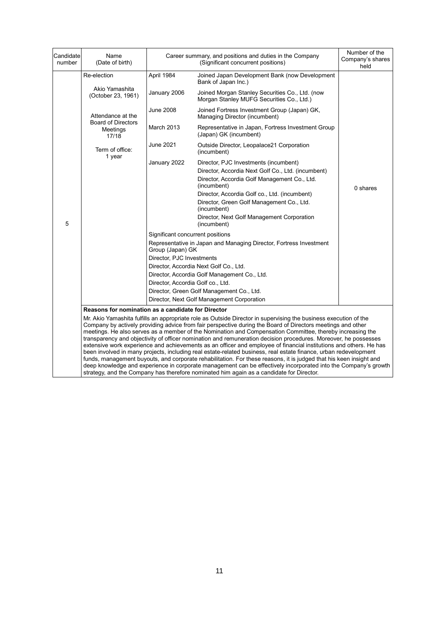| Candidate<br>number                                                                                                                                                                                                                                                                                                                                                                                                                                                                                                                                                                                                                                                                                                                                                                                                                                                                                                                                                                                                                                                                                         | Name<br>(Date of birth)                        | Career summary, and positions and duties in the Company                                                                                | Number of the<br>Company's shares<br>held                                                                                                                                                                                                                                                                                                                                                                                                                                                                                                         |          |  |  |
|-------------------------------------------------------------------------------------------------------------------------------------------------------------------------------------------------------------------------------------------------------------------------------------------------------------------------------------------------------------------------------------------------------------------------------------------------------------------------------------------------------------------------------------------------------------------------------------------------------------------------------------------------------------------------------------------------------------------------------------------------------------------------------------------------------------------------------------------------------------------------------------------------------------------------------------------------------------------------------------------------------------------------------------------------------------------------------------------------------------|------------------------------------------------|----------------------------------------------------------------------------------------------------------------------------------------|---------------------------------------------------------------------------------------------------------------------------------------------------------------------------------------------------------------------------------------------------------------------------------------------------------------------------------------------------------------------------------------------------------------------------------------------------------------------------------------------------------------------------------------------------|----------|--|--|
|                                                                                                                                                                                                                                                                                                                                                                                                                                                                                                                                                                                                                                                                                                                                                                                                                                                                                                                                                                                                                                                                                                             | Re-election                                    | April 1984                                                                                                                             | Joined Japan Development Bank (now Development<br>Bank of Japan Inc.)                                                                                                                                                                                                                                                                                                                                                                                                                                                                             |          |  |  |
|                                                                                                                                                                                                                                                                                                                                                                                                                                                                                                                                                                                                                                                                                                                                                                                                                                                                                                                                                                                                                                                                                                             | Akio Yamashita<br>(October 23, 1961)           | January 2006                                                                                                                           | Joined Morgan Stanley Securities Co., Ltd. (now<br>Morgan Stanley MUFG Securities Co., Ltd.)                                                                                                                                                                                                                                                                                                                                                                                                                                                      |          |  |  |
|                                                                                                                                                                                                                                                                                                                                                                                                                                                                                                                                                                                                                                                                                                                                                                                                                                                                                                                                                                                                                                                                                                             | Attendance at the                              | <b>June 2008</b>                                                                                                                       | Joined Fortress Investment Group (Japan) GK,<br>Managing Director (incumbent)                                                                                                                                                                                                                                                                                                                                                                                                                                                                     |          |  |  |
|                                                                                                                                                                                                                                                                                                                                                                                                                                                                                                                                                                                                                                                                                                                                                                                                                                                                                                                                                                                                                                                                                                             | <b>Board of Directors</b><br>Meetings<br>17/18 | <b>March 2013</b>                                                                                                                      | Representative in Japan, Fortress Investment Group<br>(Japan) GK (incumbent)                                                                                                                                                                                                                                                                                                                                                                                                                                                                      |          |  |  |
|                                                                                                                                                                                                                                                                                                                                                                                                                                                                                                                                                                                                                                                                                                                                                                                                                                                                                                                                                                                                                                                                                                             | Term of office:                                | June 2021                                                                                                                              | Outside Director, Leopalace21 Corporation<br>(incumbent)                                                                                                                                                                                                                                                                                                                                                                                                                                                                                          |          |  |  |
| 5                                                                                                                                                                                                                                                                                                                                                                                                                                                                                                                                                                                                                                                                                                                                                                                                                                                                                                                                                                                                                                                                                                           | 1 year                                         | January 2022<br>Significant concurrent positions<br>Group (Japan) GK<br>Director, PJC Investments<br>Director, Accordia Golf co., Ltd. | Director, PJC Investments (incumbent)<br>Director, Accordia Next Golf Co., Ltd. (incumbent)<br>Director, Accordia Golf Management Co., Ltd.<br>(incumbent)<br>Director, Accordia Golf co., Ltd. (incumbent)<br>Director, Green Golf Management Co., Ltd.<br>(incumbent)<br>Director, Next Golf Management Corporation<br>(incumbent)<br>Representative in Japan and Managing Director, Fortress Investment<br>Director, Accordia Next Golf Co., Ltd.<br>Director, Accordia Golf Management Co., Ltd.<br>Director, Green Golf Management Co., Ltd. | 0 shares |  |  |
|                                                                                                                                                                                                                                                                                                                                                                                                                                                                                                                                                                                                                                                                                                                                                                                                                                                                                                                                                                                                                                                                                                             |                                                |                                                                                                                                        | Director, Next Golf Management Corporation                                                                                                                                                                                                                                                                                                                                                                                                                                                                                                        |          |  |  |
| <b>Reasons for nomination as a candidate for Director</b><br>Mr. Akio Yamashita fulfills an appropriate role as Outside Director in supervising the business execution of the<br>Company by actively providing advice from fair perspective during the Board of Directors meetings and other<br>meetings. He also serves as a member of the Nomination and Compensation Committee, thereby increasing the<br>transparency and objectivity of officer nomination and remuneration decision procedures. Moreover, he possesses<br>extensive work experience and achievements as an officer and employee of financial institutions and others. He has<br>been involved in many projects, including real estate-related business, real estate finance, urban redevelopment<br>funds, management buyouts, and corporate rehabilitation. For these reasons, it is judged that his keen insight and<br>deep knowledge and experience in corporate management can be effectively incorporated into the Company's growth<br>strategy, and the Company has therefore nominated him again as a candidate for Director. |                                                |                                                                                                                                        |                                                                                                                                                                                                                                                                                                                                                                                                                                                                                                                                                   |          |  |  |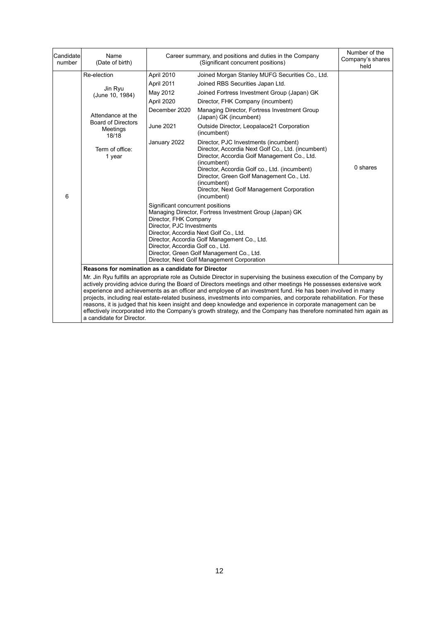| Candidate<br>number | Name<br>(Date of birth)                                                                                                                       |                                                                                                                                                                                                                                 | Career summary, and positions and duties in the Company<br>(Significant concurrent positions)                                                                                                                                                                                                                                                                                                                                                                                                                                                                                                                                                                                                                                                                                                                                                                                                         | Number of the<br>Company's shares<br>held |
|---------------------|-----------------------------------------------------------------------------------------------------------------------------------------------|---------------------------------------------------------------------------------------------------------------------------------------------------------------------------------------------------------------------------------|-------------------------------------------------------------------------------------------------------------------------------------------------------------------------------------------------------------------------------------------------------------------------------------------------------------------------------------------------------------------------------------------------------------------------------------------------------------------------------------------------------------------------------------------------------------------------------------------------------------------------------------------------------------------------------------------------------------------------------------------------------------------------------------------------------------------------------------------------------------------------------------------------------|-------------------------------------------|
| 6                   | Re-election<br>Jin Ryu<br>(June 10, 1984)<br>Attendance at the<br><b>Board of Directors</b><br>Meetings<br>18/18<br>Term of office:<br>1 year | April 2010<br>April 2011<br>May 2012<br>April 2020<br>December 2020<br>June 2021<br>January 2022<br>Significant concurrent positions<br>Director, FHK Company<br>Director, PJC Investments<br>Director, Accordia Golf co., Ltd. | Joined Morgan Stanley MUFG Securities Co., Ltd.<br>Joined RBS Securities Japan Ltd.<br>Joined Fortress Investment Group (Japan) GK<br>Director, FHK Company (incumbent)<br>Managing Director, Fortress Investment Group<br>(Japan) GK (incumbent)<br>Outside Director, Leopalace21 Corporation<br>(incumbent)<br>Director, PJC Investments (incumbent)<br>Director, Accordia Next Golf Co., Ltd. (incumbent)<br>Director, Accordia Golf Management Co., Ltd.<br>(incumbent)<br>Director, Accordia Golf co., Ltd. (incumbent)<br>Director, Green Golf Management Co., Ltd.<br>(incumbent)<br>Director, Next Golf Management Corporation<br>(incumbent)<br>Managing Director, Fortress Investment Group (Japan) GK<br>Director, Accordia Next Golf Co., Ltd.<br>Director, Accordia Golf Management Co., Ltd.<br>Director, Green Golf Management Co., Ltd.<br>Director, Next Golf Management Corporation | 0 shares                                  |
|                     | Reasons for nomination as a candidate for Director                                                                                            |                                                                                                                                                                                                                                 |                                                                                                                                                                                                                                                                                                                                                                                                                                                                                                                                                                                                                                                                                                                                                                                                                                                                                                       |                                           |
|                     | a candidate for Director.                                                                                                                     |                                                                                                                                                                                                                                 | Mr. Jin Ryu fulfills an appropriate role as Outside Director in supervising the business execution of the Company by<br>actively providing advice during the Board of Directors meetings and other meetings He possesses extensive work<br>experience and achievements as an officer and employee of an investment fund. He has been involved in many<br>projects, including real estate-related business, investments into companies, and corporate rehabilitation. For these<br>reasons, it is judged that his keen insight and deep knowledge and experience in corporate management can be<br>effectively incorporated into the Company's growth strategy, and the Company has therefore nominated him again as                                                                                                                                                                                   |                                           |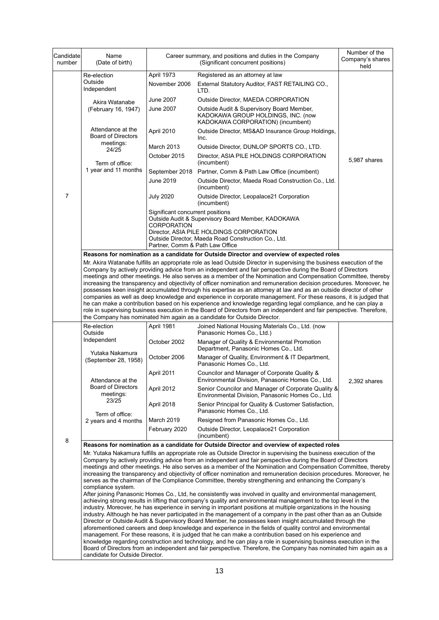| Candidate<br>number | Name<br>(Date of birth)                                                                                                                                                                                                                                                                                                                                                                                                                                                                                                                                                                                                                                                                                                   |                                                                                    | Career summary, and positions and duties in the Company<br>(Significant concurrent positions)                                                                                                                                                                                                                                                                                                                                                                                                                                                                                                                                                                                                                                                                                                                                                                                                                                                                                                                                                  | Number of the<br>Company's shares<br>held |  |  |
|---------------------|---------------------------------------------------------------------------------------------------------------------------------------------------------------------------------------------------------------------------------------------------------------------------------------------------------------------------------------------------------------------------------------------------------------------------------------------------------------------------------------------------------------------------------------------------------------------------------------------------------------------------------------------------------------------------------------------------------------------------|------------------------------------------------------------------------------------|------------------------------------------------------------------------------------------------------------------------------------------------------------------------------------------------------------------------------------------------------------------------------------------------------------------------------------------------------------------------------------------------------------------------------------------------------------------------------------------------------------------------------------------------------------------------------------------------------------------------------------------------------------------------------------------------------------------------------------------------------------------------------------------------------------------------------------------------------------------------------------------------------------------------------------------------------------------------------------------------------------------------------------------------|-------------------------------------------|--|--|
|                     | Re-election                                                                                                                                                                                                                                                                                                                                                                                                                                                                                                                                                                                                                                                                                                               | April 1973                                                                         | Registered as an attorney at law                                                                                                                                                                                                                                                                                                                                                                                                                                                                                                                                                                                                                                                                                                                                                                                                                                                                                                                                                                                                               |                                           |  |  |
|                     | Outside<br>Independent                                                                                                                                                                                                                                                                                                                                                                                                                                                                                                                                                                                                                                                                                                    | November 2006                                                                      | External Statutory Auditor, FAST RETAILING CO.,<br>LTD.                                                                                                                                                                                                                                                                                                                                                                                                                                                                                                                                                                                                                                                                                                                                                                                                                                                                                                                                                                                        |                                           |  |  |
|                     | Akira Watanabe                                                                                                                                                                                                                                                                                                                                                                                                                                                                                                                                                                                                                                                                                                            | June 2007                                                                          | Outside Director, MAEDA CORPORATION                                                                                                                                                                                                                                                                                                                                                                                                                                                                                                                                                                                                                                                                                                                                                                                                                                                                                                                                                                                                            |                                           |  |  |
|                     | (February 16, 1947)                                                                                                                                                                                                                                                                                                                                                                                                                                                                                                                                                                                                                                                                                                       | June 2007                                                                          | Outside Audit & Supervisory Board Member,<br>KADOKAWA GROUP HOLDINGS, INC. (now<br>KADOKAWA CORPORATION) (incumbent)                                                                                                                                                                                                                                                                                                                                                                                                                                                                                                                                                                                                                                                                                                                                                                                                                                                                                                                           |                                           |  |  |
|                     | Attendance at the<br><b>Board of Directors</b>                                                                                                                                                                                                                                                                                                                                                                                                                                                                                                                                                                                                                                                                            | April 2010                                                                         | Outside Director, MS&AD Insurance Group Holdings,<br>Inc.                                                                                                                                                                                                                                                                                                                                                                                                                                                                                                                                                                                                                                                                                                                                                                                                                                                                                                                                                                                      |                                           |  |  |
|                     | meetings:<br>24/25                                                                                                                                                                                                                                                                                                                                                                                                                                                                                                                                                                                                                                                                                                        | March 2013                                                                         | Outside Director, DUNLOP SPORTS CO., LTD.                                                                                                                                                                                                                                                                                                                                                                                                                                                                                                                                                                                                                                                                                                                                                                                                                                                                                                                                                                                                      |                                           |  |  |
|                     | Term of office:                                                                                                                                                                                                                                                                                                                                                                                                                                                                                                                                                                                                                                                                                                           | October 2015                                                                       | Director, ASIA PILE HOLDINGS CORPORATION<br>(incumbent)                                                                                                                                                                                                                                                                                                                                                                                                                                                                                                                                                                                                                                                                                                                                                                                                                                                                                                                                                                                        | 5,987 shares                              |  |  |
|                     | 1 year and 11 months                                                                                                                                                                                                                                                                                                                                                                                                                                                                                                                                                                                                                                                                                                      | September 2018                                                                     | Partner, Comm & Path Law Office (incumbent)                                                                                                                                                                                                                                                                                                                                                                                                                                                                                                                                                                                                                                                                                                                                                                                                                                                                                                                                                                                                    |                                           |  |  |
|                     |                                                                                                                                                                                                                                                                                                                                                                                                                                                                                                                                                                                                                                                                                                                           | June 2019                                                                          | Outside Director, Maeda Road Construction Co., Ltd.<br>(incumbent)                                                                                                                                                                                                                                                                                                                                                                                                                                                                                                                                                                                                                                                                                                                                                                                                                                                                                                                                                                             |                                           |  |  |
| 7                   |                                                                                                                                                                                                                                                                                                                                                                                                                                                                                                                                                                                                                                                                                                                           | <b>July 2020</b>                                                                   | Outside Director, Leopalace21 Corporation<br>(incumbent)                                                                                                                                                                                                                                                                                                                                                                                                                                                                                                                                                                                                                                                                                                                                                                                                                                                                                                                                                                                       |                                           |  |  |
|                     |                                                                                                                                                                                                                                                                                                                                                                                                                                                                                                                                                                                                                                                                                                                           | Significant concurrent positions<br>CORPORATION<br>Partner, Comm & Path Law Office | Outside Audit & Supervisory Board Member, KADOKAWA<br>Director, ASIA PILE HOLDINGS CORPORATION<br>Outside Director, Maeda Road Construction Co., Ltd.                                                                                                                                                                                                                                                                                                                                                                                                                                                                                                                                                                                                                                                                                                                                                                                                                                                                                          |                                           |  |  |
|                     |                                                                                                                                                                                                                                                                                                                                                                                                                                                                                                                                                                                                                                                                                                                           |                                                                                    | Reasons for nomination as a candidate for Outside Director and overview of expected roles                                                                                                                                                                                                                                                                                                                                                                                                                                                                                                                                                                                                                                                                                                                                                                                                                                                                                                                                                      |                                           |  |  |
|                     |                                                                                                                                                                                                                                                                                                                                                                                                                                                                                                                                                                                                                                                                                                                           |                                                                                    | Mr. Akira Watanabe fulfills an appropriate role as lead Outside Director in supervising the business execution of the<br>Company by actively providing advice from an independent and fair perspective during the Board of Directors<br>meetings and other meetings. He also serves as a member of the Nomination and Compensation Committee, thereby<br>increasing the transparency and objectivity of officer nomination and remuneration decision procedures. Moreover, he<br>possesses keen insight accumulated through his expertise as an attorney at law and as an outside director of other<br>companies as well as deep knowledge and experience in corporate management. For these reasons, it is judged that<br>he can make a contribution based on his experience and knowledge regarding legal compliance, and he can play a<br>role in supervising business execution in the Board of Directors from an independent and fair perspective. Therefore,<br>the Company has nominated him again as a candidate for Outside Director. |                                           |  |  |
|                     | Re-election                                                                                                                                                                                                                                                                                                                                                                                                                                                                                                                                                                                                                                                                                                               | April 1981                                                                         | Joined National Housing Materials Co., Ltd. (now                                                                                                                                                                                                                                                                                                                                                                                                                                                                                                                                                                                                                                                                                                                                                                                                                                                                                                                                                                                               |                                           |  |  |
|                     | Outside<br>Independent                                                                                                                                                                                                                                                                                                                                                                                                                                                                                                                                                                                                                                                                                                    | October 2002                                                                       | Panasonic Homes Co., Ltd.)<br>Manager of Quality & Environmental Promotion                                                                                                                                                                                                                                                                                                                                                                                                                                                                                                                                                                                                                                                                                                                                                                                                                                                                                                                                                                     |                                           |  |  |
|                     | Yutaka Nakamura<br>(September 28, 1958)                                                                                                                                                                                                                                                                                                                                                                                                                                                                                                                                                                                                                                                                                   | October 2006                                                                       | Department, Panasonic Homes Co., Ltd.<br>Manager of Quality, Environment & IT Department,                                                                                                                                                                                                                                                                                                                                                                                                                                                                                                                                                                                                                                                                                                                                                                                                                                                                                                                                                      |                                           |  |  |
|                     |                                                                                                                                                                                                                                                                                                                                                                                                                                                                                                                                                                                                                                                                                                                           | April 2011                                                                         | Panasonic Homes Co., Ltd.<br>Councilor and Manager of Corporate Quality &                                                                                                                                                                                                                                                                                                                                                                                                                                                                                                                                                                                                                                                                                                                                                                                                                                                                                                                                                                      |                                           |  |  |
|                     | Attendance at the<br><b>Board of Directors</b><br>meetings:                                                                                                                                                                                                                                                                                                                                                                                                                                                                                                                                                                                                                                                               | April 2012                                                                         | Environmental Division, Panasonic Homes Co., Ltd.<br>Senior Councilor and Manager of Corporate Quality &                                                                                                                                                                                                                                                                                                                                                                                                                                                                                                                                                                                                                                                                                                                                                                                                                                                                                                                                       | 2,392 shares                              |  |  |
|                     | 23/25                                                                                                                                                                                                                                                                                                                                                                                                                                                                                                                                                                                                                                                                                                                     | April 2018                                                                         | Environmental Division, Panasonic Homes Co., Ltd.<br>Senior Principal for Quality & Customer Satisfaction,                                                                                                                                                                                                                                                                                                                                                                                                                                                                                                                                                                                                                                                                                                                                                                                                                                                                                                                                     |                                           |  |  |
|                     | Term of office:                                                                                                                                                                                                                                                                                                                                                                                                                                                                                                                                                                                                                                                                                                           | March 2019                                                                         | Panasonic Homes Co., Ltd.<br>Resigned from Panasonic Homes Co., Ltd.                                                                                                                                                                                                                                                                                                                                                                                                                                                                                                                                                                                                                                                                                                                                                                                                                                                                                                                                                                           |                                           |  |  |
|                     | 2 years and 4 months                                                                                                                                                                                                                                                                                                                                                                                                                                                                                                                                                                                                                                                                                                      | February 2020                                                                      | Outside Director, Leopalace21 Corporation                                                                                                                                                                                                                                                                                                                                                                                                                                                                                                                                                                                                                                                                                                                                                                                                                                                                                                                                                                                                      |                                           |  |  |
|                     |                                                                                                                                                                                                                                                                                                                                                                                                                                                                                                                                                                                                                                                                                                                           |                                                                                    | (incumbent)                                                                                                                                                                                                                                                                                                                                                                                                                                                                                                                                                                                                                                                                                                                                                                                                                                                                                                                                                                                                                                    |                                           |  |  |
| 8                   |                                                                                                                                                                                                                                                                                                                                                                                                                                                                                                                                                                                                                                                                                                                           |                                                                                    | Reasons for nomination as a candidate for Outside Director and overview of expected roles                                                                                                                                                                                                                                                                                                                                                                                                                                                                                                                                                                                                                                                                                                                                                                                                                                                                                                                                                      |                                           |  |  |
|                     | Mr. Yutaka Nakamura fulfills an appropriate role as Outside Director in supervising the business execution of the<br>Company by actively providing advice from an independent and fair perspective during the Board of Directors<br>meetings and other meetings. He also serves as a member of the Nomination and Compensation Committee, thereby<br>increasing the transparency and objectivity of officer nomination and remuneration decision procedures. Moreover, he<br>serves as the chairman of the Compliance Committee, thereby strengthening and enhancing the Company's<br>compliance system.<br>After joining Panasonic Homes Co., Ltd, he consistently was involved in quality and environmental management, |                                                                                    |                                                                                                                                                                                                                                                                                                                                                                                                                                                                                                                                                                                                                                                                                                                                                                                                                                                                                                                                                                                                                                                |                                           |  |  |
|                     | candidate for Outside Director.                                                                                                                                                                                                                                                                                                                                                                                                                                                                                                                                                                                                                                                                                           |                                                                                    | achieving strong results in lifting that company's quality and environmental management to the top level in the<br>industry. Moreover, he has experience in serving in important positions at multiple organizations in the housing<br>industry. Although he has never participated in the management of a company in the past other than as an Outside<br>Director or Outside Audit & Supervisory Board Member, he possesses keen insight accumulated through the<br>aforementioned careers and deep knowledge and experience in the fields of quality control and environmental<br>management. For these reasons, it is judged that he can make a contribution based on his experience and<br>knowledge regarding construction and technology, and he can play a role in supervising business execution in the<br>Board of Directors from an independent and fair perspective. Therefore, the Company has nominated him again as a                                                                                                           |                                           |  |  |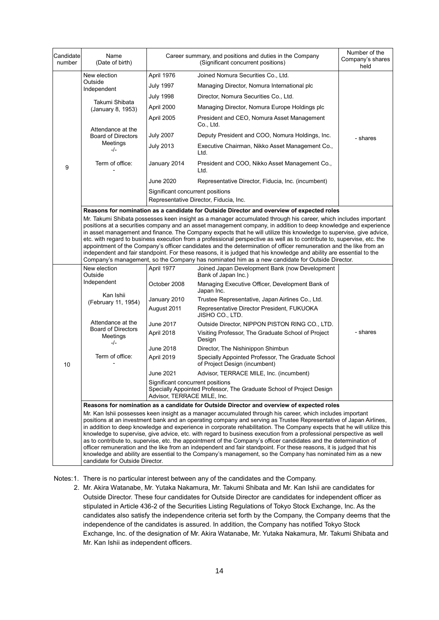| Candidate<br>number | Name<br>(Date of birth)                                                                                                                                                                                                                                                                                                                                                                                                                                                                                                                                                                                                                                                                                                                                                                                                               | Career summary, and positions and duties in the Company<br>(Significant concurrent positions)                                           |                                                                                           | Number of the<br>Company's shares<br>held |  |  |
|---------------------|---------------------------------------------------------------------------------------------------------------------------------------------------------------------------------------------------------------------------------------------------------------------------------------------------------------------------------------------------------------------------------------------------------------------------------------------------------------------------------------------------------------------------------------------------------------------------------------------------------------------------------------------------------------------------------------------------------------------------------------------------------------------------------------------------------------------------------------|-----------------------------------------------------------------------------------------------------------------------------------------|-------------------------------------------------------------------------------------------|-------------------------------------------|--|--|
|                     | New election                                                                                                                                                                                                                                                                                                                                                                                                                                                                                                                                                                                                                                                                                                                                                                                                                          | April 1976                                                                                                                              | Joined Nomura Securities Co., Ltd.                                                        |                                           |  |  |
|                     | Outside<br>Independent                                                                                                                                                                                                                                                                                                                                                                                                                                                                                                                                                                                                                                                                                                                                                                                                                | <b>July 1997</b>                                                                                                                        | Managing Director, Nomura International plc                                               |                                           |  |  |
|                     | Takumi Shibata<br>(January 8, 1953)                                                                                                                                                                                                                                                                                                                                                                                                                                                                                                                                                                                                                                                                                                                                                                                                   | <b>July 1998</b>                                                                                                                        | Director, Nomura Securities Co., Ltd.                                                     |                                           |  |  |
|                     |                                                                                                                                                                                                                                                                                                                                                                                                                                                                                                                                                                                                                                                                                                                                                                                                                                       | April 2000                                                                                                                              | Managing Director, Nomura Europe Holdings plc                                             |                                           |  |  |
|                     |                                                                                                                                                                                                                                                                                                                                                                                                                                                                                                                                                                                                                                                                                                                                                                                                                                       | April 2005                                                                                                                              | President and CEO, Nomura Asset Management<br>Co., Ltd.                                   |                                           |  |  |
|                     | Attendance at the<br><b>Board of Directors</b>                                                                                                                                                                                                                                                                                                                                                                                                                                                                                                                                                                                                                                                                                                                                                                                        | <b>July 2007</b>                                                                                                                        | Deputy President and COO, Nomura Holdings, Inc.                                           | - shares                                  |  |  |
|                     | Meetings<br>$-/-$                                                                                                                                                                                                                                                                                                                                                                                                                                                                                                                                                                                                                                                                                                                                                                                                                     | <b>July 2013</b>                                                                                                                        | Executive Chairman, Nikko Asset Management Co.,<br>Ltd.                                   |                                           |  |  |
| 9                   | Term of office:                                                                                                                                                                                                                                                                                                                                                                                                                                                                                                                                                                                                                                                                                                                                                                                                                       | January 2014                                                                                                                            | President and COO, Nikko Asset Management Co.,<br>Ltd.                                    |                                           |  |  |
|                     |                                                                                                                                                                                                                                                                                                                                                                                                                                                                                                                                                                                                                                                                                                                                                                                                                                       | June 2020                                                                                                                               | Representative Director, Fiducia, Inc. (incumbent)                                        |                                           |  |  |
|                     |                                                                                                                                                                                                                                                                                                                                                                                                                                                                                                                                                                                                                                                                                                                                                                                                                                       | Significant concurrent positions                                                                                                        |                                                                                           |                                           |  |  |
|                     |                                                                                                                                                                                                                                                                                                                                                                                                                                                                                                                                                                                                                                                                                                                                                                                                                                       |                                                                                                                                         | Representative Director, Fiducia, Inc.                                                    |                                           |  |  |
|                     |                                                                                                                                                                                                                                                                                                                                                                                                                                                                                                                                                                                                                                                                                                                                                                                                                                       |                                                                                                                                         | Reasons for nomination as a candidate for Outside Director and overview of expected roles |                                           |  |  |
|                     | Mr. Takumi Shibata possesses keen insight as a manager accumulated through his career, which includes important<br>positions at a securities company and an asset management company, in addition to deep knowledge and experience<br>in asset management and finance. The Company expects that he will utilize this knowledge to supervise, give advice,<br>etc. with regard to business execution from a professional perspective as well as to contribute to, supervise, etc. the<br>appointment of the Company's officer candidates and the determination of officer remuneration and the like from an<br>independent and fair standpoint. For these reasons, it is judged that his knowledge and ability are essential to the<br>Company's management, so the Company has nominated him as a new candidate for Outside Director. |                                                                                                                                         |                                                                                           |                                           |  |  |
|                     | New election<br>Outside                                                                                                                                                                                                                                                                                                                                                                                                                                                                                                                                                                                                                                                                                                                                                                                                               | April 1977                                                                                                                              | Joined Japan Development Bank (now Development<br>Bank of Japan Inc.)                     |                                           |  |  |
|                     | Independent<br>Kan Ishii<br>(February 11, 1954)                                                                                                                                                                                                                                                                                                                                                                                                                                                                                                                                                                                                                                                                                                                                                                                       | October 2008                                                                                                                            | Managing Executive Officer, Development Bank of<br>Japan Inc.                             |                                           |  |  |
|                     |                                                                                                                                                                                                                                                                                                                                                                                                                                                                                                                                                                                                                                                                                                                                                                                                                                       | January 2010                                                                                                                            | Trustee Representative, Japan Airlines Co., Ltd.                                          |                                           |  |  |
|                     |                                                                                                                                                                                                                                                                                                                                                                                                                                                                                                                                                                                                                                                                                                                                                                                                                                       | August 2011                                                                                                                             | Representative Director President, FUKUOKA<br>JISHO CO., LTD.                             |                                           |  |  |
|                     | Attendance at the                                                                                                                                                                                                                                                                                                                                                                                                                                                                                                                                                                                                                                                                                                                                                                                                                     | June 2017                                                                                                                               | Outside Director, NIPPON PISTON RING CO., LTD.                                            |                                           |  |  |
|                     | <b>Board of Directors</b><br>Meetings<br>-/-                                                                                                                                                                                                                                                                                                                                                                                                                                                                                                                                                                                                                                                                                                                                                                                          | April 2018                                                                                                                              | Visiting Professor, The Graduate School of Project<br>Design                              | - shares                                  |  |  |
|                     |                                                                                                                                                                                                                                                                                                                                                                                                                                                                                                                                                                                                                                                                                                                                                                                                                                       | June 2018                                                                                                                               | Director, The Nishinippon Shimbun                                                         |                                           |  |  |
| 10                  | Term of office:                                                                                                                                                                                                                                                                                                                                                                                                                                                                                                                                                                                                                                                                                                                                                                                                                       | April 2019                                                                                                                              | Specially Appointed Professor, The Graduate School<br>of Project Design (incumbent)       |                                           |  |  |
|                     |                                                                                                                                                                                                                                                                                                                                                                                                                                                                                                                                                                                                                                                                                                                                                                                                                                       | June 2021                                                                                                                               | Advisor, TERRACE MILE, Inc. (incumbent)                                                   |                                           |  |  |
|                     |                                                                                                                                                                                                                                                                                                                                                                                                                                                                                                                                                                                                                                                                                                                                                                                                                                       | Significant concurrent positions<br>Specially Appointed Professor, The Graduate School of Project Design<br>Advisor, TERRACE MILE, Inc. |                                                                                           |                                           |  |  |
|                     | Reasons for nomination as a candidate for Outside Director and overview of expected roles                                                                                                                                                                                                                                                                                                                                                                                                                                                                                                                                                                                                                                                                                                                                             |                                                                                                                                         |                                                                                           |                                           |  |  |
|                     | Mr. Kan Ishii possesses keen insight as a manager accumulated through his career, which includes important<br>positions at an investment bank and an operating company and serving as Trustee Representative of Japan Airlines,<br>in addition to deep knowledge and experience in corporate rehabilitation. The Company expects that he will utilize this<br>knowledge to supervise, give advice, etc. with regard to business execution from a professional perspective as well<br>as to contribute to, supervise, etc. the appointment of the Company's officer candidates and the determination of<br>officer remuneration and the like from an independent and fair standpoint. For these reasons, it is judged that his                                                                                                         |                                                                                                                                         |                                                                                           |                                           |  |  |
|                     | knowledge and ability are essential to the Company's management, so the Company has nominated him as a new<br>candidate for Outside Director.                                                                                                                                                                                                                                                                                                                                                                                                                                                                                                                                                                                                                                                                                         |                                                                                                                                         |                                                                                           |                                           |  |  |

Notes:1. There is no particular interest between any of the candidates and the Company.

2. Mr. Akira Watanabe, Mr. Yutaka Nakamura, Mr. Takumi Shibata and Mr. Kan Ishii are candidates for Outside Director. These four candidates for Outside Director are candidates for independent officer as stipulated in Article 436-2 of the Securities Listing Regulations of Tokyo Stock Exchange, Inc. As the candidates also satisfy the independence criteria set forth by the Company, the Company deems that the independence of the candidates is assured. In addition, the Company has notified Tokyo Stock Exchange, Inc. of the designation of Mr. Akira Watanabe, Mr. Yutaka Nakamura, Mr. Takumi Shibata and Mr. Kan Ishii as independent officers.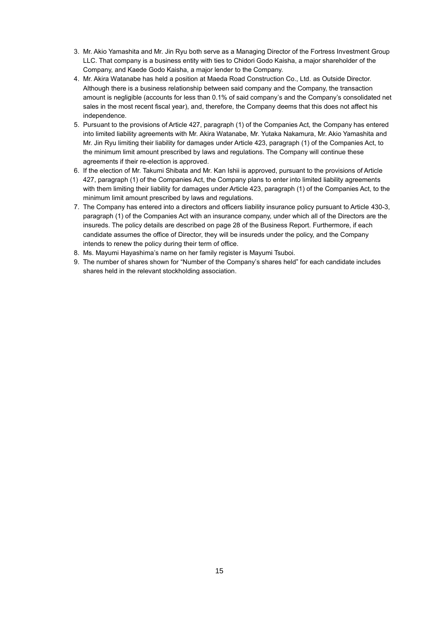- 3. Mr. Akio Yamashita and Mr. Jin Ryu both serve as a Managing Director of the Fortress Investment Group LLC. That company is a business entity with ties to Chidori Godo Kaisha, a major shareholder of the Company, and Kaede Godo Kaisha, a major lender to the Company.
- 4. Mr. Akira Watanabe has held a position at Maeda Road Construction Co., Ltd. as Outside Director. Although there is a business relationship between said company and the Company, the transaction amount is negligible (accounts for less than 0.1% of said company's and the Company's consolidated net sales in the most recent fiscal year), and, therefore, the Company deems that this does not affect his independence.
- 5. Pursuant to the provisions of Article 427, paragraph (1) of the Companies Act, the Company has entered into limited liability agreements with Mr. Akira Watanabe, Mr. Yutaka Nakamura, Mr. Akio Yamashita and Mr. Jin Ryu limiting their liability for damages under Article 423, paragraph (1) of the Companies Act, to the minimum limit amount prescribed by laws and regulations. The Company will continue these agreements if their re-election is approved.
- 6. If the election of Mr. Takumi Shibata and Mr. Kan Ishii is approved, pursuant to the provisions of Article 427, paragraph (1) of the Companies Act, the Company plans to enter into limited liability agreements with them limiting their liability for damages under Article 423, paragraph (1) of the Companies Act, to the minimum limit amount prescribed by laws and regulations.
- 7. The Company has entered into a directors and officers liability insurance policy pursuant to Article 430-3, paragraph (1) of the Companies Act with an insurance company, under which all of the Directors are the insureds. The policy details are described on page 28 of the Business Report. Furthermore, if each candidate assumes the office of Director, they will be insureds under the policy, and the Company intends to renew the policy during their term of office.
- 8. Ms. Mayumi Hayashima's name on her family register is Mayumi Tsuboi.
- 9. The number of shares shown for "Number of the Company's shares held" for each candidate includes shares held in the relevant stockholding association.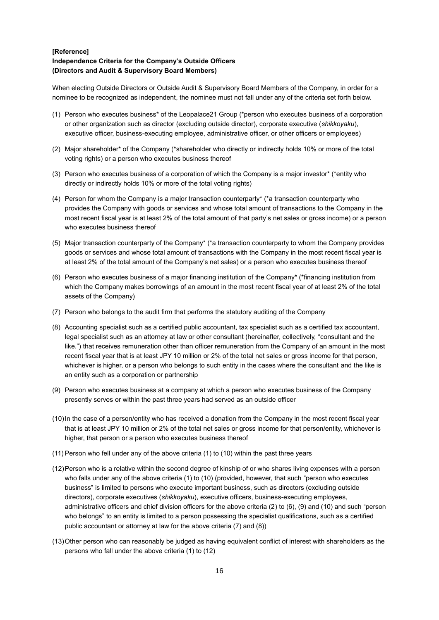### **[Reference] Independence Criteria for the Company's Outside Officers (Directors and Audit & Supervisory Board Members)**

When electing Outside Directors or Outside Audit & Supervisory Board Members of the Company, in order for a nominee to be recognized as independent, the nominee must not fall under any of the criteria set forth below.

- (1) Person who executes business\* of the Leopalace21 Group (\*person who executes business of a corporation or other organization such as director (excluding outside director), corporate executive (*shikkoyaku*), executive officer, business-executing employee, administrative officer, or other officers or employees)
- (2) Major shareholder\* of the Company (\*shareholder who directly or indirectly holds 10% or more of the total voting rights) or a person who executes business thereof
- (3) Person who executes business of a corporation of which the Company is a major investor\* (\*entity who directly or indirectly holds 10% or more of the total voting rights)
- (4) Person for whom the Company is a major transaction counterparty\* (\*a transaction counterparty who provides the Company with goods or services and whose total amount of transactions to the Company in the most recent fiscal year is at least 2% of the total amount of that party's net sales or gross income) or a person who executes business thereof
- (5) Major transaction counterparty of the Company\* (\*a transaction counterparty to whom the Company provides goods or services and whose total amount of transactions with the Company in the most recent fiscal year is at least 2% of the total amount of the Company's net sales) or a person who executes business thereof
- (6) Person who executes business of a major financing institution of the Company\* (\*financing institution from which the Company makes borrowings of an amount in the most recent fiscal year of at least 2% of the total assets of the Company)
- (7) Person who belongs to the audit firm that performs the statutory auditing of the Company
- (8) Accounting specialist such as a certified public accountant, tax specialist such as a certified tax accountant, legal specialist such as an attorney at law or other consultant (hereinafter, collectively, "consultant and the like.") that receives remuneration other than officer remuneration from the Company of an amount in the most recent fiscal year that is at least JPY 10 million or 2% of the total net sales or gross income for that person, whichever is higher, or a person who belongs to such entity in the cases where the consultant and the like is an entity such as a corporation or partnership
- (9) Person who executes business at a company at which a person who executes business of the Company presently serves or within the past three years had served as an outside officer
- (10)In the case of a person/entity who has received a donation from the Company in the most recent fiscal year that is at least JPY 10 million or 2% of the total net sales or gross income for that person/entity, whichever is higher, that person or a person who executes business thereof
- (11) Person who fell under any of the above criteria (1) to (10) within the past three years
- (12)Person who is a relative within the second degree of kinship of or who shares living expenses with a person who falls under any of the above criteria (1) to (10) (provided, however, that such "person who executes business" is limited to persons who execute important business, such as directors (excluding outside directors), corporate executives (*shikkoyaku*), executive officers, business-executing employees, administrative officers and chief division officers for the above criteria (2) to (6), (9) and (10) and such "person who belongs" to an entity is limited to a person possessing the specialist qualifications, such as a certified public accountant or attorney at law for the above criteria (7) and (8))
- (13)Other person who can reasonably be judged as having equivalent conflict of interest with shareholders as the persons who fall under the above criteria (1) to (12)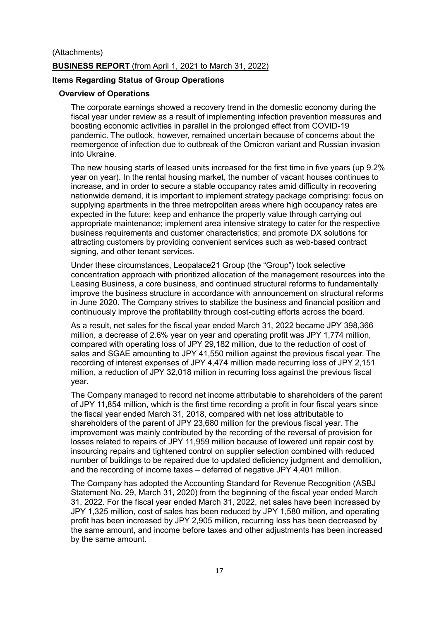### (Attachments)

### **BUSINESS REPORT** (from April 1, 2021 to March 31, 2022)

### **Items Regarding Status of Group Operations**

# **Overview of Operations**

The corporate earnings showed a recovery trend in the domestic economy during the fiscal year under review as a result of implementing infection prevention measures and boosting economic activities in parallel in the prolonged effect from COVID-19 pandemic. The outlook, however, remained uncertain because of concerns about the reemergence of infection due to outbreak of the Omicron variant and Russian invasion into Ukraine.

The new housing starts of leased units increased for the first time in five years (up 9.2% year on year). In the rental housing market, the number of vacant houses continues to increase, and in order to secure a stable occupancy rates amid difficulty in recovering nationwide demand, it is important to implement strategy package comprising: focus on supplying apartments in the three metropolitan areas where high occupancy rates are expected in the future; keep and enhance the property value through carrying out appropriate maintenance; implement area intensive strategy to cater for the respective business requirements and customer characteristics; and promote DX solutions for attracting customers by providing convenient services such as web-based contract signing, and other tenant services.

Under these circumstances, Leopalace21 Group (the "Group") took selective concentration approach with prioritized allocation of the management resources into the Leasing Business, a core business, and continued structural reforms to fundamentally improve the business structure in accordance with announcement on structural reforms in June 2020. The Company strives to stabilize the business and financial position and continuously improve the profitability through cost-cutting efforts across the board.

As a result, net sales for the fiscal year ended March 31, 2022 became JPY 398,366 million, a decrease of 2.6% year on year and operating profit was JPY 1,774 million, compared with operating loss of JPY 29,182 million, due to the reduction of cost of sales and SGAE amounting to JPY 41,550 million against the previous fiscal year. The recording of interest expenses of JPY 4,474 million made recurring loss of JPY 2,151 million, a reduction of JPY 32,018 million in recurring loss against the previous fiscal year.

The Company managed to record net income attributable to shareholders of the parent of JPY 11,854 million, which is the first time recording a profit in four fiscal years since the fiscal year ended March 31, 2018, compared with net loss attributable to shareholders of the parent of JPY 23,680 million for the previous fiscal year. The improvement was mainly contributed by the recording of the reversal of provision for losses related to repairs of JPY 11,959 million because of lowered unit repair cost by insourcing repairs and tightened control on supplier selection combined with reduced number of buildings to be repaired due to updated deficiency judgment and demolition, and the recording of income taxes – deferred of negative JPY 4,401 million.

The Company has adopted the Accounting Standard for Revenue Recognition (ASBJ Statement No. 29, March 31, 2020) from the beginning of the fiscal year ended March 31, 2022. For the fiscal year ended March 31, 2022, net sales have been increased by JPY 1,325 million, cost of sales has been reduced by JPY 1,580 million, and operating profit has been increased by JPY 2,905 million, recurring loss has been decreased by the same amount, and income before taxes and other adjustments has been increased by the same amount.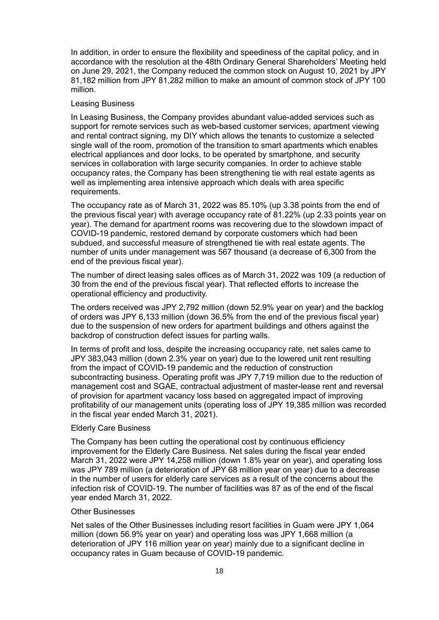In addition, in order to ensure the flexibility and speediness of the capital policy, and in accordance with the resolution at the 48th Ordinary General Shareholders' Meeting held on June 29, 2021, the Company reduced the common stock on August 10, 2021 by JPY 81,182 million from JPY 81,282 million to make an amount of common stock of JPY 100 million.

### Leasing Business

In Leasing Business, the Company provides abundant value-added services such as support for remote services such as web-based customer services, apartment viewing and rental contract signing, my DIY which allows the tenants to customize a selected single wall of the room, promotion of the transition to smart apartments which enables electrical appliances and door locks, to be operated by smartphone, and security services in collaboration with large security companies. In order to achieve stable occupancy rates, the Company has been strengthening tie with real estate agents as well as implementing area intensive approach which deals with area specific requirements.

The occupancy rate as of March 31, 2022 was 85.10% (up 3.38 points from the end of the previous fiscal year) with average occupancy rate of 81.22% (up 2.33 points year on year). The demand for apartment rooms was recovering due to the slowdown impact of COVID-19 pandemic, restored demand by corporate customers which had been subdued, and successful measure of strengthened tie with real estate agents. The number of units under management was 567 thousand (a decrease of 6,300 from the end of the previous fiscal year).

The number of direct leasing sales offices as of March 31, 2022 was 109 (a reduction of 30 from the end of the previous fiscal year). That reflected efforts to increase the operational efficiency and productivity.

The orders received was JPY 2,792 million (down 52.9% year on year) and the backlog of orders was JPY 6,133 million (down 36.5% from the end of the previous fiscal year) due to the suspension of new orders for apartment buildings and others against the backdrop of construction defect issues for parting walls.

In terms of profit and loss, despite the increasing occupancy rate, net sales came to JPY 383,043 million (down 2.3% year on year) due to the lowered unit rent resulting from the impact of COVID-19 pandemic and the reduction of construction subcontracting business. Operating profit was JPY 7,719 million due to the reduction of management cost and SGAE, contractual adjustment of master-lease rent and reversal of provision for apartment vacancy loss based on aggregated impact of improving profitability of our management units (operating loss of JPY 19,385 million was recorded in the fiscal year ended March 31, 2021).

### Elderly Care Business

The Company has been cutting the operational cost by continuous efficiency improvement for the Elderly Care Business. Net sales during the fiscal year ended March 31, 2022 were JPY 14,258 million (down 1.8% year on year), and operating loss was JPY 789 million (a deterioration of JPY 68 million year on year) due to a decrease in the number of users for elderly care services as a result of the concerns about the infection risk of COVID-19. The number of facilities was 87 as of the end of the fiscal year ended March 31, 2022.

#### Other Businesses

Net sales of the Other Businesses including resort facilities in Guam were JPY 1,064 million (down 56.9% year on year) and operating loss was JPY 1,668 million (a deterioration of JPY 116 million year on year) mainly due to a significant decline in occupancy rates in Guam because of COVID-19 pandemic.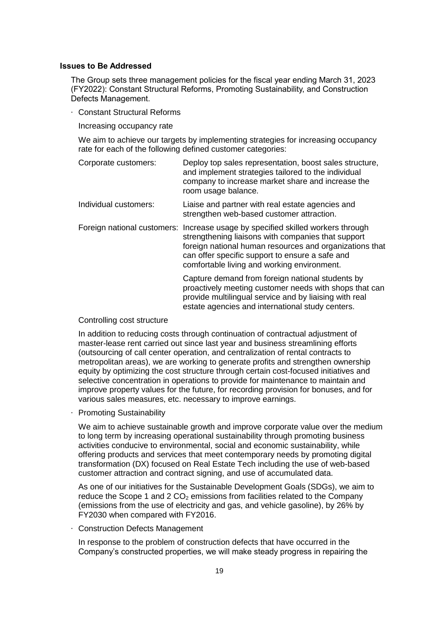### **Issues to Be Addressed**

The Group sets three management policies for the fiscal year ending March 31, 2023 (FY2022): Constant Structural Reforms, Promoting Sustainability, and Construction Defects Management.

· Constant Structural Reforms

Increasing occupancy rate

We aim to achieve our targets by implementing strategies for increasing occupancy rate for each of the following defined customer categories:

| Corporate customers:  | Deploy top sales representation, boost sales structure,<br>and implement strategies tailored to the individual<br>company to increase market share and increase the<br>room usage balance.                                                                                                         |
|-----------------------|----------------------------------------------------------------------------------------------------------------------------------------------------------------------------------------------------------------------------------------------------------------------------------------------------|
| Individual customers: | Liaise and partner with real estate agencies and<br>strengthen web-based customer attraction.                                                                                                                                                                                                      |
|                       | Foreign national customers: Increase usage by specified skilled workers through<br>strengthening liaisons with companies that support<br>foreign national human resources and organizations that<br>can offer specific support to ensure a safe and<br>comfortable living and working environment. |
|                       | Capture demand from foreign national students by<br>proactively meeting customer needs with shops that can<br>provide multilingual service and by liaising with real<br>estate agencies and international study centers.                                                                           |

#### Controlling cost structure

In addition to reducing costs through continuation of contractual adjustment of master-lease rent carried out since last year and business streamlining efforts (outsourcing of call center operation, and centralization of rental contracts to metropolitan areas), we are working to generate profits and strengthen ownership equity by optimizing the cost structure through certain cost-focused initiatives and selective concentration in operations to provide for maintenance to maintain and improve property values for the future, for recording provision for bonuses, and for various sales measures, etc. necessary to improve earnings.

**Promoting Sustainability** 

We aim to achieve sustainable growth and improve corporate value over the medium to long term by increasing operational sustainability through promoting business activities conducive to environmental, social and economic sustainability, while offering products and services that meet contemporary needs by promoting digital transformation (DX) focused on Real Estate Tech including the use of web-based customer attraction and contract signing, and use of accumulated data.

As one of our initiatives for the Sustainable Development Goals (SDGs), we aim to reduce the Scope 1 and 2  $CO<sub>2</sub>$  emissions from facilities related to the Company (emissions from the use of electricity and gas, and vehicle gasoline), by 26% by FY2030 when compared with FY2016.

· Construction Defects Management

In response to the problem of construction defects that have occurred in the Company's constructed properties, we will make steady progress in repairing the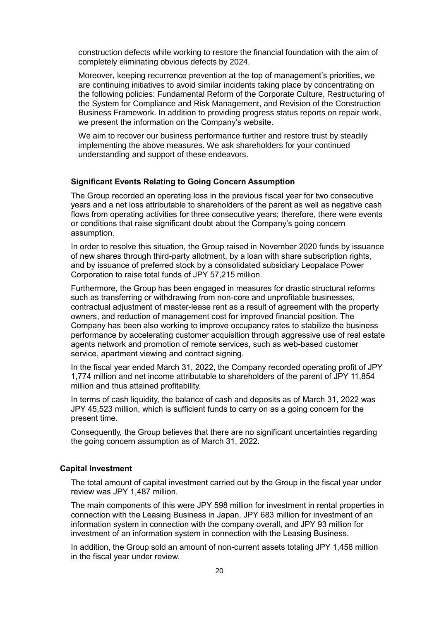construction defects while working to restore the financial foundation with the aim of completely eliminating obvious defects by 2024.

Moreover, keeping recurrence prevention at the top of management's priorities, we are continuing initiatives to avoid similar incidents taking place by concentrating on the following policies: Fundamental Reform of the Corporate Culture, Restructuring of the System for Compliance and Risk Management, and Revision of the Construction Business Framework. In addition to providing progress status reports on repair work, we present the information on the Company's website.

We aim to recover our business performance further and restore trust by steadily implementing the above measures. We ask shareholders for your continued understanding and support of these endeavors.

#### **Significant Events Relating to Going Concern Assumption**

The Group recorded an operating loss in the previous fiscal year for two consecutive years and a net loss attributable to shareholders of the parent as well as negative cash flows from operating activities for three consecutive years; therefore, there were events or conditions that raise significant doubt about the Company's going concern assumption.

In order to resolve this situation, the Group raised in November 2020 funds by issuance of new shares through third-party allotment, by a loan with share subscription rights, and by issuance of preferred stock by a consolidated subsidiary Leopalace Power Corporation to raise total funds of JPY 57,215 million.

Furthermore, the Group has been engaged in measures for drastic structural reforms such as transferring or withdrawing from non-core and unprofitable businesses, contractual adjustment of master-lease rent as a result of agreement with the property owners, and reduction of management cost for improved financial position. The Company has been also working to improve occupancy rates to stabilize the business performance by accelerating customer acquisition through aggressive use of real estate agents network and promotion of remote services, such as web-based customer service, apartment viewing and contract signing.

In the fiscal year ended March 31, 2022, the Company recorded operating profit of JPY 1,774 million and net income attributable to shareholders of the parent of JPY 11,854 million and thus attained profitability.

In terms of cash liquidity, the balance of cash and deposits as of March 31, 2022 was JPY 45,523 million, which is sufficient funds to carry on as a going concern for the present time.

Consequently, the Group believes that there are no significant uncertainties regarding the going concern assumption as of March 31, 2022.

### **Capital Investment**

The total amount of capital investment carried out by the Group in the fiscal year under review was JPY 1,487 million.

The main components of this were JPY 598 million for investment in rental properties in connection with the Leasing Business in Japan, JPY 683 million for investment of an information system in connection with the company overall, and JPY 93 million for investment of an information system in connection with the Leasing Business.

In addition, the Group sold an amount of non-current assets totaling JPY 1,458 million in the fiscal year under review.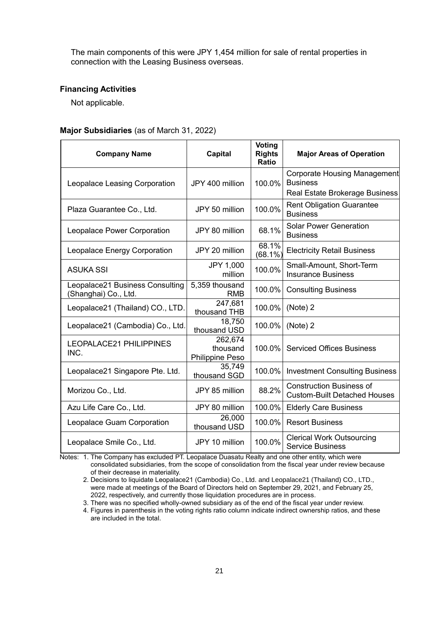The main components of this were JPY 1,454 million for sale of rental properties in connection with the Leasing Business overseas.

### **Financing Activities**

Not applicable.

### **Major Subsidiaries** (as of March 31, 2022)

| <b>Company Name</b>                                     | <b>Capital</b>                         | Voting<br><b>Rights</b><br><b>Ratio</b> | <b>Major Areas of Operation</b>                                                          |
|---------------------------------------------------------|----------------------------------------|-----------------------------------------|------------------------------------------------------------------------------------------|
| Leopalace Leasing Corporation                           | JPY 400 million                        | 100.0%                                  | <b>Corporate Housing Management</b><br><b>Business</b><br>Real Estate Brokerage Business |
| Plaza Guarantee Co., Ltd.                               | JPY 50 million                         | 100.0%                                  | <b>Rent Obligation Guarantee</b><br><b>Business</b>                                      |
| Leopalace Power Corporation                             | JPY 80 million                         | 68.1%                                   | <b>Solar Power Generation</b><br><b>Business</b>                                         |
| Leopalace Energy Corporation                            | JPY 20 million                         | 68.1%<br>$(68.1\%)$                     | <b>Electricity Retail Business</b>                                                       |
| <b>ASUKA SSI</b>                                        | JPY 1,000<br>million                   | 100.0%                                  | Small-Amount, Short-Term<br><b>Insurance Business</b>                                    |
| Leopalace21 Business Consulting<br>(Shanghai) Co., Ltd. | 5,359 thousand<br><b>RMB</b>           | 100.0%                                  | <b>Consulting Business</b>                                                               |
| Leopalace21 (Thailand) CO., LTD.                        | 247,681<br>thousand THB                | 100.0%                                  | (Note) 2                                                                                 |
| Leopalace21 (Cambodia) Co., Ltd.                        | 18,750<br>thousand USD                 | 100.0%                                  | (Note) 2                                                                                 |
| LEOPALACE21 PHILIPPINES<br>INC.                         | 262,674<br>thousand<br>Philippine Peso | 100.0%                                  | <b>Serviced Offices Business</b>                                                         |
| Leopalace21 Singapore Pte. Ltd.                         | 35,749<br>thousand SGD                 | 100.0%                                  | <b>Investment Consulting Business</b>                                                    |
| Morizou Co., Ltd.                                       | JPY 85 million                         | 88.2%                                   | <b>Construction Business of</b><br><b>Custom-Built Detached Houses</b>                   |
| Azu Life Care Co., Ltd.                                 | JPY 80 million                         | 100.0%                                  | <b>Elderly Care Business</b>                                                             |
| Leopalace Guam Corporation                              | 26,000<br>thousand USD                 | 100.0%                                  | <b>Resort Business</b>                                                                   |
| Leopalace Smile Co., Ltd.                               | JPY 10 million                         | 100.0%                                  | <b>Clerical Work Outsourcing</b><br><b>Service Business</b>                              |

Notes: 1. The Company has excluded PT. Leopalace Duasatu Realty and one other entity, which were consolidated subsidiaries, from the scope of consolidation from the fiscal year under review because of their decrease in materiality.

2. Decisions to liquidate Leopalace21 (Cambodia) Co., Ltd. and Leopalace21 (Thailand) CO., LTD., were made at meetings of the Board of Directors held on September 29, 2021, and February 25, 2022, respectively, and currently those liquidation procedures are in process.

3. There was no specified wholly-owned subsidiary as of the end of the fiscal year under review.

4. Figures in parenthesis in the voting rights ratio column indicate indirect ownership ratios, and these are included in the total.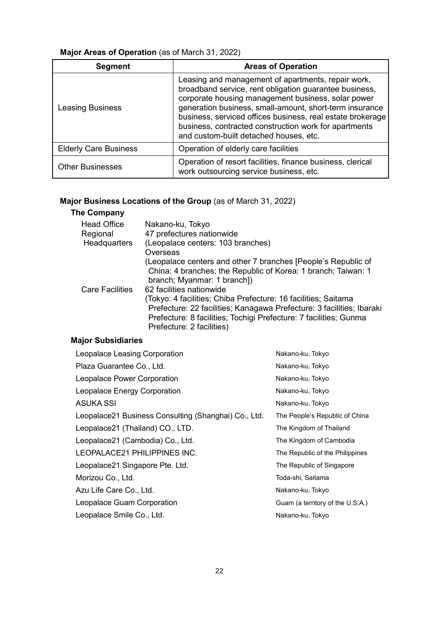# **Major Areas of Operation** (as of March 31, 2022)

| <b>Segment</b>               | <b>Areas of Operation</b>                                                                                                                                                                                                                                                                                                                                                                      |
|------------------------------|------------------------------------------------------------------------------------------------------------------------------------------------------------------------------------------------------------------------------------------------------------------------------------------------------------------------------------------------------------------------------------------------|
| <b>Leasing Business</b>      | Leasing and management of apartments, repair work,<br>broadband service, rent obligation guarantee business,<br>corporate housing management business, solar power<br>generation business, small-amount, short-term insurance<br>business, serviced offices business, real estate brokerage<br>business, contracted construction work for apartments<br>and custom-built detached houses, etc. |
| <b>Elderly Care Business</b> | Operation of elderly care facilities                                                                                                                                                                                                                                                                                                                                                           |
| <b>Other Businesses</b>      | Operation of resort facilities, finance business, clerical<br>work outsourcing service business, etc.                                                                                                                                                                                                                                                                                          |

# **Major Business Locations of the Group** (as of March 31, 2022)

# **The Company**

| <b>Head Office</b>     | Nakano-ku, Tokyo                                                      |
|------------------------|-----------------------------------------------------------------------|
| Regional               | 47 prefectures nationwide                                             |
| Headquarters           | (Leopalace centers: 103 branches)                                     |
|                        | Overseas                                                              |
|                        | (Leopalace centers and other 7 branches [People's Republic of         |
|                        | China: 4 branches; the Republic of Korea: 1 branch; Taiwan: 1         |
|                        | branch; Myanmar: 1 branch])                                           |
| <b>Care Facilities</b> | 62 facilities nationwide                                              |
|                        | (Tokyo: 4 facilities; Chiba Prefecture: 16 facilities; Saitama        |
|                        | Prefecture: 22 facilities; Kanagawa Prefecture: 3 facilities; Ibaraki |
|                        | Prefecture: 8 facilities; Tochigi Prefecture: 7 facilities; Gunma     |
|                        | Prefecture: 2 facilities)                                             |

# **Major Subsidiaries**

| Leopalace Leasing Corporation                        | Nakano-ku, Tokyo                 |  |
|------------------------------------------------------|----------------------------------|--|
| Plaza Guarantee Co., Ltd.                            | Nakano-ku, Tokyo                 |  |
| Leopalace Power Corporation                          | Nakano-ku, Tokyo                 |  |
| Leopalace Energy Corporation                         | Nakano-ku, Tokyo                 |  |
| ASUKA SSI                                            | Nakano-ku, Tokyo                 |  |
| Leopalace21 Business Consulting (Shanghai) Co., Ltd. | The People's Republic of China   |  |
| Leopalace21 (Thailand) CO., LTD.                     | The Kingdom of Thailand          |  |
| Leopalace21 (Cambodia) Co., Ltd.                     | The Kingdom of Cambodia          |  |
| LEOPALACE21 PHILIPPINES INC.                         | The Republic of the Philippines  |  |
| Leopalace21 Singapore Pte. Ltd.                      | The Republic of Singapore        |  |
| Morizou Co., Ltd.                                    | Toda-shi, Saitama                |  |
| Azu Life Care Co., Ltd.                              | Nakano-ku, Tokyo                 |  |
| Leopalace Guam Corporation                           | Guam (a territory of the U.S.A.) |  |
| Leopalace Smile Co., Ltd.                            | Nakano-ku, Tokyo                 |  |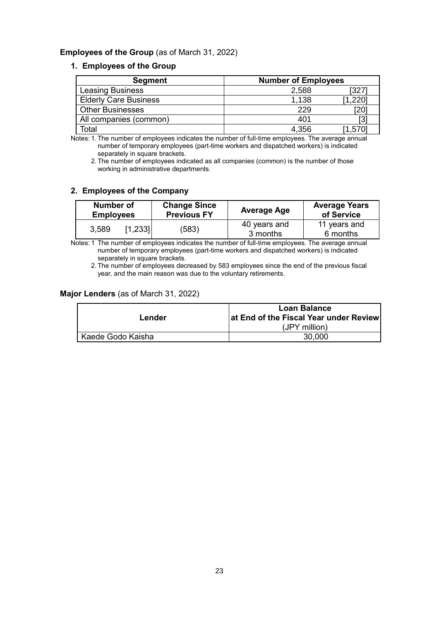## **Employees of the Group** (as of March 31, 2022)

### **1. Employees of the Group**

| <b>Segment</b>               | <b>Number of Employees</b> |      |  |
|------------------------------|----------------------------|------|--|
| <b>Leasing Business</b>      | 2,588                      | 327  |  |
| <b>Elderly Care Business</b> | 1,138                      | .220 |  |
| <b>Other Businesses</b>      | 229                        | 20   |  |
| All companies (common)       | 401                        | ГЗ   |  |
| Total                        | 4.356                      | .570 |  |

Notes: 1. The number of employees indicates the number of full-time employees. The average annual number of temporary employees (part-time workers and dispatched workers) is indicated separately in square brackets.

2. The number of employees indicated as all companies (common) is the number of those working in administrative departments.

## **2. Employees of the Company**

| Number of<br><b>Employees</b> |         | <b>Change Since</b><br><b>Previous FY</b> | <b>Average Age</b>       | <b>Average Years</b><br>of Service |
|-------------------------------|---------|-------------------------------------------|--------------------------|------------------------------------|
| 3,589                         | [1,233] | (583)                                     | 40 years and<br>3 months | 11 years and<br>6 months           |

Notes: 1 The number of employees indicates the number of full-time employees. The average annual number of temporary employees (part-time workers and dispatched workers) is indicated separately in square brackets.

2. The number of employees decreased by 583 employees since the end of the previous fiscal year, and the main reason was due to the voluntary retirements.

## **Major Lenders** (as of March 31, 2022)

|                   | Loan Balance                           |  |  |
|-------------------|----------------------------------------|--|--|
| Lender            | at End of the Fiscal Year under Review |  |  |
|                   | (JPY million)                          |  |  |
| Kaede Godo Kaisha | 30,000                                 |  |  |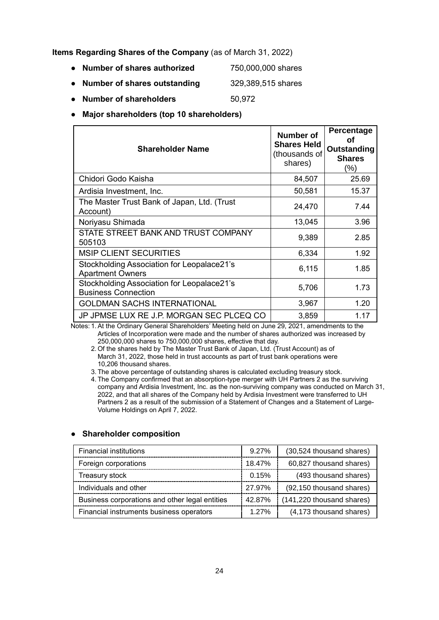**Items Regarding Shares of the Company** (as of March 31, 2022)

- **● Number of shares authorized** 750,000,000 shares
- **● Number of shares outstanding** 329,389,515 shares
- **Number of shareholders** 50,972
- **● Major shareholders (top 10 shareholders)**

| <b>Shareholder Name</b>                                                  | Number of<br><b>Shares Held</b><br>(thousands of<br>shares) | Percentage<br>оf<br>Outstanding<br><b>Shares</b><br>(%) |
|--------------------------------------------------------------------------|-------------------------------------------------------------|---------------------------------------------------------|
| Chidori Godo Kaisha                                                      | 84,507                                                      | 25.69                                                   |
| Ardisia Investment, Inc.                                                 | 50,581                                                      | 15.37                                                   |
| The Master Trust Bank of Japan, Ltd. (Trust<br>Account)                  | 24,470                                                      | 7.44                                                    |
| Noriyasu Shimada                                                         | 13,045                                                      | 3.96                                                    |
| STATE STREET BANK AND TRUST COMPANY<br>505103                            | 9,389                                                       | 2.85                                                    |
| <b>MSIP CLIENT SECURITIES</b>                                            | 6,334                                                       | 1.92                                                    |
| Stockholding Association for Leopalace21's<br><b>Apartment Owners</b>    | 6,115                                                       | 1.85                                                    |
| Stockholding Association for Leopalace21's<br><b>Business Connection</b> | 5,706                                                       | 1.73                                                    |
| <b>GOLDMAN SACHS INTERNATIONAL</b>                                       | 3,967                                                       | 1.20                                                    |
| JP JPMSE LUX RE J.P. MORGAN SEC PLCEQ CO                                 | 3,859                                                       | 1.17                                                    |

Notes: 1.At the Ordinary General Shareholders' Meeting held on June 29, 2021, amendments to the Articles of Incorporation were made and the number of shares authorized was increased by 250,000,000 shares to 750,000,000 shares, effective that day.

2. Of the shares held by The Master Trust Bank of Japan, Ltd. (Trust Account) as of March 31, 2022, those held in trust accounts as part of trust bank operations were 10,206 thousand shares.

3. The above percentage of outstanding shares is calculated excluding treasury stock.

4. The Company confirmed that an absorption-type merger with UH Partners 2 as the surviving company and Ardisia Investment, Inc. as the non-surviving company was conducted on March 31, 2022, and that all shares of the Company held by Ardisia Investment were transferred to UH Partners 2 as a result of the submission of a Statement of Changes and a Statement of Large-Volume Holdings on April 7, 2022.

# Financial institutions example and the setting of the setting of the setting of the setting of the setting of the setting of the setting of the setting of the setting of the setting of the setting of the setting of the set Foreign corporations 18.47% 60,827 thousand shares) Treasury stock **COV COVERS** (493 thousand shares) **COVERS** (493 thousand shares) Individuals and other 27.97% (92,150 thousand shares) Business corporations and other legal entities 42.87% (141,220 thousand shares) Financial instruments business operators  $\begin{array}{|c|c|c|c|c|c|} \hline 1.27\% & (4,173 \text{ thousand shares}) \hline \end{array}$

### **● Shareholder composition**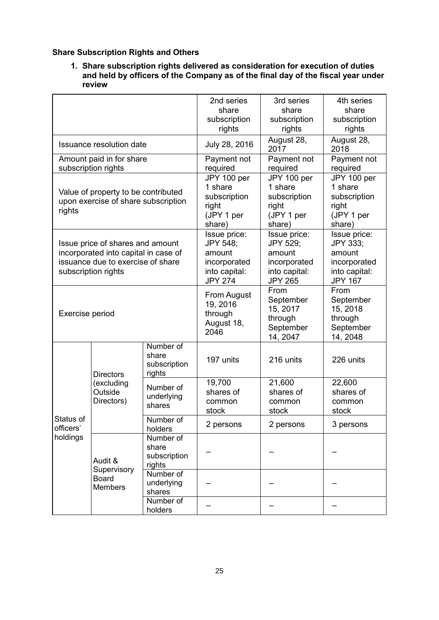# **Share Subscription Rights and Others**

**1. Share subscription rights delivered as consideration for execution of duties and held by officers of the Company as of the final day of the fiscal year under review**

|                                                                                                                                      |                                                          | 2nd series<br>share<br>subscription<br>rights                                         | 3rd series<br>share<br>subscription<br>rights                                         | 4th series<br>share<br>subscription<br>rights                                         |                                        |
|--------------------------------------------------------------------------------------------------------------------------------------|----------------------------------------------------------|---------------------------------------------------------------------------------------|---------------------------------------------------------------------------------------|---------------------------------------------------------------------------------------|----------------------------------------|
|                                                                                                                                      | Issuance resolution date                                 |                                                                                       | July 28, 2016                                                                         | August 28,<br>2017                                                                    | August 28,<br>2018                     |
|                                                                                                                                      | Amount paid in for share<br>subscription rights          |                                                                                       | Payment not<br>required                                                               | Payment not<br>required                                                               | Payment not<br>required                |
| Value of property to be contributed<br>upon exercise of share subscription<br>rights                                                 |                                                          | JPY 100 per<br>1 share<br>subscription<br>right<br>(JPY 1 per<br>share)               | JPY 100 per<br>1 share<br>subscription<br>right<br>(JPY 1 per<br>share)               | JPY 100 per<br>1 share<br>subscription<br>right<br>(JPY 1 per<br>share)               |                                        |
| Issue price of shares and amount<br>incorporated into capital in case of<br>issuance due to exercise of share<br>subscription rights |                                                          | Issue price:<br>JPY 548;<br>amount<br>incorporated<br>into capital:<br><b>JPY 274</b> | Issue price:<br>JPY 529;<br>amount<br>incorporated<br>into capital:<br><b>JPY 265</b> | Issue price:<br>JPY 333;<br>amount<br>incorporated<br>into capital:<br><b>JPY 167</b> |                                        |
| Exercise period                                                                                                                      |                                                          | From August<br>19, 2016<br>through<br>August 18,<br>2046                              | From<br>September<br>15, 2017<br>through<br>September<br>14, 2047                     | From<br>September<br>15, 2018<br>through<br>September<br>14, 2048                     |                                        |
| Status of<br>officers'<br>holdings                                                                                                   | <b>Directors</b><br>(excluding<br>Outside<br>Directors)  | Number of<br>share<br>subscription<br>rights                                          | 197 units                                                                             | 216 units                                                                             | 226 units                              |
|                                                                                                                                      |                                                          | Number of<br>underlying<br>shares                                                     | 19,700<br>shares of<br>common<br>stock                                                | 21,600<br>shares of<br>common<br>stock                                                | 22,600<br>shares of<br>common<br>stock |
|                                                                                                                                      |                                                          | Number of<br>holders                                                                  | 2 persons                                                                             | 2 persons                                                                             | 3 persons                              |
|                                                                                                                                      | Audit &<br>Supervisory<br><b>Board</b><br><b>Members</b> | Number of<br>share<br>subscription<br>rights                                          |                                                                                       |                                                                                       |                                        |
|                                                                                                                                      |                                                          | Number of<br>underlying<br>shares                                                     |                                                                                       |                                                                                       |                                        |
|                                                                                                                                      |                                                          | Number of<br>holders                                                                  |                                                                                       |                                                                                       |                                        |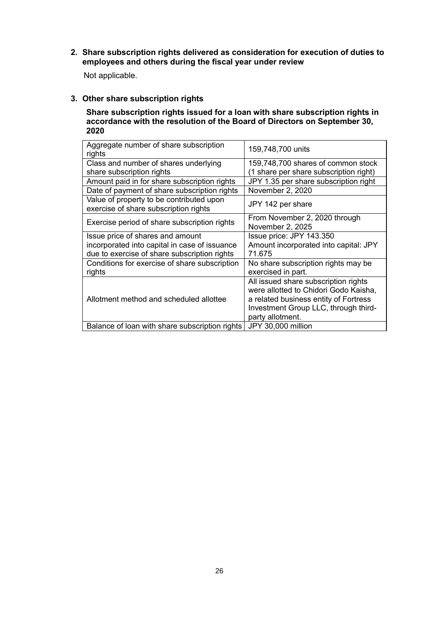**2. Share subscription rights delivered as consideration for execution of duties to employees and others during the fiscal year under review**

Not applicable.

**3. Other share subscription rights**

**Share subscription rights issued for a loan with share subscription rights in accordance with the resolution of the Board of Directors on September 30, 2020**

| Aggregate number of share subscription<br>rights | 159,748,700 units                      |
|--------------------------------------------------|----------------------------------------|
| Class and number of shares underlying            | 159,748,700 shares of common stock     |
| share subscription rights                        | (1 share per share subscription right) |
| Amount paid in for share subscription rights     | JPY 1.35 per share subscription right  |
| Date of payment of share subscription rights     | November 2, 2020                       |
| Value of property to be contributed upon         | JPY 142 per share                      |
| exercise of share subscription rights            |                                        |
| Exercise period of share subscription rights     | From November 2, 2020 through          |
|                                                  | November 2, 2025                       |
| Issue price of shares and amount                 | Issue price: JPY 143.350               |
| incorporated into capital in case of issuance    | Amount incorporated into capital: JPY  |
| due to exercise of share subscription rights     | 71.675                                 |
| Conditions for exercise of share subscription    | No share subscription rights may be    |
| rights                                           | exercised in part.                     |
|                                                  | All issued share subscription rights   |
|                                                  | were allotted to Chidori Godo Kaisha,  |
| Allotment method and scheduled allottee          | a related business entity of Fortress  |
|                                                  | Investment Group LLC, through third-   |
|                                                  | party allotment.                       |
| Balance of loan with share subscription rights   | JPY 30,000 million                     |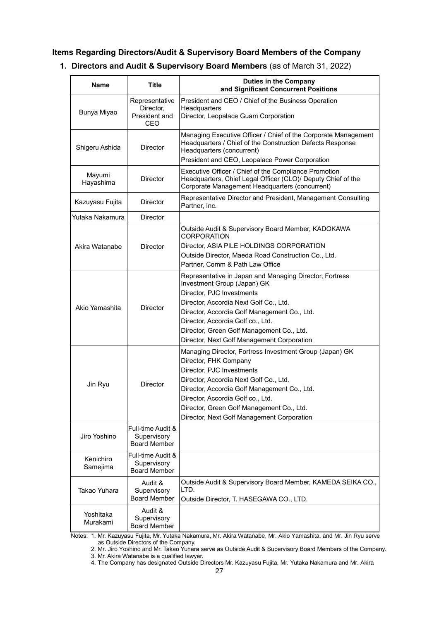### **Items Regarding Directors/Audit & Supervisory Board Members of the Company**

# **1. Directors and Audit & Supervisory Board Members** (as of March 31, 2022)

| <b>Name</b>           | <b>Title</b>                                            | <b>Duties in the Company</b><br>and Significant Concurrent Positions                                                                                                                                                                                                                                                                          |
|-----------------------|---------------------------------------------------------|-----------------------------------------------------------------------------------------------------------------------------------------------------------------------------------------------------------------------------------------------------------------------------------------------------------------------------------------------|
| Bunya Miyao           | Representative<br>Director,<br>President and<br>CEO     | President and CEO / Chief of the Business Operation<br>Headquarters<br>Director, Leopalace Guam Corporation                                                                                                                                                                                                                                   |
| Shigeru Ashida        | Director                                                | Managing Executive Officer / Chief of the Corporate Management<br>Headquarters / Chief of the Construction Defects Response<br>Headquarters (concurrent)<br>President and CEO, Leopalace Power Corporation                                                                                                                                    |
| Mayumi<br>Hayashima   | Director                                                | Executive Officer / Chief of the Compliance Promotion<br>Headquarters, Chief Legal Officer (CLO)/ Deputy Chief of the<br>Corporate Management Headquarters (concurrent)                                                                                                                                                                       |
| Kazuyasu Fujita       | <b>Director</b>                                         | Representative Director and President, Management Consulting<br>Partner, Inc.                                                                                                                                                                                                                                                                 |
| Yutaka Nakamura       | Director                                                |                                                                                                                                                                                                                                                                                                                                               |
| Akira Watanabe        | Director                                                | Outside Audit & Supervisory Board Member, KADOKAWA<br><b>CORPORATION</b><br>Director, ASIA PILE HOLDINGS CORPORATION<br>Outside Director, Maeda Road Construction Co., Ltd.<br>Partner, Comm & Path Law Office                                                                                                                                |
| Akio Yamashita        | Director                                                | Representative in Japan and Managing Director, Fortress<br>Investment Group (Japan) GK<br>Director, PJC Investments<br>Director, Accordia Next Golf Co., Ltd.<br>Director, Accordia Golf Management Co., Ltd.<br>Director, Accordia Golf co., Ltd.<br>Director, Green Golf Management Co., Ltd.<br>Director, Next Golf Management Corporation |
| Jin Ryu               | Director                                                | Managing Director, Fortress Investment Group (Japan) GK<br>Director, FHK Company<br>Director, PJC Investments<br>Director, Accordia Next Golf Co., Ltd.<br>Director, Accordia Golf Management Co., Ltd.<br>Director, Accordia Golf co., Ltd.<br>Director, Green Golf Management Co., Ltd.<br>Director, Next Golf Management Corporation       |
| Jiro Yoshino          | Full-time Audit &<br>Supervisory<br><b>Board Member</b> |                                                                                                                                                                                                                                                                                                                                               |
| Kenichiro<br>Samejima | Full-time Audit &<br>Supervisory<br><b>Board Member</b> |                                                                                                                                                                                                                                                                                                                                               |
| Takao Yuhara          | Audit &<br>Supervisory<br><b>Board Member</b>           | Outside Audit & Supervisory Board Member, KAMEDA SEIKA CO.,<br>LTD.<br>Outside Director, T. HASEGAWA CO., LTD.                                                                                                                                                                                                                                |
| Yoshitaka<br>Murakami | Audit &<br>Supervisory<br><b>Board Member</b>           |                                                                                                                                                                                                                                                                                                                                               |

Notes: 1. Mr. Kazuyasu Fujita, Mr. Yutaka Nakamura, Mr. Akira Watanabe, Mr. Akio Yamashita, and Mr. Jin Ryu serve as Outside Directors of the Company.

2. Mr. Jiro Yoshino and Mr. Takao Yuhara serve as Outside Audit & Supervisory Board Members of the Company. 3. Mr. Akira Watanabe is a qualified lawyer.

4. The Company has designated Outside Directors Mr. Kazuyasu Fujita, Mr. Yutaka Nakamura and Mr. Akira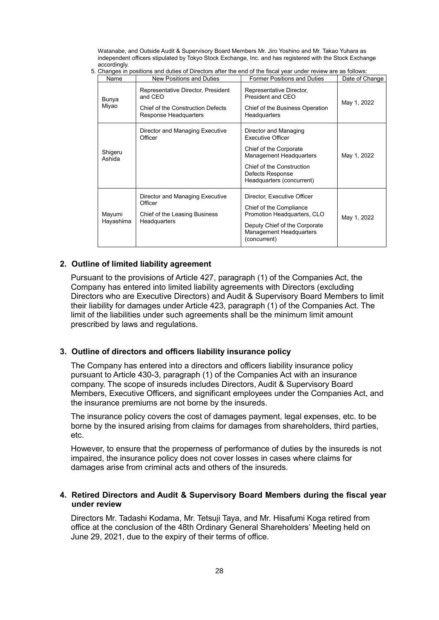Watanabe, and Outside Audit & Supervisory Board Members Mr. Jiro Yoshino and Mr. Takao Yuhara as independent officers stipulated by Tokyo Stock Exchange, Inc. and has registered with the Stock Exchange accordingly.

|  |  | 5. Changes in positions and duties of Directors after the end of the fiscal vear under review are as follows: |
|--|--|---------------------------------------------------------------------------------------------------------------|

| Name                | Gridinges in positions and duties of Directors after the end of the nocal year under review are as follows.<br>New Positions and Duties | <b>Former Positions and Duties</b>                                                                                                                                                   | Date of Change |
|---------------------|-----------------------------------------------------------------------------------------------------------------------------------------|--------------------------------------------------------------------------------------------------------------------------------------------------------------------------------------|----------------|
| Bunya<br>Miyao      | Representative Director, President<br>and CEO<br>Chief of the Construction Defects<br>Response Headquarters                             | Representative Director,<br>President and CEO<br>Chief of the Business Operation<br>Headquarters                                                                                     | May 1, 2022    |
| Shigeru<br>Ashida   | Director and Managing Executive<br>Officer                                                                                              | Director and Managing<br>Executive Officer<br>Chief of the Corporate<br><b>Management Headquarters</b><br>Chief of the Construction<br>Defects Response<br>Headquarters (concurrent) | May 1, 2022    |
| Mayumi<br>Hayashima | Director and Managing Executive<br>Officer<br>Chief of the Leasing Business<br>Headquarters                                             | Director, Executive Officer<br>Chief of the Compliance<br>Promotion Headquarters, CLO<br>Deputy Chief of the Corporate<br><b>Management Headquarters</b><br>(concurrent)             | May 1, 2022    |

### **2. Outline of limited liability agreement**

Pursuant to the provisions of Article 427, paragraph (1) of the Companies Act, the Company has entered into limited liability agreements with Directors (excluding Directors who are Executive Directors) and Audit & Supervisory Board Members to limit their liability for damages under Article 423, paragraph (1) of the Companies Act. The limit of the liabilities under such agreements shall be the minimum limit amount prescribed by laws and regulations.

### **3. Outline of directors and officers liability insurance policy**

The Company has entered into a directors and officers liability insurance policy pursuant to Article 430-3, paragraph (1) of the Companies Act with an insurance company. The scope of insureds includes Directors, Audit & Supervisory Board Members, Executive Officers, and significant employees under the Companies Act, and the insurance premiums are not borne by the insureds.

The insurance policy covers the cost of damages payment, legal expenses, etc. to be borne by the insured arising from claims for damages from shareholders, third parties, etc.

However, to ensure that the properness of performance of duties by the insureds is not impaired, the insurance policy does not cover losses in cases where claims for damages arise from criminal acts and others of the insureds.

### **4. Retired Directors and Audit & Supervisory Board Members during the fiscal year under review**

Directors Mr. Tadashi Kodama, Mr. Tetsuji Taya, and Mr. Hisafumi Koga retired from office at the conclusion of the 48th Ordinary General Shareholders' Meeting held on June 29, 2021, due to the expiry of their terms of office.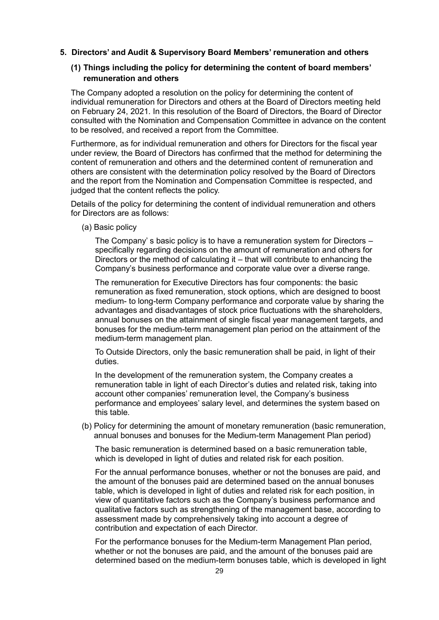**5. Directors' and Audit & Supervisory Board Members' remuneration and others**

# **(1) Things including the policy for determining the content of board members' remuneration and others**

The Company adopted a resolution on the policy for determining the content of individual remuneration for Directors and others at the Board of Directors meeting held on February 24, 2021. In this resolution of the Board of Directors, the Board of Director consulted with the Nomination and Compensation Committee in advance on the content to be resolved, and received a report from the Committee.

Furthermore, as for individual remuneration and others for Directors for the fiscal year under review, the Board of Directors has confirmed that the method for determining the content of remuneration and others and the determined content of remuneration and others are consistent with the determination policy resolved by the Board of Directors and the report from the Nomination and Compensation Committee is respected, and judged that the content reflects the policy.

Details of the policy for determining the content of individual remuneration and others for Directors are as follows:

(a) Basic policy

The Company' s basic policy is to have a remuneration system for Directors – specifically regarding decisions on the amount of remuneration and others for Directors or the method of calculating it – that will contribute to enhancing the Company's business performance and corporate value over a diverse range.

The remuneration for Executive Directors has four components: the basic remuneration as fixed remuneration, stock options, which are designed to boost medium- to long-term Company performance and corporate value by sharing the advantages and disadvantages of stock price fluctuations with the shareholders, annual bonuses on the attainment of single fiscal year management targets, and bonuses for the medium-term management plan period on the attainment of the medium-term management plan.

To Outside Directors, only the basic remuneration shall be paid, in light of their duties.

In the development of the remuneration system, the Company creates a remuneration table in light of each Director's duties and related risk, taking into account other companies' remuneration level, the Company's business performance and employees' salary level, and determines the system based on this table.

(b) Policy for determining the amount of monetary remuneration (basic remuneration, annual bonuses and bonuses for the Medium-term Management Plan period)

The basic remuneration is determined based on a basic remuneration table, which is developed in light of duties and related risk for each position.

For the annual performance bonuses, whether or not the bonuses are paid, and the amount of the bonuses paid are determined based on the annual bonuses table, which is developed in light of duties and related risk for each position, in view of quantitative factors such as the Company's business performance and qualitative factors such as strengthening of the management base, according to assessment made by comprehensively taking into account a degree of contribution and expectation of each Director.

For the performance bonuses for the Medium-term Management Plan period, whether or not the bonuses are paid, and the amount of the bonuses paid are determined based on the medium-term bonuses table, which is developed in light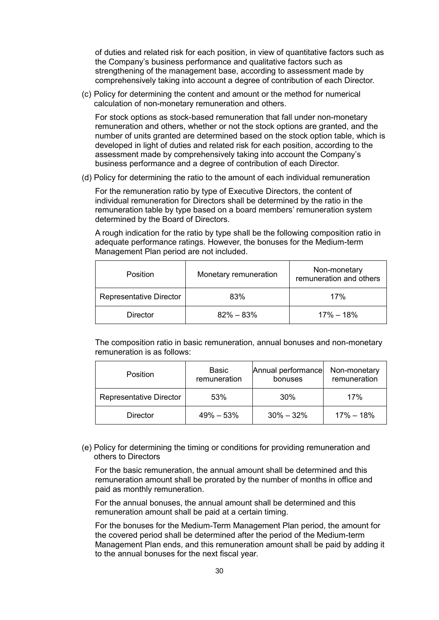of duties and related risk for each position, in view of quantitative factors such as the Company's business performance and qualitative factors such as strengthening of the management base, according to assessment made by comprehensively taking into account a degree of contribution of each Director.

(c) Policy for determining the content and amount or the method for numerical calculation of non-monetary remuneration and others.

For stock options as stock-based remuneration that fall under non-monetary remuneration and others, whether or not the stock options are granted, and the number of units granted are determined based on the stock option table, which is developed in light of duties and related risk for each position, according to the assessment made by comprehensively taking into account the Company's business performance and a degree of contribution of each Director.

(d) Policy for determining the ratio to the amount of each individual remuneration

For the remuneration ratio by type of Executive Directors, the content of individual remuneration for Directors shall be determined by the ratio in the remuneration table by type based on a board members' remuneration system determined by the Board of Directors.

A rough indication for the ratio by type shall be the following composition ratio in adequate performance ratings. However, the bonuses for the Medium-term Management Plan period are not included.

| <b>Position</b>                | Monetary remuneration | Non-monetary<br>remuneration and others |  |
|--------------------------------|-----------------------|-----------------------------------------|--|
| <b>Representative Director</b> | 83%                   | 17%                                     |  |
| <b>Director</b>                | $82\% - 83\%$         | $17\% - 18\%$                           |  |

The composition ratio in basic remuneration, annual bonuses and non-monetary remuneration is as follows:

| <b>Position</b>                | Basic<br>remuneration | Annual performance<br>bonuses | Non-monetary<br>remuneration |
|--------------------------------|-----------------------|-------------------------------|------------------------------|
| <b>Representative Director</b> | 53%<br>30%            |                               | 17%                          |
| <b>Director</b>                | $49\% - 53\%$         | $30\% - 32\%$                 | $17\% - 18\%$                |

(e) Policy for determining the timing or conditions for providing remuneration and others to Directors

For the basic remuneration, the annual amount shall be determined and this remuneration amount shall be prorated by the number of months in office and paid as monthly remuneration.

For the annual bonuses, the annual amount shall be determined and this remuneration amount shall be paid at a certain timing.

For the bonuses for the Medium-Term Management Plan period, the amount for the covered period shall be determined after the period of the Medium-term Management Plan ends, and this remuneration amount shall be paid by adding it to the annual bonuses for the next fiscal year.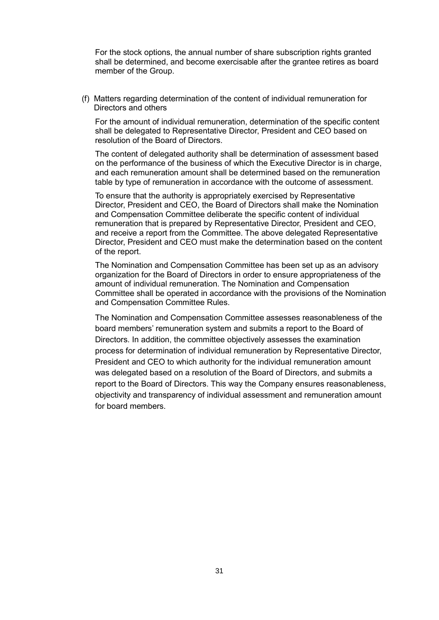For the stock options, the annual number of share subscription rights granted shall be determined, and become exercisable after the grantee retires as board member of the Group.

(f) Matters regarding determination of the content of individual remuneration for Directors and others

For the amount of individual remuneration, determination of the specific content shall be delegated to Representative Director, President and CEO based on resolution of the Board of Directors.

The content of delegated authority shall be determination of assessment based on the performance of the business of which the Executive Director is in charge, and each remuneration amount shall be determined based on the remuneration table by type of remuneration in accordance with the outcome of assessment.

To ensure that the authority is appropriately exercised by Representative Director, President and CEO, the Board of Directors shall make the Nomination and Compensation Committee deliberate the specific content of individual remuneration that is prepared by Representative Director, President and CEO, and receive a report from the Committee. The above delegated Representative Director, President and CEO must make the determination based on the content of the report.

The Nomination and Compensation Committee has been set up as an advisory organization for the Board of Directors in order to ensure appropriateness of the amount of individual remuneration. The Nomination and Compensation Committee shall be operated in accordance with the provisions of the Nomination and Compensation Committee Rules.

The Nomination and Compensation Committee assesses reasonableness of the board members' remuneration system and submits a report to the Board of Directors. In addition, the committee objectively assesses the examination process for determination of individual remuneration by Representative Director, President and CEO to which authority for the individual remuneration amount was delegated based on a resolution of the Board of Directors, and submits a report to the Board of Directors. This way the Company ensures reasonableness, objectivity and transparency of individual assessment and remuneration amount for board members.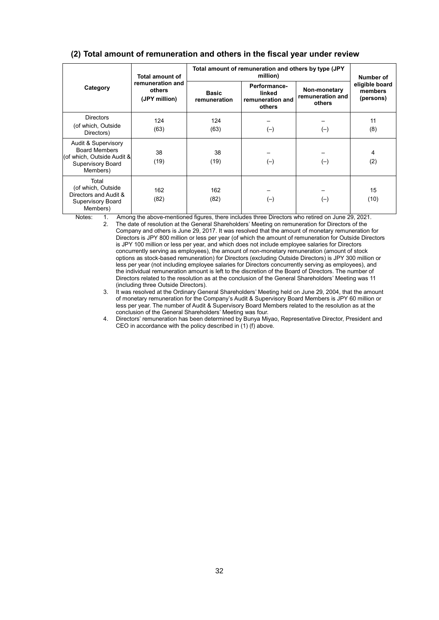|                                                                                                                   | <b>Total amount of</b>                      | Total amount of remuneration and others by type (JPY | Number of                                            |                                            |                                        |  |
|-------------------------------------------------------------------------------------------------------------------|---------------------------------------------|------------------------------------------------------|------------------------------------------------------|--------------------------------------------|----------------------------------------|--|
| Category                                                                                                          | remuneration and<br>others<br>(JPY million) | <b>Basic</b><br>remuneration                         | Performance-<br>linked<br>remuneration and<br>others | Non-monetary<br>remuneration and<br>others | eligible board<br>members<br>(persons) |  |
| <b>Directors</b><br>(of which, Outside<br>Directors)                                                              | 124<br>(63)                                 | 124<br>(63)                                          | $(-)$                                                | $(-)$                                      | 11<br>(8)                              |  |
| Audit & Supervisory<br><b>Board Members</b><br>(of which, Outside Audit &<br><b>Supervisory Board</b><br>Members) | 38<br>(19)                                  | 38<br>(19)                                           | $(-)$                                                | $(-)$                                      | 4<br>(2)                               |  |
| Total<br>(of which, Outside<br>Directors and Audit &<br><b>Supervisory Board</b><br>Members)                      | 162<br>(82)                                 | 162<br>(82)                                          | $(-)$                                                | $(-)$                                      | 15<br>(10)                             |  |

### **(2) Total amount of remuneration and others in the fiscal year under review**

Notes: 1. Among the above-mentioned figures, there includes three Directors who retired on June 29, 2021.

2. The date of resolution at the General Shareholders' Meeting on remuneration for Directors of the Company and others is June 29, 2017. It was resolved that the amount of monetary remuneration for Directors is JPY 800 million or less per year (of which the amount of remuneration for Outside Directors is JPY 100 million or less per year, and which does not include employee salaries for Directors concurrently serving as employees), the amount of non-monetary remuneration (amount of stock options as stock-based remuneration) for Directors (excluding Outside Directors) is JPY 300 million or less per year (not including employee salaries for Directors concurrently serving as employees), and the individual remuneration amount is left to the discretion of the Board of Directors. The number of Directors related to the resolution as at the conclusion of the General Shareholders' Meeting was 11 (including three Outside Directors).

3. It was resolved at the Ordinary General Shareholders' Meeting held on June 29, 2004, that the amount of monetary remuneration for the Company's Audit & Supervisory Board Members is JPY 60 million or less per year. The number of Audit & Supervisory Board Members related to the resolution as at the conclusion of the General Shareholders' Meeting was four.

4. Directors' remuneration has been determined by Bunya Miyao, Representative Director, President and CEO in accordance with the policy described in (1) (f) above.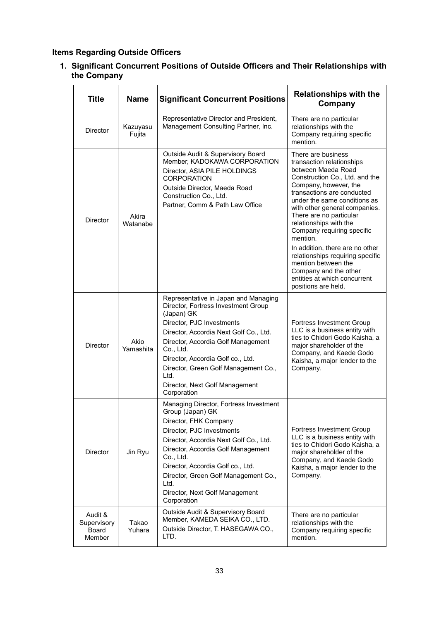# **Items Regarding Outside Officers**

**1. Significant Concurrent Positions of Outside Officers and Their Relationships with the Company**

| <b>Title</b>                              | <b>Name</b><br><b>Significant Concurrent Positions</b> |                                                                                                                                                                                                                                                                                                                                                           | <b>Relationships with the</b><br>Company                                                                                                                                                                                                                                                                                                                                                                                     |
|-------------------------------------------|--------------------------------------------------------|-----------------------------------------------------------------------------------------------------------------------------------------------------------------------------------------------------------------------------------------------------------------------------------------------------------------------------------------------------------|------------------------------------------------------------------------------------------------------------------------------------------------------------------------------------------------------------------------------------------------------------------------------------------------------------------------------------------------------------------------------------------------------------------------------|
| <b>Director</b>                           | Kazuyasu<br>Fujita                                     | Representative Director and President,<br>Management Consulting Partner, Inc.                                                                                                                                                                                                                                                                             | There are no particular<br>relationships with the<br>Company requiring specific<br>mention.                                                                                                                                                                                                                                                                                                                                  |
| Akira<br><b>Director</b><br>Watanabe      |                                                        | Outside Audit & Supervisory Board<br>Member, KADOKAWA CORPORATION<br>Director, ASIA PILE HOLDINGS<br><b>CORPORATION</b><br>Outside Director, Maeda Road<br>Construction Co., Ltd.<br>Partner, Comm & Path Law Office                                                                                                                                      | There are business<br>transaction relationships<br>between Maeda Road<br>Construction Co., Ltd. and the<br>Company, however, the<br>transactions are conducted<br>under the same conditions as<br>with other general companies.<br>There are no particular<br>relationships with the<br>Company requiring specific<br>mention.<br>In addition, there are no other<br>relationships requiring specific<br>mention between the |
|                                           |                                                        |                                                                                                                                                                                                                                                                                                                                                           | Company and the other<br>entities at which concurrent<br>positions are held.                                                                                                                                                                                                                                                                                                                                                 |
| Akio<br>Director<br>Yamashita             |                                                        | Representative in Japan and Managing<br>Director, Fortress Investment Group<br>(Japan) GK<br>Director, PJC Investments<br>Director, Accordia Next Golf Co., Ltd.<br>Director, Accordia Golf Management<br>Co., Ltd.<br>Director, Accordia Golf co., Ltd.<br>Director, Green Golf Management Co.,<br>Ltd.<br>Director, Next Golf Management<br>Corporation | <b>Fortress Investment Group</b><br>LLC is a business entity with<br>ties to Chidori Godo Kaisha, a<br>major shareholder of the<br>Company, and Kaede Godo<br>Kaisha, a major lender to the<br>Company.                                                                                                                                                                                                                      |
| Director                                  | Jin Ryu                                                | Managing Director, Fortress Investment<br>Group (Japan) GK<br>Director, FHK Company<br>Director, PJC Investments<br>Director, Accordia Next Golf Co., Ltd.<br>Director, Accordia Golf Management<br>Co., Ltd.<br>Director, Accordia Golf co., Ltd.<br>Director, Green Golf Management Co.,<br>Ltd.<br>Director, Next Golf Management<br>Corporation       | Fortress Investment Group<br>LLC is a business entity with<br>ties to Chidori Godo Kaisha, a<br>major shareholder of the<br>Company, and Kaede Godo<br>Kaisha, a major lender to the<br>Company.                                                                                                                                                                                                                             |
| Audit &<br>Supervisory<br>Board<br>Member | Takao<br>Yuhara                                        | Outside Audit & Supervisory Board<br>Member, KAMEDA SEIKA CO., LTD.<br>Outside Director, T. HASEGAWA CO.,<br>LTD.                                                                                                                                                                                                                                         | There are no particular<br>relationships with the<br>Company requiring specific<br>mention.                                                                                                                                                                                                                                                                                                                                  |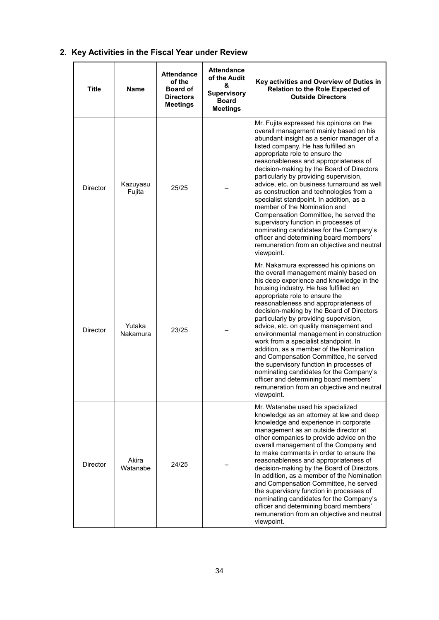# **2. Key Activities in the Fiscal Year under Review**

| <b>Title</b>    | Name               | <b>Attendance</b><br>of the<br><b>Board of</b><br><b>Directors</b><br><b>Meetings</b> | <b>Attendance</b><br>of the Audit<br>&<br><b>Supervisory</b><br><b>Board</b><br><b>Meetings</b> | Key activities and Overview of Duties in<br><b>Relation to the Role Expected of</b><br><b>Outside Directors</b>                                                                                                                                                                                                                                                                                                                                                                                                                                                                                                                                                                                                                                         |
|-----------------|--------------------|---------------------------------------------------------------------------------------|-------------------------------------------------------------------------------------------------|---------------------------------------------------------------------------------------------------------------------------------------------------------------------------------------------------------------------------------------------------------------------------------------------------------------------------------------------------------------------------------------------------------------------------------------------------------------------------------------------------------------------------------------------------------------------------------------------------------------------------------------------------------------------------------------------------------------------------------------------------------|
| <b>Director</b> | Kazuyasu<br>Fujita | 25/25                                                                                 |                                                                                                 | Mr. Fujita expressed his opinions on the<br>overall management mainly based on his<br>abundant insight as a senior manager of a<br>listed company. He has fulfilled an<br>appropriate role to ensure the<br>reasonableness and appropriateness of<br>decision-making by the Board of Directors<br>particularly by providing supervision,<br>advice, etc. on business turnaround as well<br>as construction and technologies from a<br>specialist standpoint. In addition, as a<br>member of the Nomination and<br>Compensation Committee, he served the<br>supervisory function in processes of<br>nominating candidates for the Company's<br>officer and determining board members'<br>remuneration from an objective and neutral<br>viewpoint.        |
| <b>Director</b> | Yutaka<br>Nakamura | 23/25                                                                                 |                                                                                                 | Mr. Nakamura expressed his opinions on<br>the overall management mainly based on<br>his deep experience and knowledge in the<br>housing industry. He has fulfilled an<br>appropriate role to ensure the<br>reasonableness and appropriateness of<br>decision-making by the Board of Directors<br>particularly by providing supervision,<br>advice, etc. on quality management and<br>environmental management in construction<br>work from a specialist standpoint. In<br>addition, as a member of the Nomination<br>and Compensation Committee, he served<br>the supervisory function in processes of<br>nominating candidates for the Company's<br>officer and determining board members'<br>remuneration from an objective and neutral<br>viewpoint. |
| <b>Director</b> | Akira<br>Watanabe  | 24/25                                                                                 |                                                                                                 | Mr. Watanabe used his specialized<br>knowledge as an attorney at law and deep<br>knowledge and experience in corporate<br>management as an outside director at<br>other companies to provide advice on the<br>overall management of the Company and<br>to make comments in order to ensure the<br>reasonableness and appropriateness of<br>decision-making by the Board of Directors.<br>In addition, as a member of the Nomination<br>and Compensation Committee, he served<br>the supervisory function in processes of<br>nominating candidates for the Company's<br>officer and determining board members'<br>remuneration from an objective and neutral<br>viewpoint.                                                                               |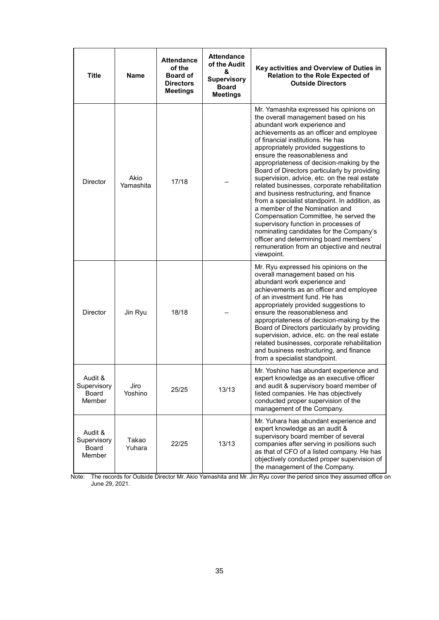| Title                                            | <b>Name</b>       | <b>Attendance</b><br>of the<br><b>Board of</b><br><b>Directors</b><br><b>Meetings</b> | <b>Attendance</b><br>of the Audit<br>&<br><b>Supervisory</b><br><b>Board</b><br><b>Meetings</b> | Key activities and Overview of Duties in<br><b>Relation to the Role Expected of</b><br><b>Outside Directors</b>                                                                                                                                                                                                                                                                                                                                                                                                                                                                                                                                                                                                                                                                                                                       |
|--------------------------------------------------|-------------------|---------------------------------------------------------------------------------------|-------------------------------------------------------------------------------------------------|---------------------------------------------------------------------------------------------------------------------------------------------------------------------------------------------------------------------------------------------------------------------------------------------------------------------------------------------------------------------------------------------------------------------------------------------------------------------------------------------------------------------------------------------------------------------------------------------------------------------------------------------------------------------------------------------------------------------------------------------------------------------------------------------------------------------------------------|
| Director                                         | Akio<br>Yamashita | 17/18                                                                                 |                                                                                                 | Mr. Yamashita expressed his opinions on<br>the overall management based on his<br>abundant work experience and<br>achievements as an officer and employee<br>of financial institutions. He has<br>appropriately provided suggestions to<br>ensure the reasonableness and<br>appropriateness of decision-making by the<br>Board of Directors particularly by providing<br>supervision, advice, etc. on the real estate<br>related businesses, corporate rehabilitation<br>and business restructuring, and finance<br>from a specialist standpoint. In addition, as<br>a member of the Nomination and<br>Compensation Committee, he served the<br>supervisory function in processes of<br>nominating candidates for the Company's<br>officer and determining board members'<br>remuneration from an objective and neutral<br>viewpoint. |
| Director                                         | Jin Ryu           | 18/18                                                                                 |                                                                                                 | Mr. Ryu expressed his opinions on the<br>overall management based on his<br>abundant work experience and<br>achievements as an officer and employee<br>of an investment fund. He has<br>appropriately provided suggestions to<br>ensure the reasonableness and<br>appropriateness of decision-making by the<br>Board of Directors particularly by providing<br>supervision, advice, etc. on the real estate<br>related businesses, corporate rehabilitation<br>and business restructuring, and finance<br>from a specialist standpoint.                                                                                                                                                                                                                                                                                               |
| Audit &<br>Supervisory<br><b>Board</b><br>Member | Jiro<br>Yoshino   | 25/25                                                                                 | 13/13                                                                                           | Mr. Yoshino has abundant experience and<br>expert knowledge as an executive officer<br>and audit & supervisory board member of<br>listed companies. He has objectively<br>conducted proper supervision of the<br>management of the Company.                                                                                                                                                                                                                                                                                                                                                                                                                                                                                                                                                                                           |
| Audit &<br>Supervisory<br>Board<br>Member        | Takao<br>Yuhara   | 22/25                                                                                 | 13/13                                                                                           | Mr. Yuhara has abundant experience and<br>expert knowledge as an audit &<br>supervisory board member of several<br>companies after serving in positions such<br>as that of CFO of a listed company. He has<br>objectively conducted proper supervision of<br>the management of the Company.                                                                                                                                                                                                                                                                                                                                                                                                                                                                                                                                           |

Note: The records for Outside Director Mr. Akio Yamashita and Mr. Jin Ryu cover the period since they assumed office on June 29, 2021.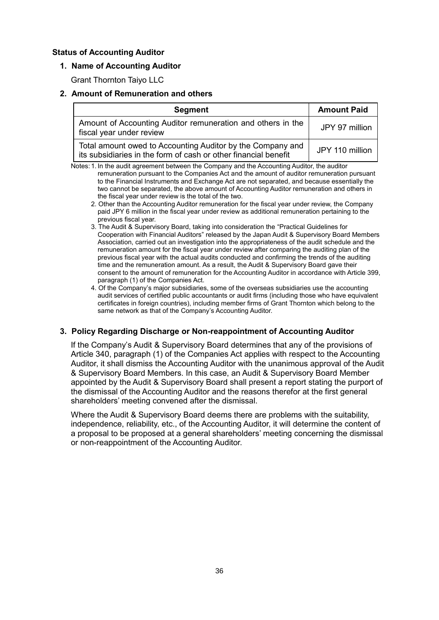## **Status of Accounting Auditor**

## **1. Name of Accounting Auditor**

Grant Thornton Taiyo LLC

# **2. Amount of Remuneration and others**

| <b>Segment</b>                                                                                                                | <b>Amount Paid</b> |
|-------------------------------------------------------------------------------------------------------------------------------|--------------------|
| Amount of Accounting Auditor remuneration and others in the<br>fiscal year under review                                       | JPY 97 million     |
| Total amount owed to Accounting Auditor by the Company and<br>its subsidiaries in the form of cash or other financial benefit | JPY 110 million    |

Notes:1. In the audit agreement between the Company and the Accounting Auditor, the auditor remuneration pursuant to the Companies Act and the amount of auditor remuneration pursuant to the Financial Instruments and Exchange Act are not separated, and because essentially the two cannot be separated, the above amount of Accounting Auditor remuneration and others in the fiscal year under review is the total of the two.

- 2. Other than the Accounting Auditor remuneration for the fiscal year under review, the Company paid JPY 6 million in the fiscal year under review as additional remuneration pertaining to the previous fiscal year.
- 3. The Audit & Supervisory Board, taking into consideration the "Practical Guidelines for Cooperation with Financial Auditors" released by the Japan Audit & Supervisory Board Members Association, carried out an investigation into the appropriateness of the audit schedule and the remuneration amount for the fiscal year under review after comparing the auditing plan of the previous fiscal year with the actual audits conducted and confirming the trends of the auditing time and the remuneration amount. As a result, the Audit & Supervisory Board gave their consent to the amount of remuneration for the Accounting Auditor in accordance with Article 399, paragraph (1) of the Companies Act.
- 4. Of the Company's major subsidiaries, some of the overseas subsidiaries use the accounting audit services of certified public accountants or audit firms (including those who have equivalent certificates in foreign countries), including member firms of Grant Thornton which belong to the same network as that of the Company's Accounting Auditor.

# **3. Policy Regarding Discharge or Non-reappointment of Accounting Auditor**

If the Company's Audit & Supervisory Board determines that any of the provisions of Article 340, paragraph (1) of the Companies Act applies with respect to the Accounting Auditor, it shall dismiss the Accounting Auditor with the unanimous approval of the Audit & Supervisory Board Members. In this case, an Audit & Supervisory Board Member appointed by the Audit & Supervisory Board shall present a report stating the purport of the dismissal of the Accounting Auditor and the reasons therefor at the first general shareholders' meeting convened after the dismissal.

Where the Audit & Supervisory Board deems there are problems with the suitability, independence, reliability, etc., of the Accounting Auditor, it will determine the content of a proposal to be proposed at a general shareholders' meeting concerning the dismissal or non-reappointment of the Accounting Auditor.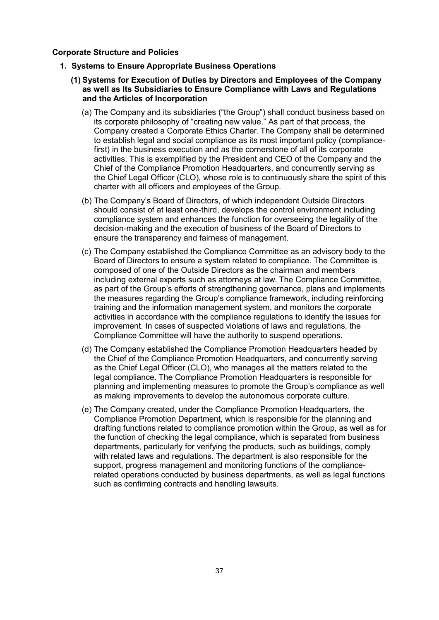### **Corporate Structure and Policies**

- **1. Systems to Ensure Appropriate Business Operations**
	- **(1) Systems for Execution of Duties by Directors and Employees of the Company as well as Its Subsidiaries to Ensure Compliance with Laws and Regulations and the Articles of Incorporation**
		- (a) The Company and its subsidiaries ("the Group") shall conduct business based on its corporate philosophy of "creating new value." As part of that process, the Company created a Corporate Ethics Charter. The Company shall be determined to establish legal and social compliance as its most important policy (compliancefirst) in the business execution and as the cornerstone of all of its corporate activities. This is exemplified by the President and CEO of the Company and the Chief of the Compliance Promotion Headquarters, and concurrently serving as the Chief Legal Officer (CLO), whose role is to continuously share the spirit of this charter with all officers and employees of the Group.
		- (b) The Company's Board of Directors, of which independent Outside Directors should consist of at least one-third, develops the control environment including compliance system and enhances the function for overseeing the legality of the decision-making and the execution of business of the Board of Directors to ensure the transparency and fairness of management.
		- (c) The Company established the Compliance Committee as an advisory body to the Board of Directors to ensure a system related to compliance. The Committee is composed of one of the Outside Directors as the chairman and members including external experts such as attorneys at law. The Compliance Committee, as part of the Group's efforts of strengthening governance, plans and implements the measures regarding the Group's compliance framework, including reinforcing training and the information management system, and monitors the corporate activities in accordance with the compliance regulations to identify the issues for improvement. In cases of suspected violations of laws and regulations, the Compliance Committee will have the authority to suspend operations.
		- (d) The Company established the Compliance Promotion Headquarters headed by the Chief of the Compliance Promotion Headquarters, and concurrently serving as the Chief Legal Officer (CLO), who manages all the matters related to the legal compliance. The Compliance Promotion Headquarters is responsible for planning and implementing measures to promote the Group's compliance as well as making improvements to develop the autonomous corporate culture.
		- (e) The Company created, under the Compliance Promotion Headquarters, the Compliance Promotion Department, which is responsible for the planning and drafting functions related to compliance promotion within the Group, as well as for the function of checking the legal compliance, which is separated from business departments, particularly for verifying the products, such as buildings, comply with related laws and regulations. The department is also responsible for the support, progress management and monitoring functions of the compliancerelated operations conducted by business departments, as well as legal functions such as confirming contracts and handling lawsuits.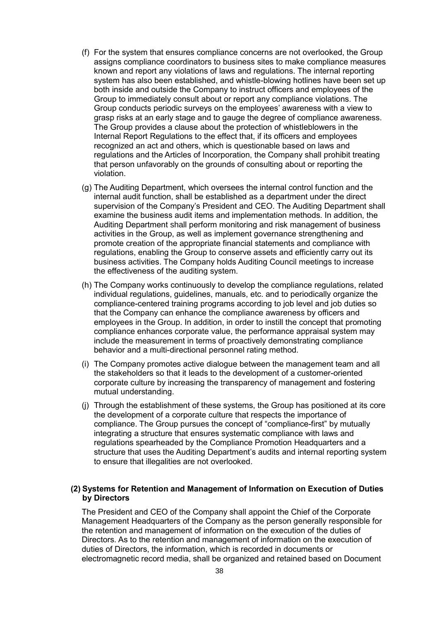- (f) For the system that ensures compliance concerns are not overlooked, the Group assigns compliance coordinators to business sites to make compliance measures known and report any violations of laws and regulations. The internal reporting system has also been established, and whistle-blowing hotlines have been set up both inside and outside the Company to instruct officers and employees of the Group to immediately consult about or report any compliance violations. The Group conducts periodic surveys on the employees' awareness with a view to grasp risks at an early stage and to gauge the degree of compliance awareness. The Group provides a clause about the protection of whistleblowers in the Internal Report Regulations to the effect that, if its officers and employees recognized an act and others, which is questionable based on laws and regulations and the Articles of Incorporation, the Company shall prohibit treating that person unfavorably on the grounds of consulting about or reporting the violation.
- (g) The Auditing Department, which oversees the internal control function and the internal audit function, shall be established as a department under the direct supervision of the Company's President and CEO. The Auditing Department shall examine the business audit items and implementation methods. In addition, the Auditing Department shall perform monitoring and risk management of business activities in the Group, as well as implement governance strengthening and promote creation of the appropriate financial statements and compliance with regulations, enabling the Group to conserve assets and efficiently carry out its business activities. The Company holds Auditing Council meetings to increase the effectiveness of the auditing system.
- (h) The Company works continuously to develop the compliance regulations, related individual regulations, guidelines, manuals, etc. and to periodically organize the compliance-centered training programs according to job level and job duties so that the Company can enhance the compliance awareness by officers and employees in the Group. In addition, in order to instill the concept that promoting compliance enhances corporate value, the performance appraisal system may include the measurement in terms of proactively demonstrating compliance behavior and a multi-directional personnel rating method.
- (i) The Company promotes active dialogue between the management team and all the stakeholders so that it leads to the development of a customer-oriented corporate culture by increasing the transparency of management and fostering mutual understanding.
- (j) Through the establishment of these systems, the Group has positioned at its core the development of a corporate culture that respects the importance of compliance. The Group pursues the concept of "compliance-first" by mutually integrating a structure that ensures systematic compliance with laws and regulations spearheaded by the Compliance Promotion Headquarters and a structure that uses the Auditing Department's audits and internal reporting system to ensure that illegalities are not overlooked.

# **(2) Systems for Retention and Management of Information on Execution of Duties by Directors**

The President and CEO of the Company shall appoint the Chief of the Corporate Management Headquarters of the Company as the person generally responsible for the retention and management of information on the execution of the duties of Directors. As to the retention and management of information on the execution of duties of Directors, the information, which is recorded in documents or electromagnetic record media, shall be organized and retained based on Document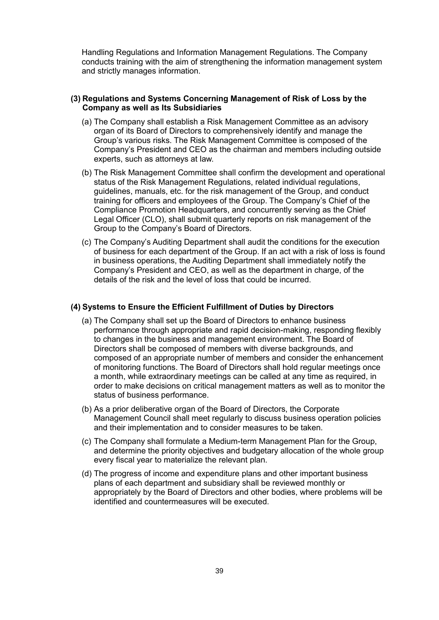Handling Regulations and Information Management Regulations. The Company conducts training with the aim of strengthening the information management system and strictly manages information.

### **(3) Regulations and Systems Concerning Management of Risk of Loss by the Company as well as Its Subsidiaries**

- (a) The Company shall establish a Risk Management Committee as an advisory organ of its Board of Directors to comprehensively identify and manage the Group's various risks. The Risk Management Committee is composed of the Company's President and CEO as the chairman and members including outside experts, such as attorneys at law.
- (b) The Risk Management Committee shall confirm the development and operational status of the Risk Management Regulations, related individual regulations, guidelines, manuals, etc. for the risk management of the Group, and conduct training for officers and employees of the Group. The Company's Chief of the Compliance Promotion Headquarters, and concurrently serving as the Chief Legal Officer (CLO), shall submit quarterly reports on risk management of the Group to the Company's Board of Directors.
- (c) The Company's Auditing Department shall audit the conditions for the execution of business for each department of the Group. If an act with a risk of loss is found in business operations, the Auditing Department shall immediately notify the Company's President and CEO, as well as the department in charge, of the details of the risk and the level of loss that could be incurred.

#### **(4) Systems to Ensure the Efficient Fulfillment of Duties by Directors**

- (a) The Company shall set up the Board of Directors to enhance business performance through appropriate and rapid decision-making, responding flexibly to changes in the business and management environment. The Board of Directors shall be composed of members with diverse backgrounds, and composed of an appropriate number of members and consider the enhancement of monitoring functions. The Board of Directors shall hold regular meetings once a month, while extraordinary meetings can be called at any time as required, in order to make decisions on critical management matters as well as to monitor the status of business performance.
- (b) As a prior deliberative organ of the Board of Directors, the Corporate Management Council shall meet regularly to discuss business operation policies and their implementation and to consider measures to be taken.
- (c) The Company shall formulate a Medium-term Management Plan for the Group, and determine the priority objectives and budgetary allocation of the whole group every fiscal year to materialize the relevant plan.
- (d) The progress of income and expenditure plans and other important business plans of each department and subsidiary shall be reviewed monthly or appropriately by the Board of Directors and other bodies, where problems will be identified and countermeasures will be executed.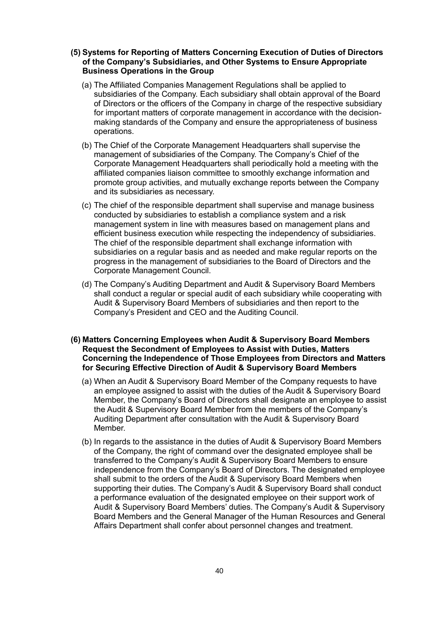- **(5) Systems for Reporting of Matters Concerning Execution of Duties of Directors of the Company's Subsidiaries, and Other Systems to Ensure Appropriate Business Operations in the Group**
	- (a) The Affiliated Companies Management Regulations shall be applied to subsidiaries of the Company. Each subsidiary shall obtain approval of the Board of Directors or the officers of the Company in charge of the respective subsidiary for important matters of corporate management in accordance with the decisionmaking standards of the Company and ensure the appropriateness of business operations.
	- (b) The Chief of the Corporate Management Headquarters shall supervise the management of subsidiaries of the Company. The Company's Chief of the Corporate Management Headquarters shall periodically hold a meeting with the affiliated companies liaison committee to smoothly exchange information and promote group activities, and mutually exchange reports between the Company and its subsidiaries as necessary.
	- (c) The chief of the responsible department shall supervise and manage business conducted by subsidiaries to establish a compliance system and a risk management system in line with measures based on management plans and efficient business execution while respecting the independency of subsidiaries. The chief of the responsible department shall exchange information with subsidiaries on a regular basis and as needed and make regular reports on the progress in the management of subsidiaries to the Board of Directors and the Corporate Management Council.
	- (d) The Company's Auditing Department and Audit & Supervisory Board Members shall conduct a regular or special audit of each subsidiary while cooperating with Audit & Supervisory Board Members of subsidiaries and then report to the Company's President and CEO and the Auditing Council.
- **(6) Matters Concerning Employees when Audit & Supervisory Board Members Request the Secondment of Employees to Assist with Duties, Matters Concerning the Independence of Those Employees from Directors and Matters for Securing Effective Direction of Audit & Supervisory Board Members**
	- (a) When an Audit & Supervisory Board Member of the Company requests to have an employee assigned to assist with the duties of the Audit & Supervisory Board Member, the Company's Board of Directors shall designate an employee to assist the Audit & Supervisory Board Member from the members of the Company's Auditing Department after consultation with the Audit & Supervisory Board Member.
	- (b) In regards to the assistance in the duties of Audit & Supervisory Board Members of the Company, the right of command over the designated employee shall be transferred to the Company's Audit & Supervisory Board Members to ensure independence from the Company's Board of Directors. The designated employee shall submit to the orders of the Audit & Supervisory Board Members when supporting their duties. The Company's Audit & Supervisory Board shall conduct a performance evaluation of the designated employee on their support work of Audit & Supervisory Board Members' duties. The Company's Audit & Supervisory Board Members and the General Manager of the Human Resources and General Affairs Department shall confer about personnel changes and treatment.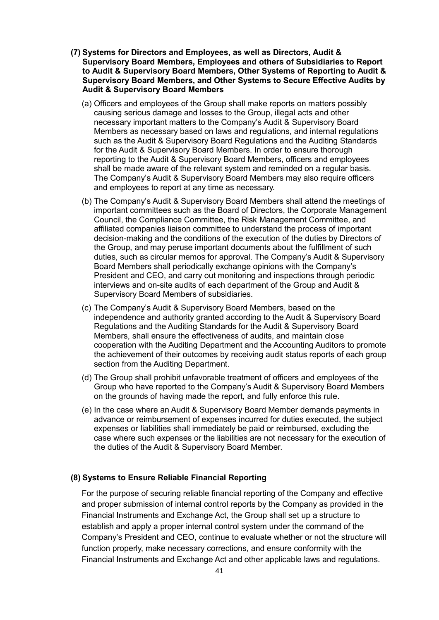- **(7) Systems for Directors and Employees, as well as Directors, Audit & Supervisory Board Members, Employees and others of Subsidiaries to Report to Audit & Supervisory Board Members, Other Systems of Reporting to Audit & Supervisory Board Members, and Other Systems to Secure Effective Audits by Audit & Supervisory Board Members**
	- (a) Officers and employees of the Group shall make reports on matters possibly causing serious damage and losses to the Group, illegal acts and other necessary important matters to the Company's Audit & Supervisory Board Members as necessary based on laws and regulations, and internal regulations such as the Audit & Supervisory Board Regulations and the Auditing Standards for the Audit & Supervisory Board Members. In order to ensure thorough reporting to the Audit & Supervisory Board Members, officers and employees shall be made aware of the relevant system and reminded on a regular basis. The Company's Audit & Supervisory Board Members may also require officers and employees to report at any time as necessary.
	- (b) The Company's Audit & Supervisory Board Members shall attend the meetings of important committees such as the Board of Directors, the Corporate Management Council, the Compliance Committee, the Risk Management Committee, and affiliated companies liaison committee to understand the process of important decision-making and the conditions of the execution of the duties by Directors of the Group, and may peruse important documents about the fulfillment of such duties, such as circular memos for approval. The Company's Audit & Supervisory Board Members shall periodically exchange opinions with the Company's President and CEO, and carry out monitoring and inspections through periodic interviews and on-site audits of each department of the Group and Audit & Supervisory Board Members of subsidiaries.
	- (c) The Company's Audit & Supervisory Board Members, based on the independence and authority granted according to the Audit & Supervisory Board Regulations and the Auditing Standards for the Audit & Supervisory Board Members, shall ensure the effectiveness of audits, and maintain close cooperation with the Auditing Department and the Accounting Auditors to promote the achievement of their outcomes by receiving audit status reports of each group section from the Auditing Department.
	- (d) The Group shall prohibit unfavorable treatment of officers and employees of the Group who have reported to the Company's Audit & Supervisory Board Members on the grounds of having made the report, and fully enforce this rule.
	- (e) In the case where an Audit & Supervisory Board Member demands payments in advance or reimbursement of expenses incurred for duties executed, the subject expenses or liabilities shall immediately be paid or reimbursed, excluding the case where such expenses or the liabilities are not necessary for the execution of the duties of the Audit & Supervisory Board Member.

### **(8) Systems to Ensure Reliable Financial Reporting**

For the purpose of securing reliable financial reporting of the Company and effective and proper submission of internal control reports by the Company as provided in the Financial Instruments and Exchange Act, the Group shall set up a structure to establish and apply a proper internal control system under the command of the Company's President and CEO, continue to evaluate whether or not the structure will function properly, make necessary corrections, and ensure conformity with the Financial Instruments and Exchange Act and other applicable laws and regulations.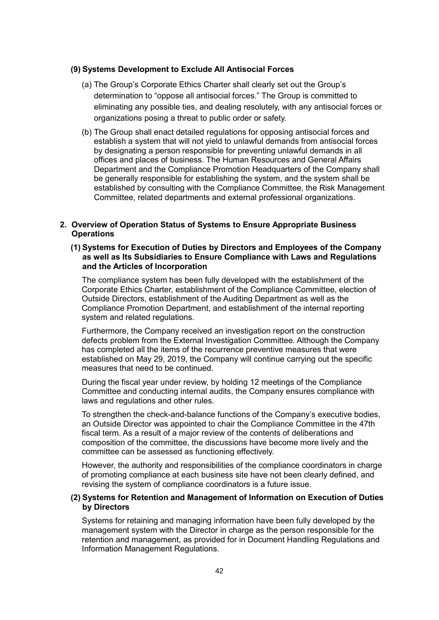#### **(9) Systems Development to Exclude All Antisocial Forces**

- (a) The Group's Corporate Ethics Charter shall clearly set out the Group's determination to "oppose all antisocial forces." The Group is committed to eliminating any possible ties, and dealing resolutely, with any antisocial forces or organizations posing a threat to public order or safety.
- (b) The Group shall enact detailed regulations for opposing antisocial forces and establish a system that will not yield to unlawful demands from antisocial forces by designating a person responsible for preventing unlawful demands in all offices and places of business. The Human Resources and General Affairs Department and the Compliance Promotion Headquarters of the Company shall be generally responsible for establishing the system, and the system shall be established by consulting with the Compliance Committee, the Risk Management Committee, related departments and external professional organizations.

# **2. Overview of Operation Status of Systems to Ensure Appropriate Business Operations**

# **(1) Systems for Execution of Duties by Directors and Employees of the Company as well as Its Subsidiaries to Ensure Compliance with Laws and Regulations and the Articles of Incorporation**

The compliance system has been fully developed with the establishment of the Corporate Ethics Charter, establishment of the Compliance Committee, election of Outside Directors, establishment of the Auditing Department as well as the Compliance Promotion Department, and establishment of the internal reporting system and related regulations.

Furthermore, the Company received an investigation report on the construction defects problem from the External Investigation Committee. Although the Company has completed all the items of the recurrence preventive measures that were established on May 29, 2019, the Company will continue carrying out the specific measures that need to be continued.

During the fiscal year under review, by holding 12 meetings of the Compliance Committee and conducting internal audits, the Company ensures compliance with laws and regulations and other rules.

To strengthen the check-and-balance functions of the Company's executive bodies, an Outside Director was appointed to chair the Compliance Committee in the 47th fiscal term. As a result of a major review of the contents of deliberations and composition of the committee, the discussions have become more lively and the committee can be assessed as functioning effectively.

However, the authority and responsibilities of the compliance coordinators in charge of promoting compliance at each business site have not been clearly defined, and revising the system of compliance coordinators is a future issue.

### **(2) Systems for Retention and Management of Information on Execution of Duties by Directors**

Systems for retaining and managing information have been fully developed by the management system with the Director in charge as the person responsible for the retention and management, as provided for in Document Handling Regulations and Information Management Regulations.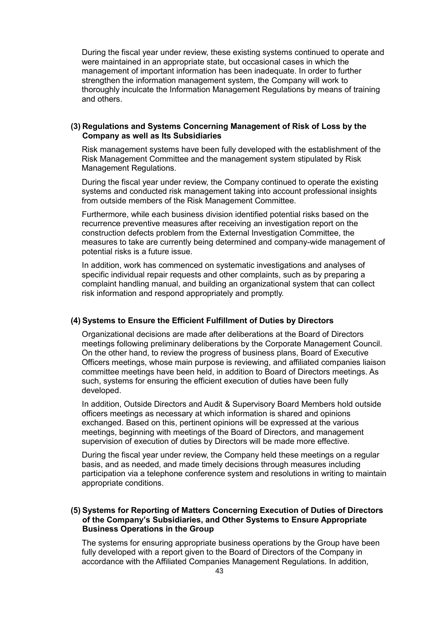During the fiscal year under review, these existing systems continued to operate and were maintained in an appropriate state, but occasional cases in which the management of important information has been inadequate. In order to further strengthen the information management system, the Company will work to thoroughly inculcate the Information Management Regulations by means of training and others.

## **(3) Regulations and Systems Concerning Management of Risk of Loss by the Company as well as Its Subsidiaries**

Risk management systems have been fully developed with the establishment of the Risk Management Committee and the management system stipulated by Risk Management Regulations.

During the fiscal year under review, the Company continued to operate the existing systems and conducted risk management taking into account professional insights from outside members of the Risk Management Committee.

Furthermore, while each business division identified potential risks based on the recurrence preventive measures after receiving an investigation report on the construction defects problem from the External Investigation Committee, the measures to take are currently being determined and company-wide management of potential risks is a future issue.

In addition, work has commenced on systematic investigations and analyses of specific individual repair requests and other complaints, such as by preparing a complaint handling manual, and building an organizational system that can collect risk information and respond appropriately and promptly.

# **(4) Systems to Ensure the Efficient Fulfillment of Duties by Directors**

Organizational decisions are made after deliberations at the Board of Directors meetings following preliminary deliberations by the Corporate Management Council. On the other hand, to review the progress of business plans, Board of Executive Officers meetings, whose main purpose is reviewing, and affiliated companies liaison committee meetings have been held, in addition to Board of Directors meetings. As such, systems for ensuring the efficient execution of duties have been fully developed.

In addition, Outside Directors and Audit & Supervisory Board Members hold outside officers meetings as necessary at which information is shared and opinions exchanged. Based on this, pertinent opinions will be expressed at the various meetings, beginning with meetings of the Board of Directors, and management supervision of execution of duties by Directors will be made more effective.

During the fiscal year under review, the Company held these meetings on a regular basis, and as needed, and made timely decisions through measures including participation via a telephone conference system and resolutions in writing to maintain appropriate conditions.

## **(5) Systems for Reporting of Matters Concerning Execution of Duties of Directors of the Company's Subsidiaries, and Other Systems to Ensure Appropriate Business Operations in the Group**

The systems for ensuring appropriate business operations by the Group have been fully developed with a report given to the Board of Directors of the Company in accordance with the Affiliated Companies Management Regulations. In addition,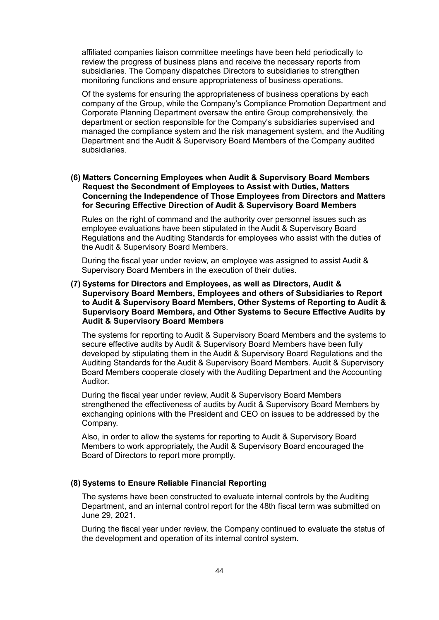affiliated companies liaison committee meetings have been held periodically to review the progress of business plans and receive the necessary reports from subsidiaries. The Company dispatches Directors to subsidiaries to strengthen monitoring functions and ensure appropriateness of business operations.

Of the systems for ensuring the appropriateness of business operations by each company of the Group, while the Company's Compliance Promotion Department and Corporate Planning Department oversaw the entire Group comprehensively, the department or section responsible for the Company's subsidiaries supervised and managed the compliance system and the risk management system, and the Auditing Department and the Audit & Supervisory Board Members of the Company audited subsidiaries.

### **(6) Matters Concerning Employees when Audit & Supervisory Board Members Request the Secondment of Employees to Assist with Duties, Matters Concerning the Independence of Those Employees from Directors and Matters for Securing Effective Direction of Audit & Supervisory Board Members**

Rules on the right of command and the authority over personnel issues such as employee evaluations have been stipulated in the Audit & Supervisory Board Regulations and the Auditing Standards for employees who assist with the duties of the Audit & Supervisory Board Members.

During the fiscal year under review, an employee was assigned to assist Audit & Supervisory Board Members in the execution of their duties.

# **(7) Systems for Directors and Employees, as well as Directors, Audit & Supervisory Board Members, Employees and others of Subsidiaries to Report to Audit & Supervisory Board Members, Other Systems of Reporting to Audit & Supervisory Board Members, and Other Systems to Secure Effective Audits by Audit & Supervisory Board Members**

The systems for reporting to Audit & Supervisory Board Members and the systems to secure effective audits by Audit & Supervisory Board Members have been fully developed by stipulating them in the Audit & Supervisory Board Regulations and the Auditing Standards for the Audit & Supervisory Board Members. Audit & Supervisory Board Members cooperate closely with the Auditing Department and the Accounting Auditor.

During the fiscal year under review, Audit & Supervisory Board Members strengthened the effectiveness of audits by Audit & Supervisory Board Members by exchanging opinions with the President and CEO on issues to be addressed by the Company.

Also, in order to allow the systems for reporting to Audit & Supervisory Board Members to work appropriately, the Audit & Supervisory Board encouraged the Board of Directors to report more promptly.

### **(8) Systems to Ensure Reliable Financial Reporting**

The systems have been constructed to evaluate internal controls by the Auditing Department, and an internal control report for the 48th fiscal term was submitted on June 29, 2021.

During the fiscal year under review, the Company continued to evaluate the status of the development and operation of its internal control system.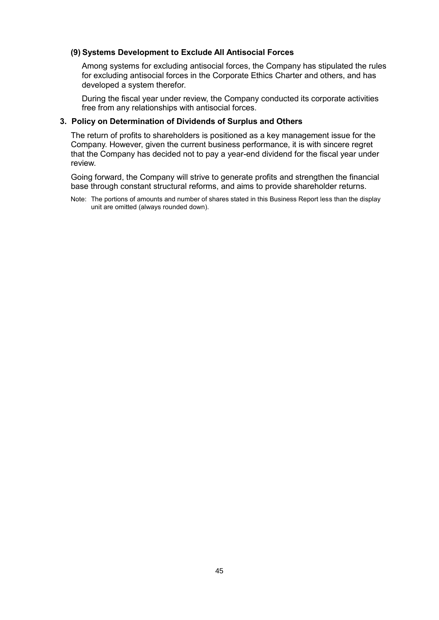# **(9) Systems Development to Exclude All Antisocial Forces**

Among systems for excluding antisocial forces, the Company has stipulated the rules for excluding antisocial forces in the Corporate Ethics Charter and others, and has developed a system therefor.

During the fiscal year under review, the Company conducted its corporate activities free from any relationships with antisocial forces.

# **3. Policy on Determination of Dividends of Surplus and Others**

The return of profits to shareholders is positioned as a key management issue for the Company. However, given the current business performance, it is with sincere regret that the Company has decided not to pay a year-end dividend for the fiscal year under review.

Going forward, the Company will strive to generate profits and strengthen the financial base through constant structural reforms, and aims to provide shareholder returns.

Note: The portions of amounts and number of shares stated in this Business Report less than the display unit are omitted (always rounded down).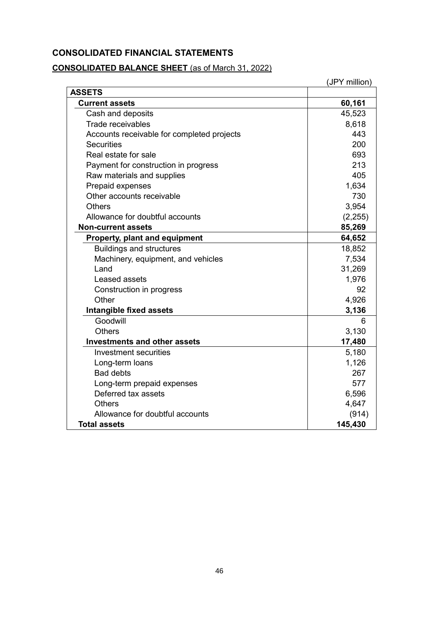# **CONSOLIDATED FINANCIAL STATEMENTS**

# **CONSOLIDATED BALANCE SHEET** (as of March 31, 2022)

|                                            | (JPY million) |
|--------------------------------------------|---------------|
| <b>ASSETS</b>                              |               |
| <b>Current assets</b>                      | 60,161        |
| Cash and deposits                          | 45,523        |
| Trade receivables                          | 8,618         |
| Accounts receivable for completed projects | 443           |
| <b>Securities</b>                          | 200           |
| Real estate for sale                       | 693           |
| Payment for construction in progress       | 213           |
| Raw materials and supplies                 | 405           |
| Prepaid expenses                           | 1,634         |
| Other accounts receivable                  | 730           |
| <b>Others</b>                              | 3,954         |
| Allowance for doubtful accounts            | (2, 255)      |
| <b>Non-current assets</b>                  | 85,269        |
| <b>Property, plant and equipment</b>       | 64,652        |
| <b>Buildings and structures</b>            | 18,852        |
| Machinery, equipment, and vehicles         | 7,534         |
| Land                                       | 31,269        |
| Leased assets                              | 1,976         |
| Construction in progress                   | 92            |
| Other                                      | 4,926         |
| Intangible fixed assets                    | 3,136         |
| Goodwill                                   | 6             |
| <b>Others</b>                              | 3,130         |
| <b>Investments and other assets</b>        | 17,480        |
| <b>Investment securities</b>               | 5,180         |
| Long-term loans                            | 1,126         |
| <b>Bad debts</b>                           | 267           |
| Long-term prepaid expenses                 | 577           |
| Deferred tax assets                        | 6,596         |
| <b>Others</b>                              | 4,647         |
| Allowance for doubtful accounts            | (914)         |
| <b>Total assets</b>                        | 145,430       |

46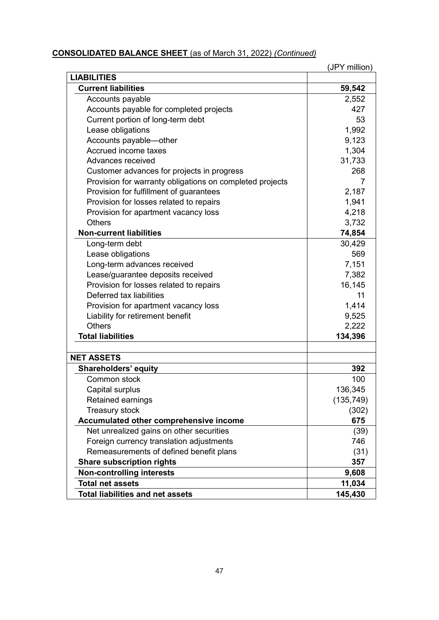# **CONSOLIDATED BALANCE SHEET** (as of March 31, 2022) *(Continued)*

|                                                          | (JPY million) |
|----------------------------------------------------------|---------------|
| <b>LIABILITIES</b>                                       |               |
| <b>Current liabilities</b>                               | 59,542        |
| Accounts payable                                         | 2,552         |
| Accounts payable for completed projects                  | 427           |
| Current portion of long-term debt                        | 53            |
| Lease obligations                                        | 1,992         |
| Accounts payable-other                                   | 9,123         |
| Accrued income taxes                                     | 1,304         |
| Advances received                                        | 31,733        |
| Customer advances for projects in progress               | 268           |
| Provision for warranty obligations on completed projects | 7             |
| Provision for fulfillment of guarantees                  | 2,187         |
| Provision for losses related to repairs                  | 1,941         |
| Provision for apartment vacancy loss                     | 4,218         |
| <b>Others</b>                                            | 3,732         |
| <b>Non-current liabilities</b>                           | 74,854        |
| Long-term debt                                           | 30,429        |
| Lease obligations                                        | 569           |
| Long-term advances received                              | 7,151         |
| Lease/guarantee deposits received                        | 7,382         |
| Provision for losses related to repairs                  | 16,145        |
| Deferred tax liabilities                                 | 11            |
| Provision for apartment vacancy loss                     | 1,414         |
| Liability for retirement benefit                         | 9,525         |
| <b>Others</b>                                            | 2,222         |
| <b>Total liabilities</b>                                 | 134,396       |
|                                                          |               |
| <b>NET ASSETS</b>                                        |               |
| <b>Shareholders' equity</b>                              | 392           |
| Common stock                                             | 100           |
| Capital surplus                                          | 136,345       |
| Retained earnings                                        | (135, 749)    |
| Treasury stock                                           | (302)         |
| Accumulated other comprehensive income                   | 675           |
| Net unrealized gains on other securities                 | (39)          |
| Foreign currency translation adjustments                 | 746           |
| Remeasurements of defined benefit plans                  | (31)          |
| <b>Share subscription rights</b>                         | 357           |
| <b>Non-controlling interests</b>                         | 9,608         |
| <b>Total net assets</b>                                  | 11,034        |
| <b>Total liabilities and net assets</b>                  | 145,430       |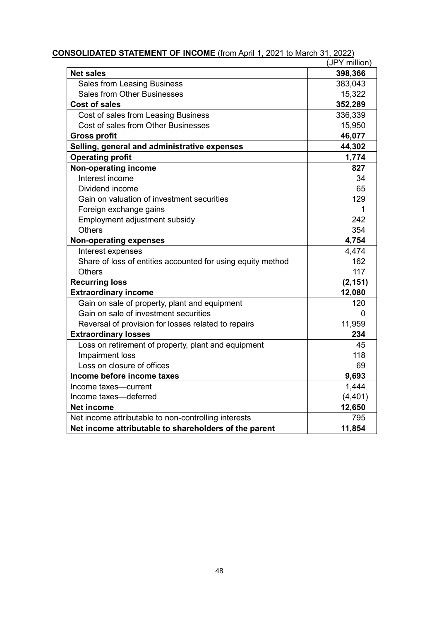| <b>ONSOLIDATED STATEMENT OF INCOME</b> (from April 1, 2021 to March 31, 2022) | (JPY million) |
|-------------------------------------------------------------------------------|---------------|
| <b>Net sales</b>                                                              | 398,366       |
| <b>Sales from Leasing Business</b>                                            | 383,043       |
| <b>Sales from Other Businesses</b>                                            | 15,322        |
| <b>Cost of sales</b>                                                          | 352,289       |
| Cost of sales from Leasing Business                                           | 336,339       |
| Cost of sales from Other Businesses                                           | 15,950        |
| <b>Gross profit</b>                                                           | 46,077        |
| Selling, general and administrative expenses                                  | 44,302        |
| <b>Operating profit</b>                                                       | 1,774         |
| <b>Non-operating income</b>                                                   | 827           |
| Interest income                                                               | 34            |
| Dividend income                                                               | 65            |
| Gain on valuation of investment securities                                    | 129           |
| Foreign exchange gains                                                        | 1             |
| Employment adjustment subsidy                                                 | 242           |
| <b>Others</b>                                                                 | 354           |
| <b>Non-operating expenses</b>                                                 | 4,754         |
| Interest expenses                                                             | 4,474         |
| Share of loss of entities accounted for using equity method                   | 162           |
| <b>Others</b>                                                                 | 117           |
| <b>Recurring loss</b>                                                         | (2, 151)      |
| <b>Extraordinary income</b>                                                   | 12,080        |
| Gain on sale of property, plant and equipment                                 | 120           |
| Gain on sale of investment securities                                         | 0             |
| Reversal of provision for losses related to repairs                           | 11,959        |
| <b>Extraordinary losses</b>                                                   | 234           |
| Loss on retirement of property, plant and equipment                           | 45            |
| Impairment loss                                                               | 118           |
| Loss on closure of offices                                                    | 69            |
| Income before income taxes                                                    | 9,693         |
| Income taxes-current                                                          | 1,444         |
| Income taxes-deferred                                                         | (4, 401)      |
| <b>Net income</b>                                                             | 12,650        |
| Net income attributable to non-controlling interests                          | 795           |
| Net income attributable to shareholders of the parent                         | 11,854        |

**CONSOLIDATED STATEMENT OF INCOME** (from April 1, 2021 to March 31, 2022)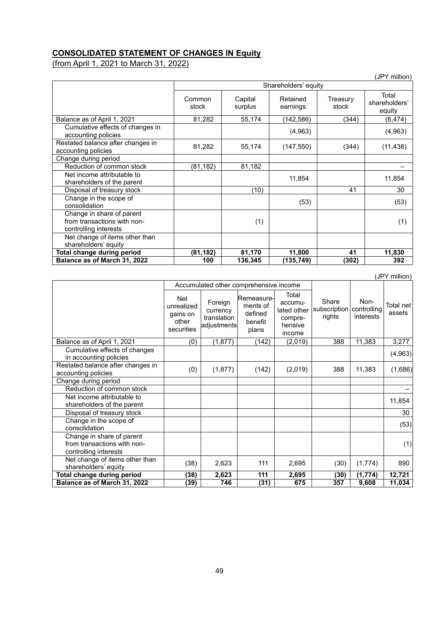## **CONSOLIDATED STATEMENT OF CHANGES IN Equity**

(from April 1, 2021 to March 31, 2022)

|                                                                                   |                      |                    |                      |                   | (JPY million)                    |
|-----------------------------------------------------------------------------------|----------------------|--------------------|----------------------|-------------------|----------------------------------|
|                                                                                   | Shareholders' equity |                    |                      |                   |                                  |
|                                                                                   | Common<br>stock      | Capital<br>surplus | Retained<br>earnings | Treasury<br>stock | Total<br>shareholders'<br>equity |
| Balance as of April 1, 2021                                                       | 81,282               | 55,174             | (142, 586)           | (344)             | (6,474)                          |
| Cumulative effects of changes in<br>accounting policies                           |                      |                    | (4,963)              |                   | (4,963)                          |
| Restated balance after changes in<br>accounting policies                          | 81,282               | 55,174             | (147, 550)           | (344)             | (11, 438)                        |
| Change during period                                                              |                      |                    |                      |                   |                                  |
| Reduction of common stock                                                         | (81, 182)            | 81,182             |                      |                   |                                  |
| Net income attributable to<br>shareholders of the parent                          |                      |                    | 11,854               |                   | 11,854                           |
| Disposal of treasury stock                                                        |                      | (10)               |                      | 41                | 30                               |
| Change in the scope of<br>consolidation                                           |                      |                    | (53)                 |                   | (53)                             |
| Change in share of parent<br>from transactions with non-<br>controlling interests |                      | (1)                |                      |                   | (1)                              |
| Net change of items other than<br>shareholders' equity                            |                      |                    |                      |                   |                                  |
| Total change during period                                                        | (81, 182)            | 81,170             | 11,800               | 41                | 11,830                           |
| Balance as of March 31, 2022                                                      | 100                  | 136,345            | (135,749)            | (302)             | 392                              |

|                                                                                   | Accumulated other comprehensive income               |                                                   |                                                       |                                                                 |                                               |                   |                     |
|-----------------------------------------------------------------------------------|------------------------------------------------------|---------------------------------------------------|-------------------------------------------------------|-----------------------------------------------------------------|-----------------------------------------------|-------------------|---------------------|
|                                                                                   | Net<br>unrealized<br>gains on<br>other<br>securities | Foreign<br>currency<br>translation<br>adjustments | Remeasure-<br>ments of<br>defined<br>benefit<br>plans | Total<br>accumu-<br>lated other<br>compre-<br>hensive<br>income | Share<br>subscription   controlling<br>rights | Non-<br>interests | Total net<br>assets |
| Balance as of April 1, 2021                                                       | (0)                                                  | (1,877)                                           | (142)                                                 | (2,019)                                                         | 388                                           | 11,383            | 3,277               |
| Cumulative effects of changes<br>in accounting policies                           |                                                      |                                                   |                                                       |                                                                 |                                               |                   | (4, 963)            |
| Restated balance after changes in<br>accounting policies                          | (0)                                                  | (1, 877)                                          | (142)                                                 | (2,019)                                                         | 388                                           | 11,383            | (1,686)             |
| Change during period                                                              |                                                      |                                                   |                                                       |                                                                 |                                               |                   |                     |
| Reduction of common stock                                                         |                                                      |                                                   |                                                       |                                                                 |                                               |                   |                     |
| Net income attributable to<br>shareholders of the parent                          |                                                      |                                                   |                                                       |                                                                 |                                               |                   | 11,854              |
| Disposal of treasury stock                                                        |                                                      |                                                   |                                                       |                                                                 |                                               |                   | 30                  |
| Change in the scope of<br>consolidation                                           |                                                      |                                                   |                                                       |                                                                 |                                               |                   | (53)                |
| Change in share of parent<br>from transactions with non-<br>controlling interests |                                                      |                                                   |                                                       |                                                                 |                                               |                   | (1)                 |
| Net change of items other than<br>shareholders' equity                            | (38)                                                 | 2,623                                             | 111                                                   | 2,695                                                           | (30)                                          | (1, 774)          | 890                 |
| Total change during period                                                        | (38)                                                 | 2,623                                             | 111                                                   | 2,695                                                           | (30)                                          | (1, 774)          | 12,721              |
| Balance as of March 31, 2022                                                      | (39)                                                 | 746                                               | (31)                                                  | 675                                                             | 357                                           | 9,608             | 11,034              |

(JPY million)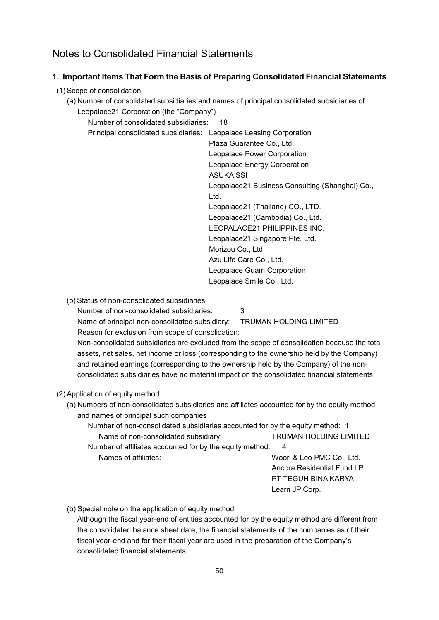# Notes to Consolidated Financial Statements

# **1. Important Items That Form the Basis of Preparing Consolidated Financial Statements**

#### (1) Scope of consolidation

(a) Number of consolidated subsidiaries and names of principal consolidated subsidiaries of Leopalace21 Corporation (the "Company")

Number of consolidated subsidiaries: 18

Principal consolidated subsidiaries: Leopalace Leasing Corporation

Plaza Guarantee Co., Ltd. Leopalace Power Corporation Leopalace Energy Corporation ASUKA SSI Leopalace21 Business Consulting (Shanghai) Co., Ltd. Leopalace21 (Thailand) CO., LTD. Leopalace21 (Cambodia) Co., Ltd. LEOPALACE21 PHILIPPINES INC. Leopalace21 Singapore Pte. Ltd. Morizou Co., Ltd. Azu Life Care Co., Ltd. Leopalace Guam Corporation Leopalace Smile Co., Ltd.

(b) Status of non-consolidated subsidiaries

Number of non-consolidated subsidiaries: 3

Name of principal non-consolidated subsidiary: TRUMAN HOLDING LIMITED Reason for exclusion from scope of consolidation:

Non-consolidated subsidiaries are excluded from the scope of consolidation because the total assets, net sales, net income or loss (corresponding to the ownership held by the Company) and retained earnings (corresponding to the ownership held by the Company) of the nonconsolidated subsidiaries have no material impact on the consolidated financial statements.

### (2) Application of equity method

- (a) Numbers of non-consolidated subsidiaries and affiliates accounted for by the equity method and names of principal such companies
	- Number of non-consolidated subsidiaries accounted for by the equity method: 1 Name of non-consolidated subsidiary: TRUMAN HOLDING LIMITED

Number of affiliates accounted for by the equity method: 4

Names of affiliates: Woori & Leo PMC Co., Ltd. Ancora Residential Fund LP PT TEGUH BINA KARYA Learn JP Corp.

(b) Special note on the application of equity method

Although the fiscal year-end of entities accounted for by the equity method are different from the consolidated balance sheet date, the financial statements of the companies as of their fiscal year-end and for their fiscal year are used in the preparation of the Company's consolidated financial statements.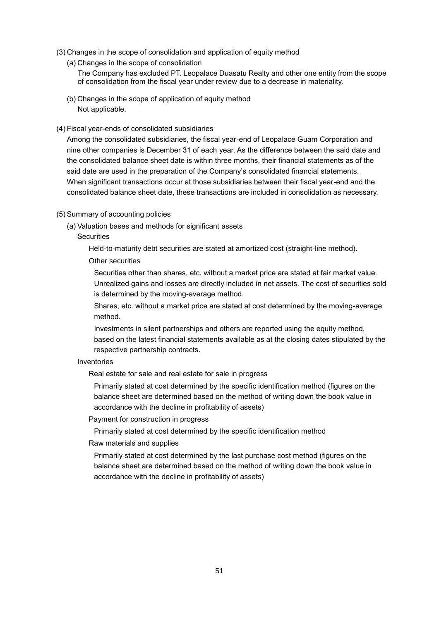- (3) Changes in the scope of consolidation and application of equity method
	- (a) Changes in the scope of consolidation
		- The Company has excluded PT. Leopalace Duasatu Realty and other one entity from the scope of consolidation from the fiscal year under review due to a decrease in materiality.
	- (b) Changes in the scope of application of equity method Not applicable.
- (4) Fiscal year-ends of consolidated subsidiaries

Among the consolidated subsidiaries, the fiscal year-end of Leopalace Guam Corporation and nine other companies is December 31 of each year. As the difference between the said date and the consolidated balance sheet date is within three months, their financial statements as of the said date are used in the preparation of the Company's consolidated financial statements. When significant transactions occur at those subsidiaries between their fiscal year-end and the consolidated balance sheet date, these transactions are included in consolidation as necessary.

- (5) Summary of accounting policies
	- (a) Valuation bases and methods for significant assets
		- **Securities**

Held-to-maturity debt securities are stated at amortized cost (straight-line method).

#### Other securities

Securities other than shares, etc. without a market price are stated at fair market value. Unrealized gains and losses are directly included in net assets. The cost of securities sold is determined by the moving-average method.

Shares, etc. without a market price are stated at cost determined by the moving-average method.

Investments in silent partnerships and others are reported using the equity method, based on the latest financial statements available as at the closing dates stipulated by the respective partnership contracts.

#### Inventories

Real estate for sale and real estate for sale in progress

Primarily stated at cost determined by the specific identification method (figures on the balance sheet are determined based on the method of writing down the book value in accordance with the decline in profitability of assets)

Payment for construction in progress

Primarily stated at cost determined by the specific identification method

Raw materials and supplies

Primarily stated at cost determined by the last purchase cost method (figures on the balance sheet are determined based on the method of writing down the book value in accordance with the decline in profitability of assets)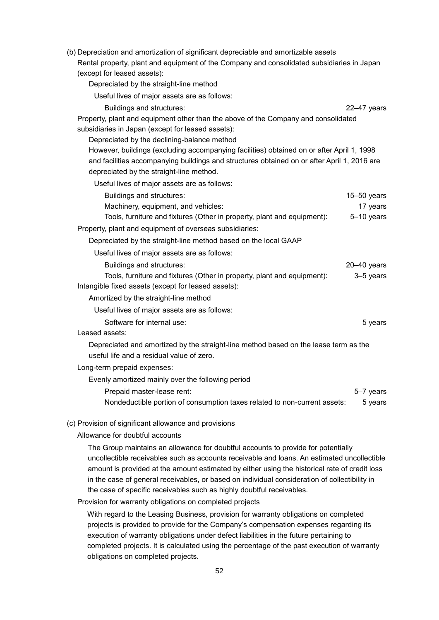| (b) Depreciation and amortization of significant depreciable and amortizable assets         |                 |
|---------------------------------------------------------------------------------------------|-----------------|
| Rental property, plant and equipment of the Company and consolidated subsidiaries in Japan  |                 |
| (except for leased assets):                                                                 |                 |
| Depreciated by the straight-line method                                                     |                 |
| Useful lives of major assets are as follows:                                                |                 |
| Buildings and structures:                                                                   | $22-47$ years   |
| Property, plant and equipment other than the above of the Company and consolidated          |                 |
| subsidiaries in Japan (except for leased assets):                                           |                 |
| Depreciated by the declining-balance method                                                 |                 |
| However, buildings (excluding accompanying facilities) obtained on or after April 1, 1998   |                 |
| and facilities accompanying buildings and structures obtained on or after April 1, 2016 are |                 |
| depreciated by the straight-line method.                                                    |                 |
| Useful lives of major assets are as follows:                                                |                 |
| Buildings and structures:                                                                   | $15 - 50$ years |
| Machinery, equipment, and vehicles:                                                         | 17 years        |
| Tools, furniture and fixtures (Other in property, plant and equipment):                     | 5-10 years      |
| Property, plant and equipment of overseas subsidiaries:                                     |                 |
| Depreciated by the straight-line method based on the local GAAP                             |                 |
| Useful lives of major assets are as follows:                                                |                 |
| Buildings and structures:                                                                   | $20 - 40$ years |
| Tools, furniture and fixtures (Other in property, plant and equipment):                     | 3-5 years       |
| Intangible fixed assets (except for leased assets):                                         |                 |
| Amortized by the straight-line method                                                       |                 |
| Useful lives of major assets are as follows:                                                |                 |
| Software for internal use:                                                                  | 5 years         |
| Leased assets:                                                                              |                 |
| Depreciated and amortized by the straight-line method based on the lease term as the        |                 |
| useful life and a residual value of zero.                                                   |                 |
| Long-term prepaid expenses:                                                                 |                 |
| Evenly amortized mainly over the following period                                           |                 |
| Prepaid master-lease rent:                                                                  | 5-7 years       |
| Nondeductible portion of consumption taxes related to non-current assets:                   | 5 years         |
| (c) Provision of significant allowance and provisions                                       |                 |
| Allowance for doubtful accounts                                                             |                 |
|                                                                                             |                 |

The Group maintains an allowance for doubtful accounts to provide for potentially uncollectible receivables such as accounts receivable and loans. An estimated uncollectible amount is provided at the amount estimated by either using the historical rate of credit loss in the case of general receivables, or based on individual consideration of collectibility in the case of specific receivables such as highly doubtful receivables.

Provision for warranty obligations on completed projects

With regard to the Leasing Business, provision for warranty obligations on completed projects is provided to provide for the Company's compensation expenses regarding its execution of warranty obligations under defect liabilities in the future pertaining to completed projects. It is calculated using the percentage of the past execution of warranty obligations on completed projects.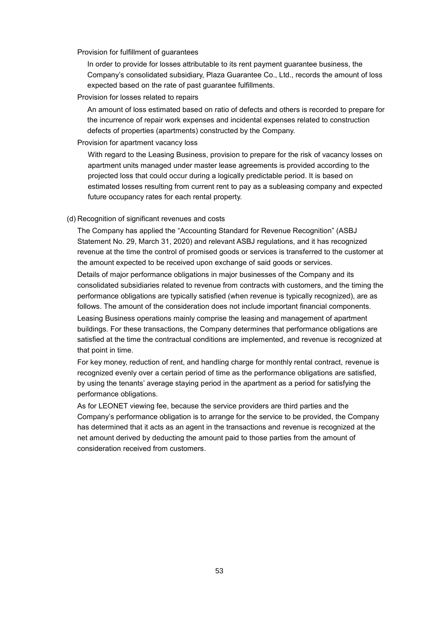Provision for fulfillment of guarantees

In order to provide for losses attributable to its rent payment guarantee business, the Company's consolidated subsidiary, Plaza Guarantee Co., Ltd., records the amount of loss expected based on the rate of past guarantee fulfillments.

Provision for losses related to repairs

An amount of loss estimated based on ratio of defects and others is recorded to prepare for the incurrence of repair work expenses and incidental expenses related to construction defects of properties (apartments) constructed by the Company.

Provision for apartment vacancy loss

With regard to the Leasing Business, provision to prepare for the risk of vacancy losses on apartment units managed under master lease agreements is provided according to the projected loss that could occur during a logically predictable period. It is based on estimated losses resulting from current rent to pay as a subleasing company and expected future occupancy rates for each rental property.

(d) Recognition of significant revenues and costs

The Company has applied the "Accounting Standard for Revenue Recognition" (ASBJ Statement No. 29, March 31, 2020) and relevant ASBJ regulations, and it has recognized revenue at the time the control of promised goods or services is transferred to the customer at the amount expected to be received upon exchange of said goods or services.

Details of major performance obligations in major businesses of the Company and its consolidated subsidiaries related to revenue from contracts with customers, and the timing the performance obligations are typically satisfied (when revenue is typically recognized), are as follows. The amount of the consideration does not include important financial components.

Leasing Business operations mainly comprise the leasing and management of apartment buildings. For these transactions, the Company determines that performance obligations are satisfied at the time the contractual conditions are implemented, and revenue is recognized at that point in time.

For key money, reduction of rent, and handling charge for monthly rental contract, revenue is recognized evenly over a certain period of time as the performance obligations are satisfied, by using the tenants' average staying period in the apartment as a period for satisfying the performance obligations.

As for LEONET viewing fee, because the service providers are third parties and the Company's performance obligation is to arrange for the service to be provided, the Company has determined that it acts as an agent in the transactions and revenue is recognized at the net amount derived by deducting the amount paid to those parties from the amount of consideration received from customers.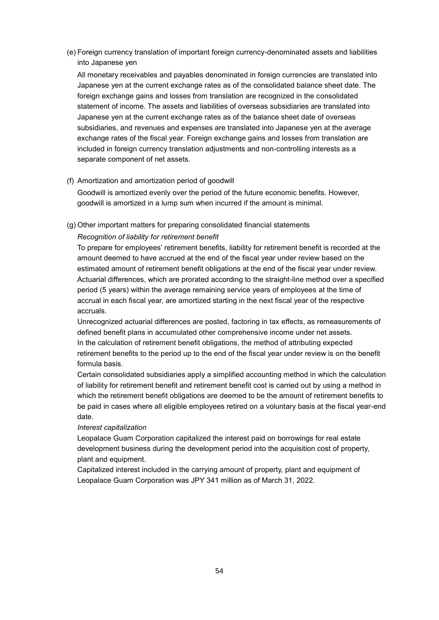(e) Foreign currency translation of important foreign currency-denominated assets and liabilities into Japanese yen

All monetary receivables and payables denominated in foreign currencies are translated into Japanese yen at the current exchange rates as of the consolidated balance sheet date. The foreign exchange gains and losses from translation are recognized in the consolidated statement of income. The assets and liabilities of overseas subsidiaries are translated into Japanese yen at the current exchange rates as of the balance sheet date of overseas subsidiaries, and revenues and expenses are translated into Japanese yen at the average exchange rates of the fiscal year. Foreign exchange gains and losses from translation are included in foreign currency translation adjustments and non-controlling interests as a separate component of net assets.

(f) Amortization and amortization period of goodwill

Goodwill is amortized evenly over the period of the future economic benefits. However, goodwill is amortized in a lump sum when incurred if the amount is minimal.

(g) Other important matters for preparing consolidated financial statements

#### *Recognition of liability for retirement benefit*

To prepare for employees' retirement benefits, liability for retirement benefit is recorded at the amount deemed to have accrued at the end of the fiscal year under review based on the estimated amount of retirement benefit obligations at the end of the fiscal year under review. Actuarial differences, which are prorated according to the straight-line method over a specified period (5 years) within the average remaining service years of employees at the time of accrual in each fiscal year, are amortized starting in the next fiscal year of the respective accruals.

Unrecognized actuarial differences are posted, factoring in tax effects, as remeasurements of defined benefit plans in accumulated other comprehensive income under net assets. In the calculation of retirement benefit obligations, the method of attributing expected retirement benefits to the period up to the end of the fiscal year under review is on the benefit formula basis.

Certain consolidated subsidiaries apply a simplified accounting method in which the calculation of liability for retirement benefit and retirement benefit cost is carried out by using a method in which the retirement benefit obligations are deemed to be the amount of retirement benefits to be paid in cases where all eligible employees retired on a voluntary basis at the fiscal year-end date.

#### *Interest capitalization*

Leopalace Guam Corporation capitalized the interest paid on borrowings for real estate development business during the development period into the acquisition cost of property, plant and equipment.

Capitalized interest included in the carrying amount of property, plant and equipment of Leopalace Guam Corporation was JPY 341 million as of March 31, 2022.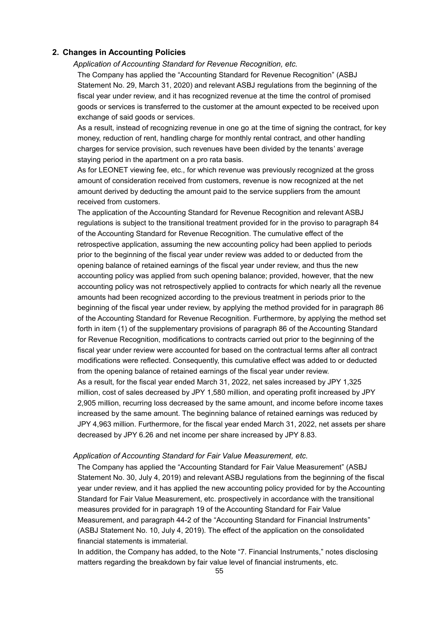## **2. Changes in Accounting Policies**

*Application of Accounting Standard for Revenue Recognition, etc.*

The Company has applied the "Accounting Standard for Revenue Recognition" (ASBJ Statement No. 29, March 31, 2020) and relevant ASBJ regulations from the beginning of the fiscal year under review, and it has recognized revenue at the time the control of promised goods or services is transferred to the customer at the amount expected to be received upon exchange of said goods or services.

As a result, instead of recognizing revenue in one go at the time of signing the contract, for key money, reduction of rent, handling charge for monthly rental contract, and other handling charges for service provision, such revenues have been divided by the tenants' average staying period in the apartment on a pro rata basis.

As for LEONET viewing fee, etc., for which revenue was previously recognized at the gross amount of consideration received from customers, revenue is now recognized at the net amount derived by deducting the amount paid to the service suppliers from the amount received from customers.

The application of the Accounting Standard for Revenue Recognition and relevant ASBJ regulations is subject to the transitional treatment provided for in the proviso to paragraph 84 of the Accounting Standard for Revenue Recognition. The cumulative effect of the retrospective application, assuming the new accounting policy had been applied to periods prior to the beginning of the fiscal year under review was added to or deducted from the opening balance of retained earnings of the fiscal year under review, and thus the new accounting policy was applied from such opening balance; provided, however, that the new accounting policy was not retrospectively applied to contracts for which nearly all the revenue amounts had been recognized according to the previous treatment in periods prior to the beginning of the fiscal year under review, by applying the method provided for in paragraph 86 of the Accounting Standard for Revenue Recognition. Furthermore, by applying the method set forth in item (1) of the supplementary provisions of paragraph 86 of the Accounting Standard for Revenue Recognition, modifications to contracts carried out prior to the beginning of the fiscal year under review were accounted for based on the contractual terms after all contract modifications were reflected. Consequently, this cumulative effect was added to or deducted from the opening balance of retained earnings of the fiscal year under review. As a result, for the fiscal year ended March 31, 2022, net sales increased by JPY 1,325 million, cost of sales decreased by JPY 1,580 million, and operating profit increased by JPY 2,905 million, recurring loss decreased by the same amount, and income before income taxes increased by the same amount. The beginning balance of retained earnings was reduced by JPY 4,963 million. Furthermore, for the fiscal year ended March 31, 2022, net assets per share decreased by JPY 6.26 and net income per share increased by JPY 8.83.

#### *Application of Accounting Standard for Fair Value Measurement, etc.*

The Company has applied the "Accounting Standard for Fair Value Measurement" (ASBJ Statement No. 30, July 4, 2019) and relevant ASBJ regulations from the beginning of the fiscal year under review, and it has applied the new accounting policy provided for by the Accounting Standard for Fair Value Measurement, etc. prospectively in accordance with the transitional measures provided for in paragraph 19 of the Accounting Standard for Fair Value Measurement, and paragraph 44-2 of the "Accounting Standard for Financial Instruments" (ASBJ Statement No. 10, July 4, 2019). The effect of the application on the consolidated financial statements is immaterial.

In addition, the Company has added, to the Note "7. Financial Instruments," notes disclosing matters regarding the breakdown by fair value level of financial instruments, etc.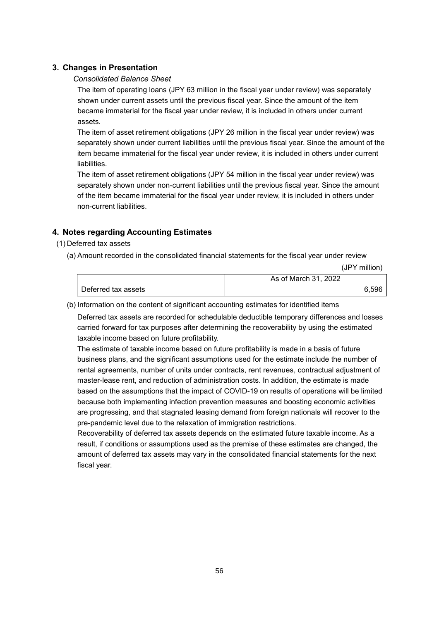# **3. Changes in Presentation**

### *Consolidated Balance Sheet*

The item of operating loans (JPY 63 million in the fiscal year under review) was separately shown under current assets until the previous fiscal year. Since the amount of the item became immaterial for the fiscal year under review, it is included in others under current assets.

The item of asset retirement obligations (JPY 26 million in the fiscal year under review) was separately shown under current liabilities until the previous fiscal year. Since the amount of the item became immaterial for the fiscal year under review, it is included in others under current liabilities.

The item of asset retirement obligations (JPY 54 million in the fiscal year under review) was separately shown under non-current liabilities until the previous fiscal year. Since the amount of the item became immaterial for the fiscal year under review, it is included in others under non-current liabilities.

# **4. Notes regarding Accounting Estimates**

- (1) Deferred tax assets
	- (a) Amount recorded in the consolidated financial statements for the fiscal year under review

(JPY million)

|                     | As of March 31, 2022 |
|---------------------|----------------------|
| Deferred tax assets | 6.596                |

(b) Information on the content of significant accounting estimates for identified items

Deferred tax assets are recorded for schedulable deductible temporary differences and losses carried forward for tax purposes after determining the recoverability by using the estimated taxable income based on future profitability.

The estimate of taxable income based on future profitability is made in a basis of future business plans, and the significant assumptions used for the estimate include the number of rental agreements, number of units under contracts, rent revenues, contractual adjustment of master-lease rent, and reduction of administration costs. In addition, the estimate is made based on the assumptions that the impact of COVID-19 on results of operations will be limited because both implementing infection prevention measures and boosting economic activities are progressing, and that stagnated leasing demand from foreign nationals will recover to the pre-pandemic level due to the relaxation of immigration restrictions.

Recoverability of deferred tax assets depends on the estimated future taxable income. As a result, if conditions or assumptions used as the premise of these estimates are changed, the amount of deferred tax assets may vary in the consolidated financial statements for the next fiscal year.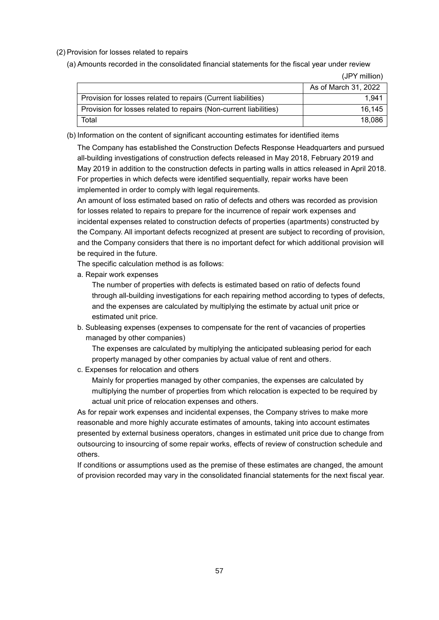#### (2) Provision for losses related to repairs

(a) Amounts recorded in the consolidated financial statements for the fiscal year under review

(JPY million)

|                                                                   | As of March 31, 2022 |
|-------------------------------------------------------------------|----------------------|
| Provision for losses related to repairs (Current liabilities)     | 1.941                |
| Provision for losses related to repairs (Non-current liabilities) | 16.145               |
| Total                                                             | 18,086               |

(b) Information on the content of significant accounting estimates for identified items

The Company has established the Construction Defects Response Headquarters and pursued all-building investigations of construction defects released in May 2018, February 2019 and May 2019 in addition to the construction defects in parting walls in attics released in April 2018. For properties in which defects were identified sequentially, repair works have been implemented in order to comply with legal requirements.

An amount of loss estimated based on ratio of defects and others was recorded as provision for losses related to repairs to prepare for the incurrence of repair work expenses and incidental expenses related to construction defects of properties (apartments) constructed by the Company. All important defects recognized at present are subject to recording of provision, and the Company considers that there is no important defect for which additional provision will be required in the future.

The specific calculation method is as follows:

a. Repair work expenses

The number of properties with defects is estimated based on ratio of defects found through all-building investigations for each repairing method according to types of defects, and the expenses are calculated by multiplying the estimate by actual unit price or estimated unit price.

b. Subleasing expenses (expenses to compensate for the rent of vacancies of properties managed by other companies)

The expenses are calculated by multiplying the anticipated subleasing period for each property managed by other companies by actual value of rent and others.

c. Expenses for relocation and others

Mainly for properties managed by other companies, the expenses are calculated by multiplying the number of properties from which relocation is expected to be required by actual unit price of relocation expenses and others.

As for repair work expenses and incidental expenses, the Company strives to make more reasonable and more highly accurate estimates of amounts, taking into account estimates presented by external business operators, changes in estimated unit price due to change from outsourcing to insourcing of some repair works, effects of review of construction schedule and others.

If conditions or assumptions used as the premise of these estimates are changed, the amount of provision recorded may vary in the consolidated financial statements for the next fiscal year.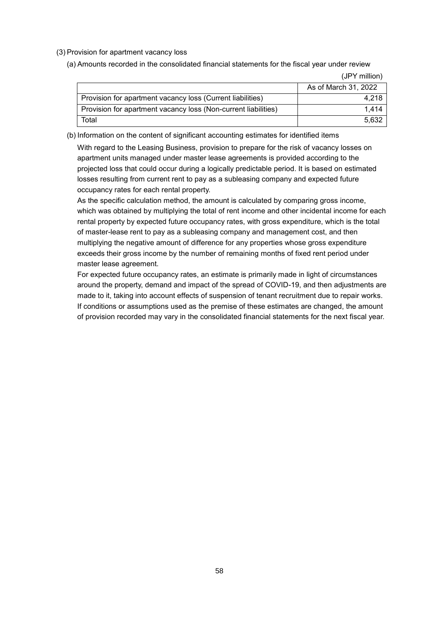#### (3) Provision for apartment vacancy loss

(a) Amounts recorded in the consolidated financial statements for the fiscal year under review

(JPY million)

|                                                                | As of March 31, 2022 |
|----------------------------------------------------------------|----------------------|
| Provision for apartment vacancy loss (Current liabilities)     | 4.218                |
| Provision for apartment vacancy loss (Non-current liabilities) | 1.414                |
| Total                                                          | 5.632                |

(b) Information on the content of significant accounting estimates for identified items

With regard to the Leasing Business, provision to prepare for the risk of vacancy losses on apartment units managed under master lease agreements is provided according to the projected loss that could occur during a logically predictable period. It is based on estimated losses resulting from current rent to pay as a subleasing company and expected future occupancy rates for each rental property.

As the specific calculation method, the amount is calculated by comparing gross income, which was obtained by multiplying the total of rent income and other incidental income for each rental property by expected future occupancy rates, with gross expenditure, which is the total of master-lease rent to pay as a subleasing company and management cost, and then multiplying the negative amount of difference for any properties whose gross expenditure exceeds their gross income by the number of remaining months of fixed rent period under master lease agreement.

For expected future occupancy rates, an estimate is primarily made in light of circumstances around the property, demand and impact of the spread of COVID-19, and then adjustments are made to it, taking into account effects of suspension of tenant recruitment due to repair works. If conditions or assumptions used as the premise of these estimates are changed, the amount of provision recorded may vary in the consolidated financial statements for the next fiscal year.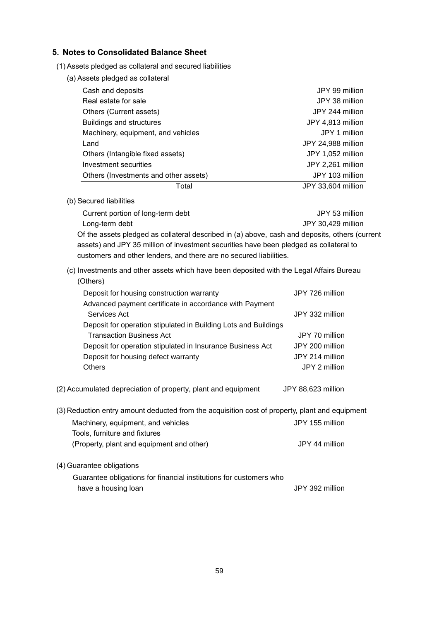# **5. Notes to Consolidated Balance Sheet**

(1) Assets pledged as collateral and secured liabilities

| Cash and deposits                     | JPY 99 million     |
|---------------------------------------|--------------------|
| Real estate for sale                  | JPY 38 million     |
| Others (Current assets)               | JPY 244 million    |
| <b>Buildings and structures</b>       | JPY 4,813 million  |
| Machinery, equipment, and vehicles    | JPY 1 million      |
| Land                                  | JPY 24,988 million |
| Others (Intangible fixed assets)      | JPY 1,052 million  |
| Investment securities                 | JPY 2,261 million  |
| Others (Investments and other assets) | JPY 103 million    |
| Total                                 | JPY 33,604 million |

(b) Secured liabilities

Current portion of long-term debt JPY 53 million Long-term debt JPY 30,429 million Of the assets pledged as collateral described in (a) above, cash and deposits, others (current assets) and JPY 35 million of investment securities have been pledged as collateral to customers and other lenders, and there are no secured liabilities.

# (c) Investments and other assets which have been deposited with the Legal Affairs Bureau (Others)

| Deposit for housing construction warranty                       | JPY 726 million    |
|-----------------------------------------------------------------|--------------------|
| Advanced payment certificate in accordance with Payment         |                    |
| Services Act                                                    | JPY 332 million    |
| Deposit for operation stipulated in Building Lots and Buildings |                    |
| <b>Transaction Business Act</b>                                 | JPY 70 million     |
| Deposit for operation stipulated in Insurance Business Act      | JPY 200 million    |
| Deposit for housing defect warranty                             | JPY 214 million    |
| <b>Others</b>                                                   | JPY 2 million      |
|                                                                 |                    |
| (2) Accumulated depreciation of property, plant and equipment   | JPY 88,623 million |

(3) Reduction entry amount deducted from the acquisition cost of property, plant and equipment Machinery, equipment, and vehicles JPY 155 million Tools, furniture and fixtures (Property, plant and equipment and other) JPY 44 million

### (4) Guarantee obligations

Guarantee obligations for financial institutions for customers who have a housing loan and the state of the state of the JPY 392 million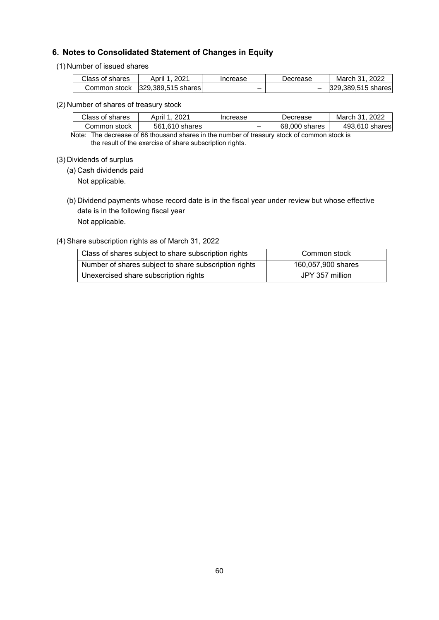# **6. Notes to Consolidated Statement of Changes in Equity**

#### (1) Number of issued shares

| Class of shares | . 2021<br>April 1. | Increase | Decrease | March 31, 2022     |
|-----------------|--------------------|----------|----------|--------------------|
| Common stock    | 329,389,515 shares |          |          | 329.389.515 shares |

#### (2) Number of shares of treasury stock

| Class of shares | 2021<br>April 1 | Increase | Decrease      | 2022<br>March 31 |
|-----------------|-----------------|----------|---------------|------------------|
| Common stock    | 561.610 shares  | -        | 68,000 shares | 493.610 shares   |

Note: The decrease of 68 thousand shares in the number of treasury stock of common stock is the result of the exercise of share subscription rights.

#### (3) Dividends of surplus

(a) Cash dividends paid

Not applicable.

(b) Dividend payments whose record date is in the fiscal year under review but whose effective date is in the following fiscal year Not applicable.

## (4) Share subscription rights as of March 31, 2022

| Class of shares subject to share subscription rights  | Common stock       |
|-------------------------------------------------------|--------------------|
| Number of shares subject to share subscription rights | 160,057,900 shares |
| Unexercised share subscription rights                 | JPY 357 million    |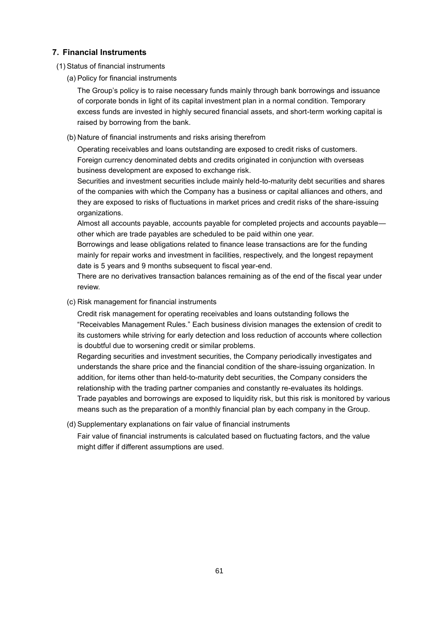# **7. Financial Instruments**

(1) Status of financial instruments

(a) Policy for financial instruments

The Group's policy is to raise necessary funds mainly through bank borrowings and issuance of corporate bonds in light of its capital investment plan in a normal condition. Temporary excess funds are invested in highly secured financial assets, and short-term working capital is raised by borrowing from the bank.

(b) Nature of financial instruments and risks arising therefrom

Operating receivables and loans outstanding are exposed to credit risks of customers. Foreign currency denominated debts and credits originated in conjunction with overseas business development are exposed to exchange risk.

Securities and investment securities include mainly held-to-maturity debt securities and shares of the companies with which the Company has a business or capital alliances and others, and they are exposed to risks of fluctuations in market prices and credit risks of the share-issuing organizations.

Almost all accounts payable, accounts payable for completed projects and accounts payable other which are trade payables are scheduled to be paid within one year.

Borrowings and lease obligations related to finance lease transactions are for the funding mainly for repair works and investment in facilities, respectively, and the longest repayment date is 5 years and 9 months subsequent to fiscal year-end.

There are no derivatives transaction balances remaining as of the end of the fiscal year under review.

(c) Risk management for financial instruments

Credit risk management for operating receivables and loans outstanding follows the "Receivables Management Rules." Each business division manages the extension of credit to its customers while striving for early detection and loss reduction of accounts where collection is doubtful due to worsening credit or similar problems.

Regarding securities and investment securities, the Company periodically investigates and understands the share price and the financial condition of the share-issuing organization. In addition, for items other than held-to-maturity debt securities, the Company considers the relationship with the trading partner companies and constantly re-evaluates its holdings. Trade payables and borrowings are exposed to liquidity risk, but this risk is monitored by various means such as the preparation of a monthly financial plan by each company in the Group.

(d) Supplementary explanations on fair value of financial instruments

Fair value of financial instruments is calculated based on fluctuating factors, and the value might differ if different assumptions are used.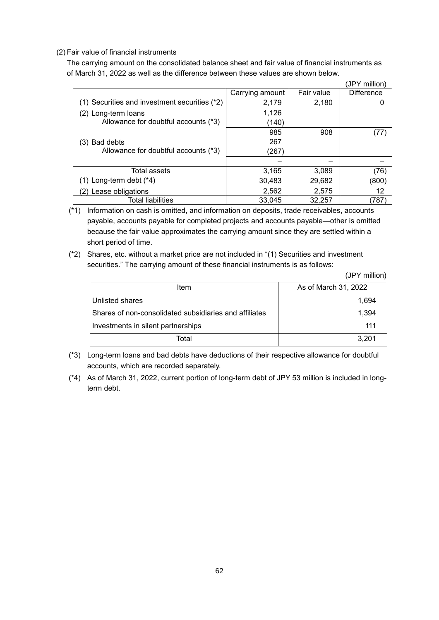#### (2) Fair value of financial instruments

The carrying amount on the consolidated balance sheet and fair value of financial instruments as of March 31, 2022 as well as the difference between these values are shown below.

|                                               |                 |            | (JPY million)     |
|-----------------------------------------------|-----------------|------------|-------------------|
|                                               | Carrying amount | Fair value | <b>Difference</b> |
| (1) Securities and investment securities (*2) | 2,179           | 2,180      |                   |
| (2) Long-term loans                           | 1,126           |            |                   |
| Allowance for doubtful accounts (*3)          | (140)           |            |                   |
|                                               | 985             | 908        | (77)              |
| Bad debts<br>(3)                              | 267             |            |                   |
| Allowance for doubtful accounts (*3)          | (267)           |            |                   |
|                                               |                 |            |                   |
| Total assets                                  | 3,165           | 3,089      | (76)              |
| $(1)$ Long-term debt $(*4)$                   | 30,483          | 29,682     | (800)             |
| Lease obligations                             | 2,562           | 2,575      | 12                |
| <b>Total liabilities</b>                      | 33,045          | 32,257     | 787)              |

(\*1) Information on cash is omitted, and information on deposits, trade receivables, accounts payable, accounts payable for completed projects and accounts payable—other is omitted because the fair value approximates the carrying amount since they are settled within a short period of time.

(\*2) Shares, etc. without a market price are not included in "(1) Securities and investment securities." The carrying amount of these financial instruments is as follows:

(JPY million)

| Item                                                   | As of March 31, 2022 |
|--------------------------------------------------------|----------------------|
| Unlisted shares                                        | 1,694                |
| Shares of non-consolidated subsidiaries and affiliates | 1,394                |
| Investments in silent partnerships                     | 111                  |
| Total                                                  | 3,201                |

- (\*3) Long-term loans and bad debts have deductions of their respective allowance for doubtful accounts, which are recorded separately.
- (\*4) As of March 31, 2022, current portion of long-term debt of JPY 53 million is included in longterm debt.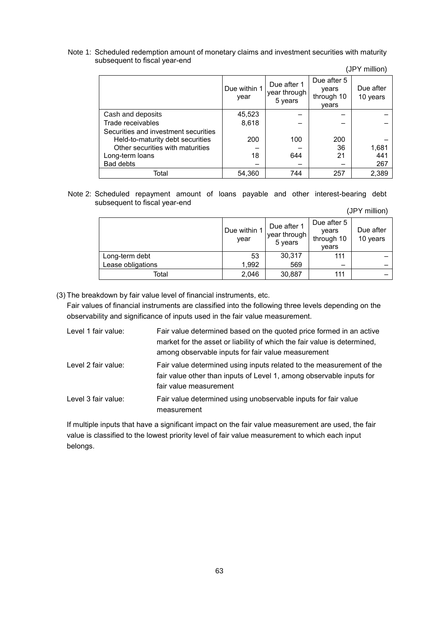#### Note 1: Scheduled redemption amount of monetary claims and investment securities with maturity subsequent to fiscal year-end

(JPY million)

|                                      | Due within 1<br>year | Due after 1<br>year through<br>5 years | Due after 5<br>years<br>through 10<br>vears | Due after<br>10 years |
|--------------------------------------|----------------------|----------------------------------------|---------------------------------------------|-----------------------|
| Cash and deposits                    | 45,523               |                                        |                                             |                       |
| Trade receivables                    | 8,618                |                                        |                                             |                       |
| Securities and investment securities |                      |                                        |                                             |                       |
| Held-to-maturity debt securities     | 200                  | 100                                    | 200                                         |                       |
| Other securities with maturities     |                      |                                        | 36                                          | 1,681                 |
| Long-term loans                      | 18                   | 644                                    | 21                                          | 441                   |
| <b>Bad debts</b>                     |                      |                                        |                                             | 267                   |
| Total                                | 54,360               | 744                                    | 257                                         | 2,389                 |

#### Note 2: Scheduled repayment amount of loans payable and other interest-bearing debt subsequent to fiscal year-end

(JPY million)

|                   | Due within 1<br>year | Due after 1<br>year through<br>5 years | Due after 5<br>years<br>through 10<br>years | Due after<br>10 years |
|-------------------|----------------------|----------------------------------------|---------------------------------------------|-----------------------|
| Long-term debt    | 53                   | 30,317                                 | 111                                         |                       |
| Lease obligations | 1,992                | 569                                    |                                             |                       |
| Total             | 2,046                | 30,887                                 | 111                                         |                       |

(3) The breakdown by fair value level of financial instruments, etc.

Fair values of financial instruments are classified into the following three levels depending on the observability and significance of inputs used in the fair value measurement.

| Level 1 fair value: | Fair value determined based on the quoted price formed in an active      |
|---------------------|--------------------------------------------------------------------------|
|                     | market for the asset or liability of which the fair value is determined, |
|                     | among observable inputs for fair value measurement                       |
| Level 2 fair value: | Fair value determined using inputs related to the measurement of the     |
|                     | fair value other than inputs of Level 1, among observable inputs for     |
|                     | fair value measurement                                                   |
| Level 3 fair value: | Fair value determined using unobservable inputs for fair value           |
|                     | measurement                                                              |

If multiple inputs that have a significant impact on the fair value measurement are used, the fair value is classified to the lowest priority level of fair value measurement to which each input belongs.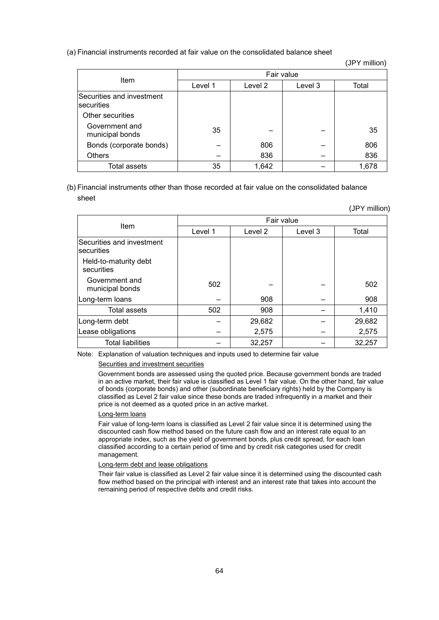#### (a) Financial instruments recorded at fair value on the consolidated balance sheet

(JPY million)

|                                          | Fair value         |       |         |       |  |  |  |
|------------------------------------------|--------------------|-------|---------|-------|--|--|--|
| Item                                     | Level 2<br>Level 1 |       | Level 3 | Total |  |  |  |
| Securities and investment<br>Isecurities |                    |       |         |       |  |  |  |
| Other securities                         |                    |       |         |       |  |  |  |
| Government and<br>municipal bonds        | 35                 |       |         | 35    |  |  |  |
| Bonds (corporate bonds)                  |                    | 806   |         | 806   |  |  |  |
| <b>Others</b>                            |                    | 836   |         | 836   |  |  |  |
| Total assets                             | 35                 | 1,642 |         | 1,678 |  |  |  |

#### (b) Financial instruments other than those recorded at fair value on the consolidated balance sheet

|                                                 |            |         |         | (JPY million) |  |  |  |
|-------------------------------------------------|------------|---------|---------|---------------|--|--|--|
| Item                                            | Fair value |         |         |               |  |  |  |
|                                                 | Level 1    | Level 2 | Level 3 | Total         |  |  |  |
| Securities and investment<br><b>Isecurities</b> |            |         |         |               |  |  |  |
| Held-to-maturity debt<br>securities             |            |         |         |               |  |  |  |
| Government and<br>municipal bonds               | 502        |         |         | 502           |  |  |  |
| Long-term loans                                 |            | 908     |         | 908           |  |  |  |
| <b>Total assets</b>                             | 502        | 908     |         | 1,410         |  |  |  |
| Long-term debt                                  |            | 29,682  |         | 29,682        |  |  |  |
| Lease obligations                               |            | 2,575   |         | 2,575         |  |  |  |
| <b>Total liabilities</b>                        |            | 32,257  |         | 32,257        |  |  |  |

#### Note: Explanation of valuation techniques and inputs used to determine fair value

#### Securities and investment securities

Government bonds are assessed using the quoted price. Because government bonds are traded in an active market, their fair value is classified as Level 1 fair value. On the other hand, fair value of bonds (corporate bonds) and other (subordinate beneficiary rights) held by the Company is classified as Level 2 fair value since these bonds are traded infrequently in a market and their price is not deemed as a quoted price in an active market.

#### Long-term loans

Fair value of long-term loans is classified as Level 2 fair value since it is determined using the discounted cash flow method based on the future cash flow and an interest rate equal to an appropriate index, such as the yield of government bonds, plus credit spread, for each loan classified according to a certain period of time and by credit risk categories used for credit management.

#### Long-term debt and lease obligations

Their fair value is classified as Level 2 fair value since it is determined using the discounted cash flow method based on the principal with interest and an interest rate that takes into account the remaining period of respective debts and credit risks.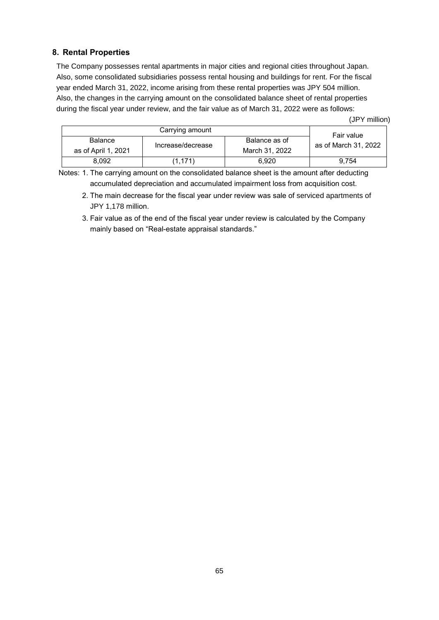# **8. Rental Properties**

The Company possesses rental apartments in major cities and regional cities throughout Japan. Also, some consolidated subsidiaries possess rental housing and buildings for rent. For the fiscal year ended March 31, 2022, income arising from these rental properties was JPY 504 million. Also, the changes in the carrying amount on the consolidated balance sheet of rental properties during the fiscal year under review, and the fair value as of March 31, 2022 were as follows:

(JPY million)

|                                       | Carrying amount   |                                 | Fair value           |
|---------------------------------------|-------------------|---------------------------------|----------------------|
| <b>Balance</b><br>as of April 1, 2021 | Increase/decrease | Balance as of<br>March 31, 2022 | as of March 31, 2022 |
| 8.092                                 | (1.171)           | 6.920                           | 9.754                |

Notes: 1. The carrying amount on the consolidated balance sheet is the amount after deducting accumulated depreciation and accumulated impairment loss from acquisition cost.

- 2. The main decrease for the fiscal year under review was sale of serviced apartments of JPY 1,178 million.
- 3. Fair value as of the end of the fiscal year under review is calculated by the Company mainly based on "Real-estate appraisal standards."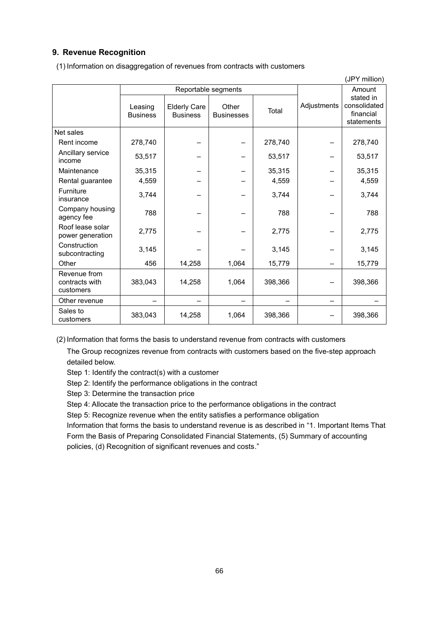# **9. Revenue Recognition**

|                                             |                            |                                        |                            |         |             | (JPY million)                                        |
|---------------------------------------------|----------------------------|----------------------------------------|----------------------------|---------|-------------|------------------------------------------------------|
|                                             | Reportable segments        |                                        |                            |         | Amount      |                                                      |
|                                             | Leasing<br><b>Business</b> | <b>Elderly Care</b><br><b>Business</b> | Other<br><b>Businesses</b> | Total   | Adjustments | stated in<br>consolidated<br>financial<br>statements |
| Net sales                                   |                            |                                        |                            |         |             |                                                      |
| Rent income                                 | 278,740                    |                                        |                            | 278,740 |             | 278,740                                              |
| Ancillary service<br>income                 | 53,517                     |                                        |                            | 53,517  |             | 53,517                                               |
| Maintenance                                 | 35,315                     |                                        |                            | 35,315  |             | 35,315                                               |
| Rental guarantee                            | 4,559                      |                                        |                            | 4,559   |             | 4,559                                                |
| Furniture<br>insurance                      | 3,744                      |                                        |                            | 3,744   |             | 3,744                                                |
| Company housing<br>agency fee               | 788                        |                                        |                            | 788     |             | 788                                                  |
| Roof lease solar<br>power generation        | 2,775                      |                                        |                            | 2,775   |             | 2,775                                                |
| Construction<br>subcontracting              | 3,145                      |                                        |                            | 3,145   |             | 3,145                                                |
| Other                                       | 456                        | 14,258                                 | 1,064                      | 15,779  |             | 15,779                                               |
| Revenue from<br>contracts with<br>customers | 383,043                    | 14,258                                 | 1,064                      | 398,366 |             | 398,366                                              |
| Other revenue                               |                            |                                        |                            |         |             |                                                      |
| Sales to<br>customers                       | 383,043                    | 14,258                                 | 1,064                      | 398,366 |             | 398,366                                              |

(1) Information on disaggregation of revenues from contracts with customers

(2) Information that forms the basis to understand revenue from contracts with customers

The Group recognizes revenue from contracts with customers based on the five-step approach detailed below.

Step 1: Identify the contract(s) with a customer

Step 2: Identify the performance obligations in the contract

Step 3: Determine the transaction price

Step 4: Allocate the transaction price to the performance obligations in the contract

Step 5: Recognize revenue when the entity satisfies a performance obligation

Information that forms the basis to understand revenue is as described in "1. Important Items That Form the Basis of Preparing Consolidated Financial Statements, (5) Summary of accounting policies, (d) Recognition of significant revenues and costs."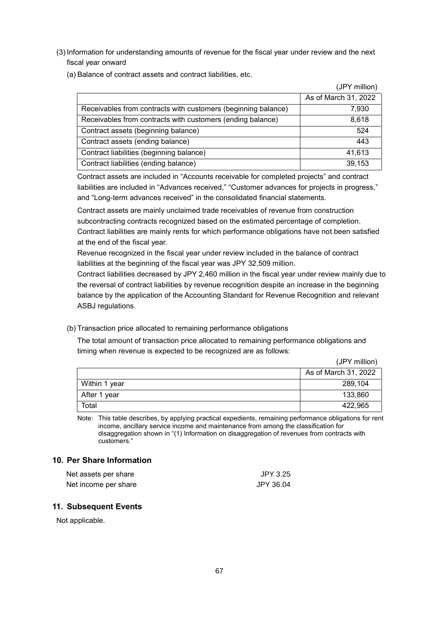- (3) Information for understanding amounts of revenue for the fiscal year under review and the next fiscal year onward
	- (a) Balance of contract assets and contract liabilities, etc.

|                                                               | (JPY million)        |
|---------------------------------------------------------------|----------------------|
|                                                               | As of March 31, 2022 |
| Receivables from contracts with customers (beginning balance) | 7,930                |
| Receivables from contracts with customers (ending balance)    | 8,618                |
| Contract assets (beginning balance)                           | 524                  |
| Contract assets (ending balance)                              | 443                  |
| Contract liabilities (beginning balance)                      | 41,613               |
| Contract liabilities (ending balance)                         | 39,153               |

Contract assets are included in "Accounts receivable for completed projects" and contract liabilities are included in "Advances received," "Customer advances for projects in progress," and "Long-term advances received" in the consolidated financial statements.

Contract assets are mainly unclaimed trade receivables of revenue from construction subcontracting contracts recognized based on the estimated percentage of completion. Contract liabilities are mainly rents for which performance obligations have not been satisfied at the end of the fiscal year.

Revenue recognized in the fiscal year under review included in the balance of contract liabilities at the beginning of the fiscal year was JPY 32,509 million.

Contract liabilities decreased by JPY 2,460 million in the fiscal year under review mainly due to the reversal of contract liabilities by revenue recognition despite an increase in the beginning balance by the application of the Accounting Standard for Revenue Recognition and relevant ASBJ regulations.

(b) Transaction price allocated to remaining performance obligations

The total amount of transaction price allocated to remaining performance obligations and timing when revenue is expected to be recognized are as follows:

(JPY million)

|               | As of March 31, 2022 |
|---------------|----------------------|
| Within 1 year | 289,104              |
| After 1 year  | 133,860              |
| Total         | 422.965              |

Note: This table describes, by applying practical expedients, remaining performance obligations for rent income, ancillary service income and maintenance from among the classification for disaggregation shown in "(1) Information on disaggregation of revenues from contracts with customers."

### **10. Per Share Information**

| Net assets per share | JPY 3.25  |
|----------------------|-----------|
| Net income per share | JPY 36.04 |

#### **11. Subsequent Events**

Not applicable.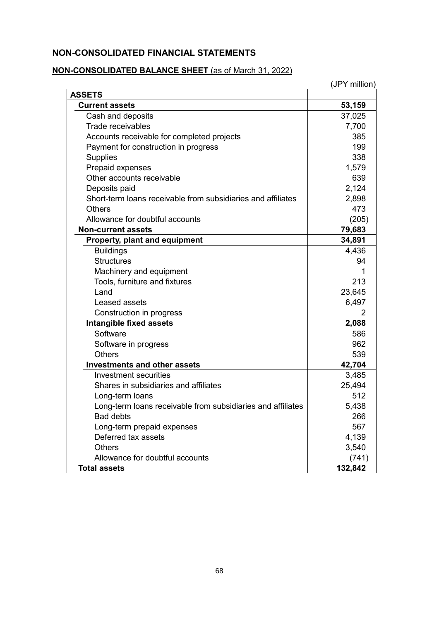# **NON-CONSOLIDATED FINANCIAL STATEMENTS**

# **NON-CONSOLIDATED BALANCE SHEET** (as of March 31, 2022)

|                                                              | (JPY million) |
|--------------------------------------------------------------|---------------|
| <b>ASSETS</b>                                                |               |
| <b>Current assets</b>                                        | 53,159        |
| Cash and deposits                                            | 37,025        |
| <b>Trade receivables</b>                                     | 7,700         |
| Accounts receivable for completed projects                   | 385           |
| Payment for construction in progress                         | 199           |
| <b>Supplies</b>                                              | 338           |
| Prepaid expenses                                             | 1,579         |
| Other accounts receivable                                    | 639           |
| Deposits paid                                                | 2,124         |
| Short-term loans receivable from subsidiaries and affiliates | 2,898         |
| <b>Others</b>                                                | 473           |
| Allowance for doubtful accounts                              | (205)         |
| <b>Non-current assets</b>                                    | 79,683        |
| Property, plant and equipment                                | 34,891        |
| <b>Buildings</b>                                             | 4,436         |
| <b>Structures</b>                                            | 94            |
| Machinery and equipment                                      | 1             |
| Tools, furniture and fixtures                                | 213           |
| Land                                                         | 23,645        |
| Leased assets                                                | 6,497         |
| Construction in progress                                     | 2             |
| <b>Intangible fixed assets</b>                               | 2,088         |
| Software                                                     | 586           |
| Software in progress                                         | 962           |
| <b>Others</b>                                                | 539           |
| <b>Investments and other assets</b>                          | 42,704        |
| Investment securities                                        | 3,485         |
| Shares in subsidiaries and affiliates                        | 25,494        |
| Long-term loans                                              | 512           |
| Long-term loans receivable from subsidiaries and affiliates  | 5,438         |
| <b>Bad debts</b>                                             | 266           |
| Long-term prepaid expenses                                   | 567           |
| Deferred tax assets                                          | 4,139         |
| <b>Others</b>                                                | 3,540         |
| Allowance for doubtful accounts                              | (741)         |
| <b>Total assets</b>                                          | 132,842       |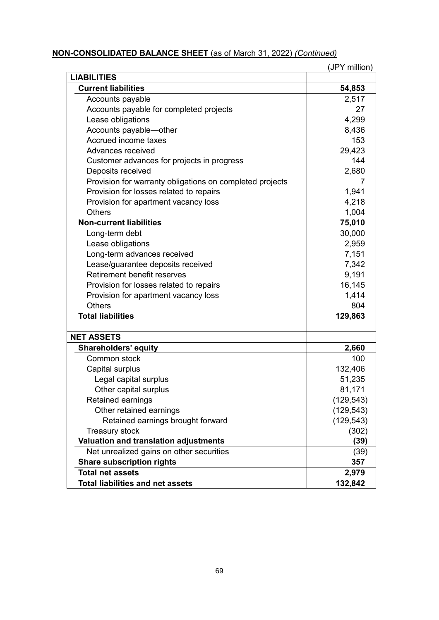# **NON-CONSOLIDATED BALANCE SHEET** (as of March 31, 2022) *(Continued)*

|                                                          | (JPY million) |
|----------------------------------------------------------|---------------|
| <b>LIABILITIES</b>                                       |               |
| <b>Current liabilities</b>                               | 54,853        |
| Accounts payable                                         | 2,517         |
| Accounts payable for completed projects                  | 27            |
| Lease obligations                                        | 4,299         |
| Accounts payable-other                                   | 8,436         |
| Accrued income taxes                                     | 153           |
| Advances received                                        | 29,423        |
| Customer advances for projects in progress               | 144           |
| Deposits received                                        | 2,680         |
| Provision for warranty obligations on completed projects | 7             |
| Provision for losses related to repairs                  | 1,941         |
| Provision for apartment vacancy loss                     | 4,218         |
| <b>Others</b>                                            | 1,004         |
| <b>Non-current liabilities</b>                           | 75,010        |
| Long-term debt                                           | 30,000        |
| Lease obligations                                        | 2,959         |
| Long-term advances received                              | 7,151         |
| Lease/guarantee deposits received                        | 7,342         |
| Retirement benefit reserves                              | 9,191         |
| Provision for losses related to repairs                  | 16,145        |
| Provision for apartment vacancy loss                     | 1,414         |
| <b>Others</b>                                            | 804           |
| <b>Total liabilities</b>                                 | 129,863       |
|                                                          |               |
| <b>NET ASSETS</b>                                        |               |
| <b>Shareholders' equity</b>                              | 2,660         |
| Common stock                                             | 100           |
| Capital surplus                                          | 132,406       |
| Legal capital surplus                                    | 51,235        |
| Other capital surplus                                    | 81,171        |
| Retained earnings                                        | (129, 543)    |
| Other retained earnings                                  | (129, 543)    |
| Retained earnings brought forward                        | (129, 543)    |
| <b>Treasury stock</b>                                    | (302)         |
| Valuation and translation adjustments                    | (39)          |
| Net unrealized gains on other securities                 | (39)          |
| <b>Share subscription rights</b>                         | 357           |
| <b>Total net assets</b>                                  | 2,979         |
| <b>Total liabilities and net assets</b>                  | 132,842       |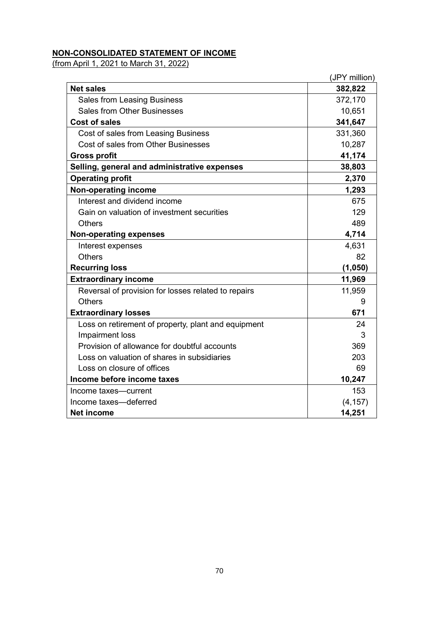# **NON-CONSOLIDATED STATEMENT OF INCOME**

(from April 1, 2021 to March 31, 2022)

|                                                     | (JPY million) |
|-----------------------------------------------------|---------------|
| <b>Net sales</b>                                    | 382,822       |
| <b>Sales from Leasing Business</b>                  | 372,170       |
| <b>Sales from Other Businesses</b>                  | 10,651        |
| <b>Cost of sales</b>                                | 341,647       |
| Cost of sales from Leasing Business                 | 331,360       |
| Cost of sales from Other Businesses                 | 10,287        |
| <b>Gross profit</b>                                 | 41,174        |
| Selling, general and administrative expenses        | 38,803        |
| <b>Operating profit</b>                             | 2,370         |
| <b>Non-operating income</b>                         | 1,293         |
| Interest and dividend income                        | 675           |
| Gain on valuation of investment securities          | 129           |
| <b>Others</b>                                       | 489           |
| <b>Non-operating expenses</b>                       | 4,714         |
| Interest expenses                                   | 4,631         |
| <b>Others</b>                                       | 82            |
| <b>Recurring loss</b>                               | (1,050)       |
| <b>Extraordinary income</b>                         | 11,969        |
| Reversal of provision for losses related to repairs | 11,959        |
| <b>Others</b>                                       | 9             |
| <b>Extraordinary losses</b>                         | 671           |
| Loss on retirement of property, plant and equipment | 24            |
| Impairment loss                                     | 3             |
| Provision of allowance for doubtful accounts        | 369           |
| Loss on valuation of shares in subsidiaries         | 203           |
| Loss on closure of offices                          | 69            |
| Income before income taxes                          | 10,247        |
| Income taxes-current                                | 153           |
| Income taxes-deferred                               | (4, 157)      |
| <b>Net income</b>                                   | 14,251        |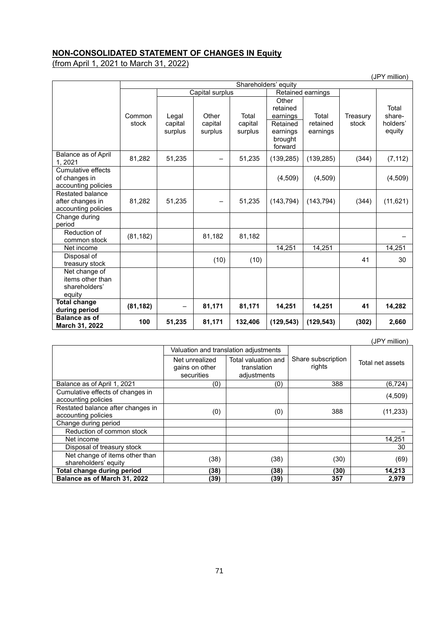# **NON-CONSOLIDATED STATEMENT OF CHANGES IN Equity**

(from April 1, 2021 to March 31, 2022)

|                                                                   | Shareholders' equity |                             |                             |                             |                                                                             |                               |                   |                                       |
|-------------------------------------------------------------------|----------------------|-----------------------------|-----------------------------|-----------------------------|-----------------------------------------------------------------------------|-------------------------------|-------------------|---------------------------------------|
|                                                                   |                      | Capital surplus             |                             |                             | Retained earnings                                                           |                               |                   |                                       |
|                                                                   | Common<br>stock      | Legal<br>capital<br>surplus | Other<br>capital<br>surplus | Total<br>capital<br>surplus | Other<br>retained<br>earnings<br>Retained<br>earnings<br>brought<br>forward | Total<br>retained<br>earnings | Treasury<br>stock | Total<br>share-<br>holders'<br>equity |
| Balance as of April<br>1, 2021                                    | 81,282               | 51,235                      |                             | 51,235                      | (139, 285)                                                                  | (139, 285)                    | (344)             | (7, 112)                              |
| <b>Cumulative effects</b><br>of changes in<br>accounting policies |                      |                             |                             |                             | (4,509)                                                                     | (4,509)                       |                   | (4,509)                               |
| Restated balance<br>after changes in<br>accounting policies       | 81,282               | 51,235                      | -                           | 51,235                      | (143, 794)                                                                  | (143, 794)                    | (344)             | (11, 621)                             |
| Change during<br>period                                           |                      |                             |                             |                             |                                                                             |                               |                   |                                       |
| Reduction of<br>common stock                                      | (81, 182)            |                             | 81,182                      | 81,182                      |                                                                             |                               |                   |                                       |
| Net income                                                        |                      |                             |                             |                             | 14,251                                                                      | 14,251                        |                   | 14,251                                |
| Disposal of<br>treasury stock                                     |                      |                             | (10)                        | (10)                        |                                                                             |                               | 41                | 30                                    |
| Net change of<br>items other than<br>shareholders'<br>equity      |                      |                             |                             |                             |                                                                             |                               |                   |                                       |
| <b>Total change</b><br>during period                              | (81, 182)            |                             | 81,171                      | 81,171                      | 14,251                                                                      | 14,251                        | 41                | 14,282                                |
| <b>Balance as of</b><br>March 31, 2022                            | 100                  | 51,235                      | 81,171                      | 132,406                     | (129, 543)                                                                  | (129, 543)                    | (302)             | 2,660                                 |

|                                                          |                                                |                                                   |                              | (JPY million)    |
|----------------------------------------------------------|------------------------------------------------|---------------------------------------------------|------------------------------|------------------|
|                                                          |                                                | Valuation and translation adjustments             |                              |                  |
|                                                          | Net unrealized<br>gains on other<br>securities | Total valuation and<br>translation<br>adjustments | Share subscription<br>rights | Total net assets |
| Balance as of April 1, 2021                              | (0)                                            | (0)                                               | 388                          | (6,724)          |
| Cumulative effects of changes in<br>accounting policies  |                                                |                                                   |                              | (4,509)          |
| Restated balance after changes in<br>accounting policies | (0)                                            | (0)                                               | 388                          | (11, 233)        |
| Change during period                                     |                                                |                                                   |                              |                  |
| Reduction of common stock                                |                                                |                                                   |                              |                  |
| Net income                                               |                                                |                                                   |                              | 14,251           |
| Disposal of treasury stock                               |                                                |                                                   |                              | 30               |
| Net change of items other than<br>shareholders' equity   | (38)                                           | (38)                                              | (30)                         | (69)             |
| Total change during period                               | (38)                                           | (38)                                              | (30)                         | 14,213           |
| Balance as of March 31, 2022                             | (39)                                           | (39)                                              | 357                          | 2,979            |

(JPY million)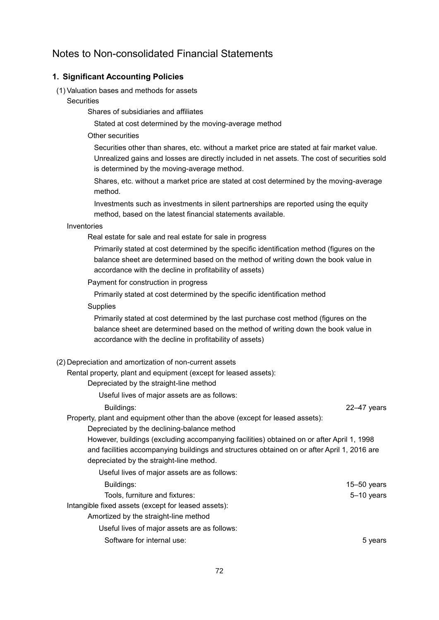# Notes to Non-consolidated Financial Statements

# **1. Significant Accounting Policies**

#### (1) Valuation bases and methods for assets

**Securities** 

Shares of subsidiaries and affiliates

Stated at cost determined by the moving-average method

#### Other securities

Securities other than shares, etc. without a market price are stated at fair market value. Unrealized gains and losses are directly included in net assets. The cost of securities sold is determined by the moving-average method.

Shares, etc. without a market price are stated at cost determined by the moving-average method.

Investments such as investments in silent partnerships are reported using the equity method, based on the latest financial statements available.

#### Inventories

Real estate for sale and real estate for sale in progress

Primarily stated at cost determined by the specific identification method (figures on the balance sheet are determined based on the method of writing down the book value in accordance with the decline in profitability of assets)

Payment for construction in progress

Primarily stated at cost determined by the specific identification method

**Supplies** 

Primarily stated at cost determined by the last purchase cost method (figures on the balance sheet are determined based on the method of writing down the book value in accordance with the decline in profitability of assets)

#### (2) Depreciation and amortization of non-current assets

Rental property, plant and equipment (except for leased assets):

Depreciated by the straight-line method

Useful lives of major assets are as follows:

Buildings: 22–47 years

Property, plant and equipment other than the above (except for leased assets):

Depreciated by the declining-balance method

However, buildings (excluding accompanying facilities) obtained on or after April 1, 1998 and facilities accompanying buildings and structures obtained on or after April 1, 2016 are depreciated by the straight-line method.

| Useful lives of major assets are as follows:        |                 |
|-----------------------------------------------------|-----------------|
| Buildings:                                          | $15 - 50$ years |
| Tools, furniture and fixtures:                      | 5-10 years      |
| Intangible fixed assets (except for leased assets): |                 |
| Amortized by the straight-line method               |                 |
| Useful lives of major assets are as follows:        |                 |
| Software for internal use:                          | 5 years         |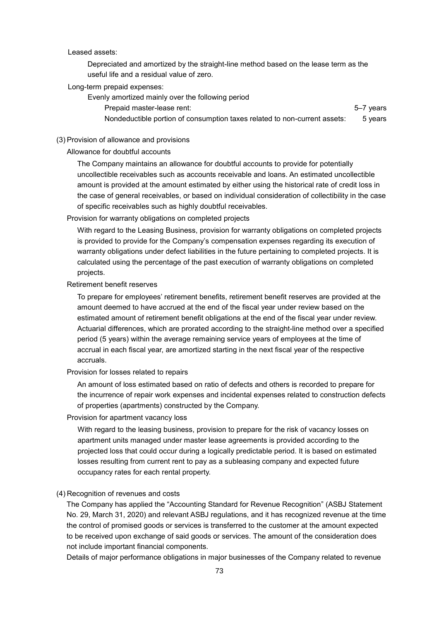Leased assets:

Depreciated and amortized by the straight-line method based on the lease term as the useful life and a residual value of zero.

Long-term prepaid expenses:

Evenly amortized mainly over the following period Prepaid master-lease rent: 5–7 years Nondeductible portion of consumption taxes related to non-current assets: 5 years

#### (3) Provision of allowance and provisions

Allowance for doubtful accounts

The Company maintains an allowance for doubtful accounts to provide for potentially uncollectible receivables such as accounts receivable and loans. An estimated uncollectible amount is provided at the amount estimated by either using the historical rate of credit loss in the case of general receivables, or based on individual consideration of collectibility in the case of specific receivables such as highly doubtful receivables.

Provision for warranty obligations on completed projects

With regard to the Leasing Business, provision for warranty obligations on completed projects is provided to provide for the Company's compensation expenses regarding its execution of warranty obligations under defect liabilities in the future pertaining to completed projects. It is calculated using the percentage of the past execution of warranty obligations on completed projects.

Retirement benefit reserves

To prepare for employees' retirement benefits, retirement benefit reserves are provided at the amount deemed to have accrued at the end of the fiscal year under review based on the estimated amount of retirement benefit obligations at the end of the fiscal year under review. Actuarial differences, which are prorated according to the straight-line method over a specified period (5 years) within the average remaining service years of employees at the time of accrual in each fiscal year, are amortized starting in the next fiscal year of the respective accruals.

Provision for losses related to repairs

An amount of loss estimated based on ratio of defects and others is recorded to prepare for the incurrence of repair work expenses and incidental expenses related to construction defects of properties (apartments) constructed by the Company.

Provision for apartment vacancy loss

With regard to the leasing business, provision to prepare for the risk of vacancy losses on apartment units managed under master lease agreements is provided according to the projected loss that could occur during a logically predictable period. It is based on estimated losses resulting from current rent to pay as a subleasing company and expected future occupancy rates for each rental property.

#### (4) Recognition of revenues and costs

The Company has applied the "Accounting Standard for Revenue Recognition" (ASBJ Statement No. 29, March 31, 2020) and relevant ASBJ regulations, and it has recognized revenue at the time the control of promised goods or services is transferred to the customer at the amount expected to be received upon exchange of said goods or services. The amount of the consideration does not include important financial components.

Details of major performance obligations in major businesses of the Company related to revenue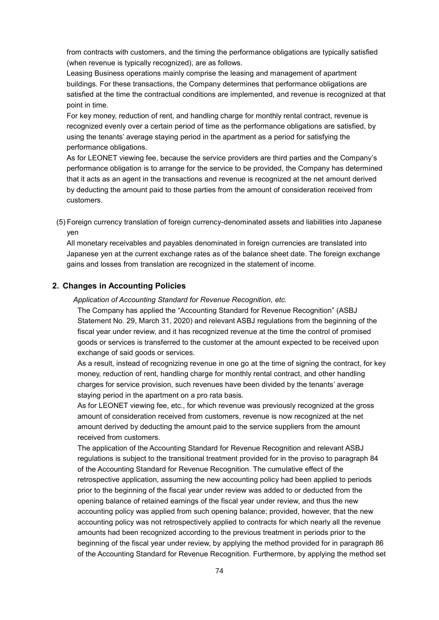from contracts with customers, and the timing the performance obligations are typically satisfied (when revenue is typically recognized), are as follows.

Leasing Business operations mainly comprise the leasing and management of apartment buildings. For these transactions, the Company determines that performance obligations are satisfied at the time the contractual conditions are implemented, and revenue is recognized at that point in time.

For key money, reduction of rent, and handling charge for monthly rental contract, revenue is recognized evenly over a certain period of time as the performance obligations are satisfied, by using the tenants' average staying period in the apartment as a period for satisfying the performance obligations.

As for LEONET viewing fee, because the service providers are third parties and the Company's performance obligation is to arrange for the service to be provided, the Company has determined that it acts as an agent in the transactions and revenue is recognized at the net amount derived by deducting the amount paid to those parties from the amount of consideration received from customers.

(5) Foreign currency translation of foreign currency-denominated assets and liabilities into Japanese yen

All monetary receivables and payables denominated in foreign currencies are translated into Japanese yen at the current exchange rates as of the balance sheet date. The foreign exchange gains and losses from translation are recognized in the statement of income.

## **2. Changes in Accounting Policies**

*Application of Accounting Standard for Revenue Recognition, etc.*

The Company has applied the "Accounting Standard for Revenue Recognition" (ASBJ Statement No. 29, March 31, 2020) and relevant ASBJ regulations from the beginning of the fiscal year under review, and it has recognized revenue at the time the control of promised goods or services is transferred to the customer at the amount expected to be received upon exchange of said goods or services.

As a result, instead of recognizing revenue in one go at the time of signing the contract, for key money, reduction of rent, handling charge for monthly rental contract, and other handling charges for service provision, such revenues have been divided by the tenants' average staying period in the apartment on a pro rata basis.

As for LEONET viewing fee, etc., for which revenue was previously recognized at the gross amount of consideration received from customers, revenue is now recognized at the net amount derived by deducting the amount paid to the service suppliers from the amount received from customers.

The application of the Accounting Standard for Revenue Recognition and relevant ASBJ regulations is subject to the transitional treatment provided for in the proviso to paragraph 84 of the Accounting Standard for Revenue Recognition. The cumulative effect of the retrospective application, assuming the new accounting policy had been applied to periods prior to the beginning of the fiscal year under review was added to or deducted from the opening balance of retained earnings of the fiscal year under review, and thus the new accounting policy was applied from such opening balance; provided, however, that the new accounting policy was not retrospectively applied to contracts for which nearly all the revenue amounts had been recognized according to the previous treatment in periods prior to the beginning of the fiscal year under review, by applying the method provided for in paragraph 86 of the Accounting Standard for Revenue Recognition. Furthermore, by applying the method set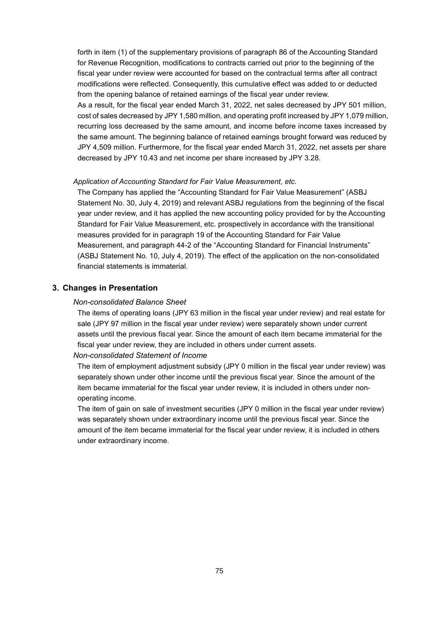forth in item (1) of the supplementary provisions of paragraph 86 of the Accounting Standard for Revenue Recognition, modifications to contracts carried out prior to the beginning of the fiscal year under review were accounted for based on the contractual terms after all contract modifications were reflected. Consequently, this cumulative effect was added to or deducted from the opening balance of retained earnings of the fiscal year under review.

As a result, for the fiscal year ended March 31, 2022, net sales decreased by JPY 501 million, cost of sales decreased by JPY 1,580 million, and operating profit increased by JPY 1,079 million, recurring loss decreased by the same amount, and income before income taxes increased by the same amount. The beginning balance of retained earnings brought forward was reduced by JPY 4,509 million. Furthermore, for the fiscal year ended March 31, 2022, net assets per share decreased by JPY 10.43 and net income per share increased by JPY 3.28.

#### *Application of Accounting Standard for Fair Value Measurement, etc.*

The Company has applied the "Accounting Standard for Fair Value Measurement" (ASBJ Statement No. 30, July 4, 2019) and relevant ASBJ regulations from the beginning of the fiscal year under review, and it has applied the new accounting policy provided for by the Accounting Standard for Fair Value Measurement, etc. prospectively in accordance with the transitional measures provided for in paragraph 19 of the Accounting Standard for Fair Value Measurement, and paragraph 44-2 of the "Accounting Standard for Financial Instruments" (ASBJ Statement No. 10, July 4, 2019). The effect of the application on the non-consolidated financial statements is immaterial.

#### **3. Changes in Presentation**

#### *Non-consolidated Balance Sheet*

The items of operating loans (JPY 63 million in the fiscal year under review) and real estate for sale (JPY 97 million in the fiscal year under review) were separately shown under current assets until the previous fiscal year. Since the amount of each item became immaterial for the fiscal year under review, they are included in others under current assets.

#### *Non-consolidated Statement of Income*

The item of employment adjustment subsidy (JPY 0 million in the fiscal year under review) was separately shown under other income until the previous fiscal year. Since the amount of the item became immaterial for the fiscal year under review, it is included in others under nonoperating income.

The item of gain on sale of investment securities (JPY 0 million in the fiscal year under review) was separately shown under extraordinary income until the previous fiscal year. Since the amount of the item became immaterial for the fiscal year under review, it is included in others under extraordinary income.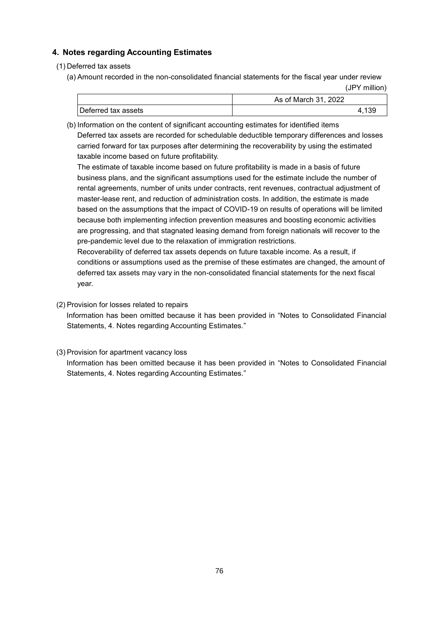# **4. Notes regarding Accounting Estimates**

## (1) Deferred tax assets

(a) Amount recorded in the non-consolidated financial statements for the fiscal year under review (JPY million)

|                     | As of March 31, 2022 |
|---------------------|----------------------|
| Deferred tax assets | -139                 |

(b) Information on the content of significant accounting estimates for identified items Deferred tax assets are recorded for schedulable deductible temporary differences and losses carried forward for tax purposes after determining the recoverability by using the estimated taxable income based on future profitability.

The estimate of taxable income based on future profitability is made in a basis of future business plans, and the significant assumptions used for the estimate include the number of rental agreements, number of units under contracts, rent revenues, contractual adjustment of master-lease rent, and reduction of administration costs. In addition, the estimate is made based on the assumptions that the impact of COVID-19 on results of operations will be limited because both implementing infection prevention measures and boosting economic activities are progressing, and that stagnated leasing demand from foreign nationals will recover to the pre-pandemic level due to the relaxation of immigration restrictions.

Recoverability of deferred tax assets depends on future taxable income. As a result, if conditions or assumptions used as the premise of these estimates are changed, the amount of deferred tax assets may vary in the non-consolidated financial statements for the next fiscal year.

(2) Provision for losses related to repairs

Information has been omitted because it has been provided in "Notes to Consolidated Financial Statements, 4. Notes regarding Accounting Estimates."

## (3) Provision for apartment vacancy loss

Information has been omitted because it has been provided in "Notes to Consolidated Financial Statements, 4. Notes regarding Accounting Estimates."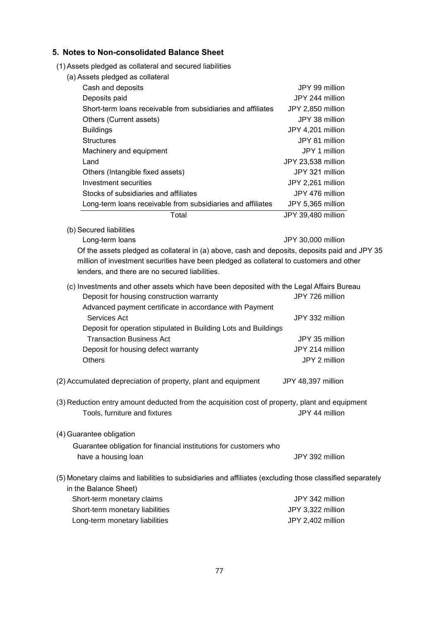## **5. Notes to Non-consolidated Balance Sheet**

- (1) Assets pledged as collateral and secured liabilities
	- (a) Assets pledged as collateral

| Cash and deposits                                            | JPY 99 million     |
|--------------------------------------------------------------|--------------------|
| Deposits paid                                                | JPY 244 million    |
| Short-term loans receivable from subsidiaries and affiliates | JPY 2,850 million  |
| Others (Current assets)                                      | JPY 38 million     |
| <b>Buildings</b>                                             | JPY 4,201 million  |
| <b>Structures</b>                                            | JPY 81 million     |
| Machinery and equipment                                      | JPY 1 million      |
| Land                                                         | JPY 23,538 million |
| Others (Intangible fixed assets)                             | JPY 321 million    |
| Investment securities                                        | JPY 2,261 million  |
| Stocks of subsidiaries and affiliates                        | JPY 476 million    |
| Long-term loans receivable from subsidiaries and affiliates  | JPY 5,365 million  |
| Total                                                        | JPY 39.480 million |

(b) Secured liabilities

Long-term loans and a state of the UPY 30,000 million

Of the assets pledged as collateral in (a) above, cash and deposits, deposits paid and JPY 35 million of investment securities have been pledged as collateral to customers and other lenders, and there are no secured liabilities.

- (c) Investments and other assets which have been deposited with the Legal Affairs Bureau Deposit for housing construction warranty **JPY 726 million** Advanced payment certificate in accordance with Payment Services Act **JPY 332 million** Deposit for operation stipulated in Building Lots and Buildings Transaction Business Act JPY 35 million Deposit for housing defect warranty **JPY 214 million** Others JPY 2 million
- (2) Accumulated depreciation of property, plant and equipment JPY 48,397 million
- (3) Reduction entry amount deducted from the acquisition cost of property, plant and equipment Tools, furniture and fixtures **JPY 44 million**
- (4) Guarantee obligation

```
Guarantee obligation for financial institutions for customers who 
have a housing loan and the state of the state of the state of the JPY 392 million
```
(5) Monetary claims and liabilities to subsidiaries and affiliates (excluding those classified separately in the Balance Sheet) Short-term monetary claims **JPY 342 million** 

| Short-term monetary liabilities | JPY 3,322 million |
|---------------------------------|-------------------|
| Long-term monetary liabilities  | JPY 2.402 million |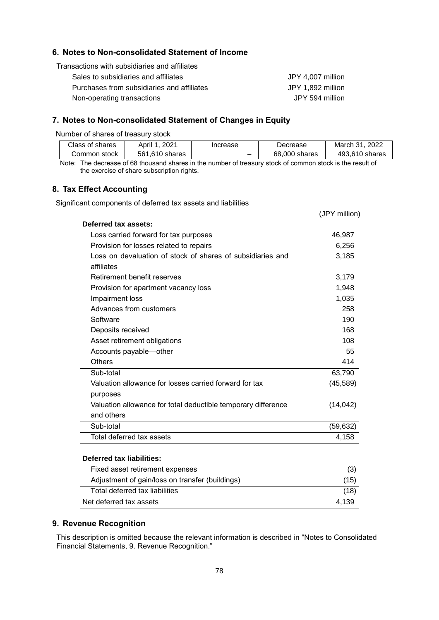## **6. Notes to Non-consolidated Statement of Income**

Transactions with subsidiaries and affiliates

| Sales to subsidiaries and affiliates       | JPY 4.007 million |
|--------------------------------------------|-------------------|
| Purchases from subsidiaries and affiliates | JPY 1.892 million |
| Non-operating transactions                 | JPY 594 million   |

### **7. Notes to Non-consolidated Statement of Changes in Equity**

Number of shares of treasury stock

| Class of shares | 2021<br>April  | Increase | Decrease      | 2022<br>March 31 |
|-----------------|----------------|----------|---------------|------------------|
| Common stock    | 561.610 shares |          | 68,000 shares | 493.610 shares   |

(JPY million)

Note: The decrease of 68 thousand shares in the number of treasury stock of common stock is the result of the exercise of share subscription rights.

# **8. Tax Effect Accounting**

Significant components of deferred tax assets and liabilities

| Deferred tax assets:                                          |           |
|---------------------------------------------------------------|-----------|
| Loss carried forward for tax purposes                         | 46,987    |
| Provision for losses related to repairs                       | 6,256     |
| Loss on devaluation of stock of shares of subsidiaries and    | 3,185     |
| affiliates                                                    |           |
| Retirement benefit reserves                                   | 3,179     |
| Provision for apartment vacancy loss                          | 1,948     |
| Impairment loss                                               | 1,035     |
| Advances from customers                                       | 258       |
| Software                                                      | 190       |
| Deposits received                                             | 168       |
| Asset retirement obligations                                  | 108       |
| Accounts payable-other                                        | 55        |
| <b>Others</b>                                                 | 414       |
| Sub-total                                                     | 63,790    |
| Valuation allowance for losses carried forward for tax        | (45, 589) |
| purposes                                                      |           |
| Valuation allowance for total deductible temporary difference | (14, 042) |
| and others                                                    |           |
| Sub-total                                                     | (59, 632) |
| Total deferred tax assets                                     | 4,158     |
|                                                               |           |
| <b>Deferred tax liabilities:</b>                              |           |
| Fixed asset retirement expenses                               | (3)       |
| Adjustment of gain/loss on transfer (buildings)               | (15)      |
| Total deferred tax liabilities                                | (18)      |
| Net deferred tax assets                                       | 4,139     |

#### **9. Revenue Recognition**

This description is omitted because the relevant information is described in "Notes to Consolidated Financial Statements, 9. Revenue Recognition."